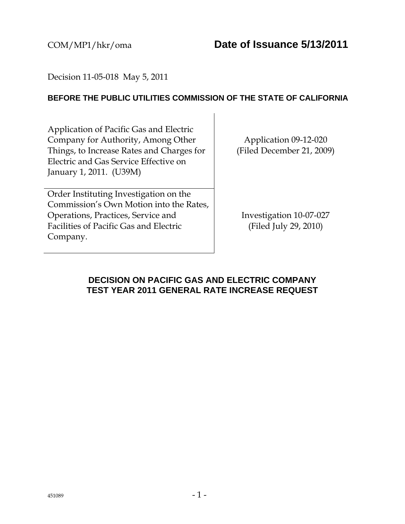### Decision 11-05-018 May 5, 2011

### **BEFORE THE PUBLIC UTILITIES COMMISSION OF THE STATE OF CALIFORNIA**

Application of Pacific Gas and Electric Company for Authority, Among Other Things, to Increase Rates and Charges for Electric and Gas Service Effective on January 1, 2011. (U39M)

Order Instituting Investigation on the Commission's Own Motion into the Rates, Operations, Practices, Service and Facilities of Pacific Gas and Electric Company.

Application 09-12-020 (Filed December 21, 2009)

Investigation 10-07-027 (Filed July 29, 2010)

### **DECISION ON PACIFIC GAS AND ELECTRIC COMPANY TEST YEAR 2011 GENERAL RATE INCREASE REQUEST**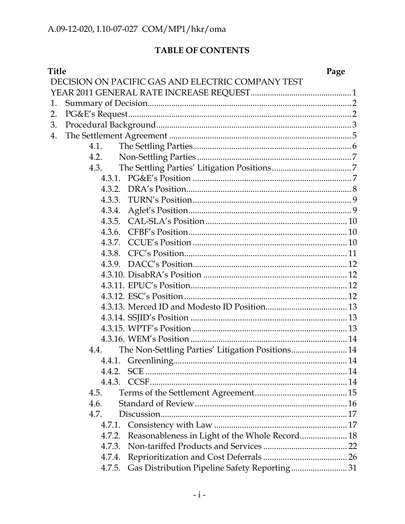# TABLE OF CONTENTS

| <b>Title</b> |                                                   | Page |
|--------------|---------------------------------------------------|------|
|              | DECISION ON PACIFIC GAS AND ELECTRIC COMPANY TEST |      |
|              |                                                   |      |
| 1.           |                                                   |      |
| 2.           |                                                   |      |
| 3.           |                                                   |      |
| 4.           |                                                   |      |
| 4.1.         |                                                   |      |
| 4.2.         |                                                   |      |
| 4.3.         |                                                   |      |
|              |                                                   |      |
|              |                                                   |      |
|              |                                                   |      |
| 4.3.4.       |                                                   |      |
|              |                                                   |      |
| 4.3.6.       |                                                   |      |
| 4.3.7.       |                                                   |      |
|              |                                                   |      |
|              |                                                   |      |
|              |                                                   |      |
|              |                                                   |      |
|              |                                                   |      |
|              |                                                   |      |
|              |                                                   |      |
|              |                                                   |      |
|              |                                                   |      |
| 4.4.         | The Non-Settling Parties' Litigation Positions 14 |      |
|              |                                                   |      |
| 4.4.2.       |                                                   |      |
|              |                                                   |      |
| 4.5.         |                                                   |      |
| 4.6.         |                                                   |      |
| 4.7.         |                                                   |      |
| 4.7.1.       |                                                   |      |
| 4.7.2.       | Reasonableness in Light of the Whole Record 18    |      |
| 4.7.3.       |                                                   |      |
| 4.7.4.       |                                                   |      |
| 4.7.5.       | Gas Distribution Pipeline Safety Reporting31      |      |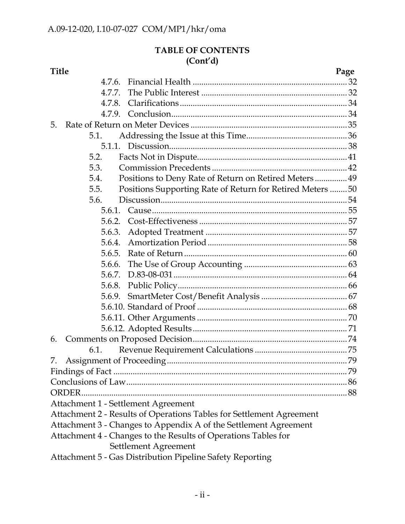### **TABLE OF CONTENTS (Cont'd)**

|    | Title                                                                |                                                            | Page |
|----|----------------------------------------------------------------------|------------------------------------------------------------|------|
|    | 4.7.6.                                                               |                                                            |      |
|    | 4.7.7.                                                               |                                                            |      |
|    | 4.7.8.                                                               |                                                            |      |
|    |                                                                      |                                                            |      |
| 5. |                                                                      |                                                            |      |
|    | 5.1.                                                                 |                                                            |      |
|    |                                                                      |                                                            |      |
|    | 5.2.                                                                 |                                                            |      |
|    | 5.3.                                                                 |                                                            |      |
|    | 5.4.                                                                 | Positions to Deny Rate of Return on Retired Meters 49      |      |
|    | 5.5.                                                                 | Positions Supporting Rate of Return for Retired Meters  50 |      |
|    | 5.6.                                                                 |                                                            |      |
|    | 5.6.1.                                                               |                                                            |      |
|    | 5.6.2.                                                               |                                                            |      |
|    | 5.6.3.                                                               |                                                            |      |
|    | 5.6.4.                                                               |                                                            |      |
|    | 5.6.5.                                                               |                                                            |      |
|    | 5.6.6.                                                               |                                                            |      |
|    | 5.6.7.                                                               |                                                            |      |
|    | 5.6.8.                                                               |                                                            |      |
|    | 5.6.9.                                                               |                                                            |      |
|    |                                                                      |                                                            |      |
|    |                                                                      |                                                            |      |
|    |                                                                      |                                                            |      |
| 6. |                                                                      |                                                            |      |
|    | 6.1.                                                                 |                                                            |      |
| 7. |                                                                      |                                                            |      |
|    |                                                                      |                                                            | 79   |
|    |                                                                      |                                                            |      |
|    | ORDER.                                                               |                                                            |      |
|    | Attachment 1 - Settlement Agreement                                  |                                                            |      |
|    | Attachment 2 - Results of Operations Tables for Settlement Agreement |                                                            |      |
|    | Attachment 3 - Changes to Appendix A of the Settlement Agreement     |                                                            |      |
|    | Attachment 4 - Changes to the Results of Operations Tables for       |                                                            |      |
|    | Settlement Agreement                                                 |                                                            |      |
|    |                                                                      |                                                            |      |

Attachment 5 - Gas Distribution Pipeline Safety Reporting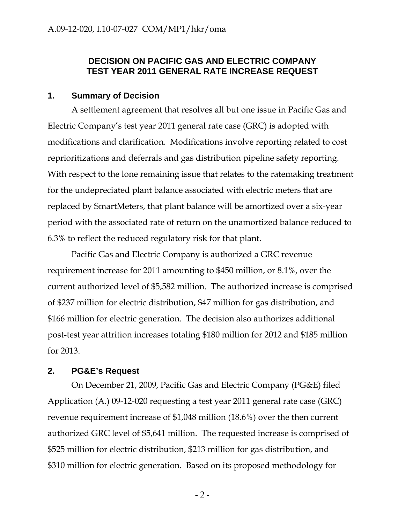### **DECISION ON PACIFIC GAS AND ELECTRIC COMPANY TEST YEAR 2011 GENERAL RATE INCREASE REQUEST**

### **1. Summary of Decision**

A settlement agreement that resolves all but one issue in Pacific Gas and Electric Company's test year 2011 general rate case (GRC) is adopted with modifications and clarification. Modifications involve reporting related to cost reprioritizations and deferrals and gas distribution pipeline safety reporting. With respect to the lone remaining issue that relates to the ratemaking treatment for the undepreciated plant balance associated with electric meters that are replaced by SmartMeters, that plant balance will be amortized over a six-year period with the associated rate of return on the unamortized balance reduced to 6.3% to reflect the reduced regulatory risk for that plant.

Pacific Gas and Electric Company is authorized a GRC revenue requirement increase for 2011 amounting to \$450 million, or 8.1%, over the current authorized level of \$5,582 million. The authorized increase is comprised of \$237 million for electric distribution, \$47 million for gas distribution, and \$166 million for electric generation. The decision also authorizes additional post-test year attrition increases totaling \$180 million for 2012 and \$185 million for 2013.

### **2. PG&E's Request**

On December 21, 2009, Pacific Gas and Electric Company (PG&E) filed Application (A.) 09-12-020 requesting a test year 2011 general rate case (GRC) revenue requirement increase of \$1,048 million (18.6%) over the then current authorized GRC level of \$5,641 million. The requested increase is comprised of \$525 million for electric distribution, \$213 million for gas distribution, and \$310 million for electric generation. Based on its proposed methodology for

 $-2-$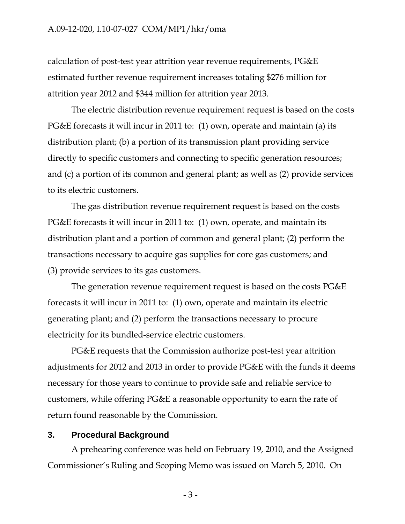#### A.09-12-020, I.10-07-027 COM/MP1/hkr/oma

calculation of post-test year attrition year revenue requirements, PG&E estimated further revenue requirement increases totaling \$276 million for attrition year 2012 and \$344 million for attrition year 2013.

The electric distribution revenue requirement request is based on the costs PG&E forecasts it will incur in 2011 to: (1) own, operate and maintain (a) its distribution plant; (b) a portion of its transmission plant providing service directly to specific customers and connecting to specific generation resources; and (c) a portion of its common and general plant; as well as (2) provide services to its electric customers.

The gas distribution revenue requirement request is based on the costs PG&E forecasts it will incur in 2011 to: (1) own, operate, and maintain its distribution plant and a portion of common and general plant; (2) perform the transactions necessary to acquire gas supplies for core gas customers; and (3) provide services to its gas customers.

The generation revenue requirement request is based on the costs PG&E forecasts it will incur in 2011 to: (1) own, operate and maintain its electric generating plant; and (2) perform the transactions necessary to procure electricity for its bundled-service electric customers.

PG&E requests that the Commission authorize post-test year attrition adjustments for 2012 and 2013 in order to provide PG&E with the funds it deems necessary for those years to continue to provide safe and reliable service to customers, while offering PG&E a reasonable opportunity to earn the rate of return found reasonable by the Commission.

#### **3. Procedural Background**

A prehearing conference was held on February 19, 2010, and the Assigned Commissioner's Ruling and Scoping Memo was issued on March 5, 2010. On

 $-3-$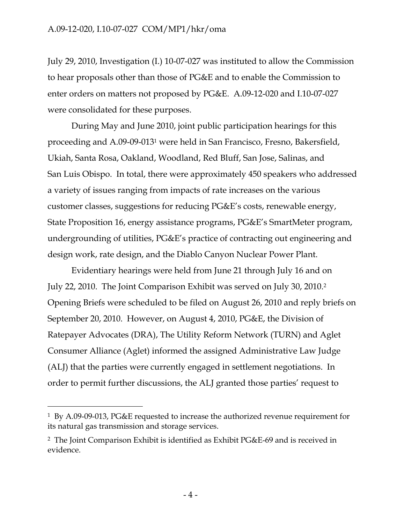July 29, 2010, Investigation (I.) 10-07-027 was instituted to allow the Commission to hear proposals other than those of PG&E and to enable the Commission to enter orders on matters not proposed by PG&E. A.09-12-020 and I.10-07-027 were consolidated for these purposes.

During May and June 2010, joint public participation hearings for this proceeding and A.09-09-0131 were held in San Francisco, Fresno, Bakersfield, Ukiah, Santa Rosa, Oakland, Woodland, Red Bluff, San Jose, Salinas, and San Luis Obispo. In total, there were approximately 450 speakers who addressed a variety of issues ranging from impacts of rate increases on the various customer classes, suggestions for reducing PG&E's costs, renewable energy, State Proposition 16, energy assistance programs, PG&E's SmartMeter program, undergrounding of utilities, PG&E's practice of contracting out engineering and design work, rate design, and the Diablo Canyon Nuclear Power Plant.

Evidentiary hearings were held from June 21 through July 16 and on July 22, 2010. The Joint Comparison Exhibit was served on July 30, 2010.2 Opening Briefs were scheduled to be filed on August 26, 2010 and reply briefs on September 20, 2010. However, on August 4, 2010, PG&E, the Division of Ratepayer Advocates (DRA), The Utility Reform Network (TURN) and Aglet Consumer Alliance (Aglet) informed the assigned Administrative Law Judge (ALJ) that the parties were currently engaged in settlement negotiations. In order to permit further discussions, the ALJ granted those parties' request to

-

<sup>1</sup> By A.09-09-013, PG&E requested to increase the authorized revenue requirement for its natural gas transmission and storage services.

<sup>2</sup> The Joint Comparison Exhibit is identified as Exhibit PG&E-69 and is received in evidence.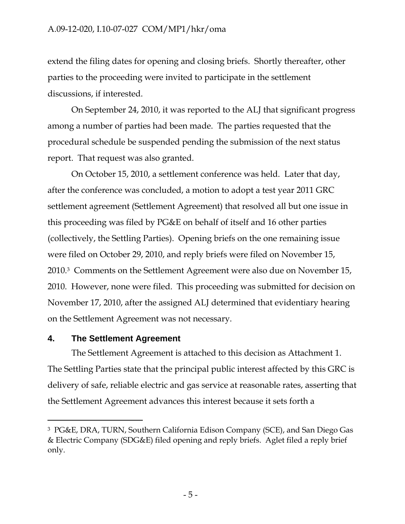### A.09-12-020, I.10-07-027 COM/MP1/hkr/oma

extend the filing dates for opening and closing briefs. Shortly thereafter, other parties to the proceeding were invited to participate in the settlement discussions, if interested.

On September 24, 2010, it was reported to the ALJ that significant progress among a number of parties had been made. The parties requested that the procedural schedule be suspended pending the submission of the next status report. That request was also granted.

On October 15, 2010, a settlement conference was held. Later that day, after the conference was concluded, a motion to adopt a test year 2011 GRC settlement agreement (Settlement Agreement) that resolved all but one issue in this proceeding was filed by PG&E on behalf of itself and 16 other parties (collectively, the Settling Parties). Opening briefs on the one remaining issue were filed on October 29, 2010, and reply briefs were filed on November 15, 2010.3 Comments on the Settlement Agreement were also due on November 15, 2010. However, none were filed. This proceeding was submitted for decision on November 17, 2010, after the assigned ALJ determined that evidentiary hearing on the Settlement Agreement was not necessary.

### **4. The Settlement Agreement**

The Settlement Agreement is attached to this decision as Attachment 1. The Settling Parties state that the principal public interest affected by this GRC is delivery of safe, reliable electric and gas service at reasonable rates, asserting that the Settlement Agreement advances this interest because it sets forth a

<sup>3</sup> PG&E, DRA, TURN, Southern California Edison Company (SCE), and San Diego Gas & Electric Company (SDG&E) filed opening and reply briefs. Aglet filed a reply brief only.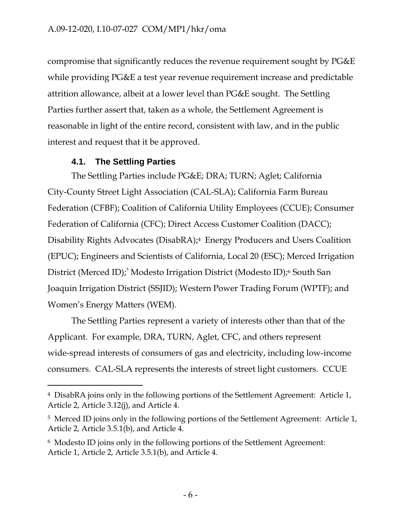compromise that significantly reduces the revenue requirement sought by PG&E while providing PG&E a test year revenue requirement increase and predictable attrition allowance, albeit at a lower level than PG&E sought. The Settling Parties further assert that, taken as a whole, the Settlement Agreement is reasonable in light of the entire record, consistent with law, and in the public interest and request that it be approved.

### **4.1. The Settling Parties**

-

The Settling Parties include PG&E; DRA; TURN; Aglet; California City-County Street Light Association (CAL-SLA); California Farm Bureau Federation (CFBF); Coalition of California Utility Employees (CCUE); Consumer Federation of California (CFC); Direct Access Customer Coalition (DACC); Disability Rights Advocates (DisabRA);4 Energy Producers and Users Coalition (EPUC); Engineers and Scientists of California, Local 20 (ESC); Merced Irrigation District (Merced ID);<sup>5</sup> Modesto Irrigation District (Modesto ID);<sup>6</sup> South San Joaquin Irrigation District (SSJID); Western Power Trading Forum (WPTF); and Women's Energy Matters (WEM).

The Settling Parties represent a variety of interests other than that of the Applicant. For example, DRA, TURN, Aglet, CFC, and others represent wide-spread interests of consumers of gas and electricity, including low-income consumers. CAL-SLA represents the interests of street light customers. CCUE

<sup>4</sup> DisabRA joins only in the following portions of the Settlement Agreement: Article 1, Article 2, Article 3.12(j), and Article 4.

<sup>&</sup>lt;sup>5</sup> Merced ID joins only in the following portions of the Settlement Agreement: Article 1, Article 2, Article 3.5.1(b), and Article 4.

<sup>6</sup> Modesto ID joins only in the following portions of the Settlement Agreement: Article 1, Article 2, Article 3.5.1(b), and Article 4.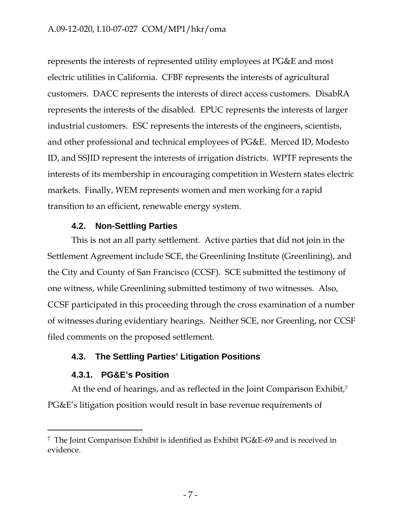represents the interests of represented utility employees at PG&E and most electric utilities in California. CFBF represents the interests of agricultural customers. DACC represents the interests of direct access customers. DisabRA represents the interests of the disabled. EPUC represents the interests of larger industrial customers. ESC represents the interests of the engineers, scientists, and other professional and technical employees of PG&E. Merced ID, Modesto ID, and SSJID represent the interests of irrigation districts. WPTF represents the interests of its membership in encouraging competition in Western states electric markets. Finally, WEM represents women and men working for a rapid transition to an efficient, renewable energy system.

### **4.2. Non-Settling Parties**

This is not an all party settlement. Active parties that did not join in the Settlement Agreement include SCE, the Greenlining Institute (Greenlining), and the City and County of San Francisco (CCSF). SCE submitted the testimony of one witness, while Greenlining submitted testimony of two witnesses. Also, CCSF participated in this proceeding through the cross examination of a number of witnesses during evidentiary hearings. Neither SCE, nor Greenling, nor CCSF filed comments on the proposed settlement.

# **4.3. The Settling Parties' Litigation Positions**

### **4.3.1. PG&E's Position**

 $\overline{a}$ 

At the end of hearings, and as reflected in the Joint Comparison Exhibit,7 PG&E's litigation position would result in base revenue requirements of

<sup>7</sup> The Joint Comparison Exhibit is identified as Exhibit PG&E-69 and is received in evidence.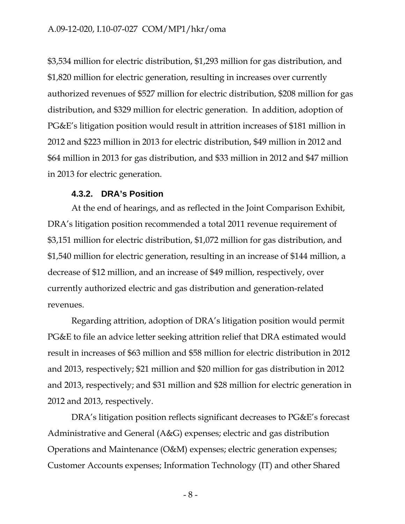\$3,534 million for electric distribution, \$1,293 million for gas distribution, and \$1,820 million for electric generation, resulting in increases over currently authorized revenues of \$527 million for electric distribution, \$208 million for gas distribution, and \$329 million for electric generation. In addition, adoption of PG&E's litigation position would result in attrition increases of \$181 million in 2012 and \$223 million in 2013 for electric distribution, \$49 million in 2012 and \$64 million in 2013 for gas distribution, and \$33 million in 2012 and \$47 million in 2013 for electric generation.

#### **4.3.2. DRA's Position**

At the end of hearings, and as reflected in the Joint Comparison Exhibit, DRA's litigation position recommended a total 2011 revenue requirement of \$3,151 million for electric distribution, \$1,072 million for gas distribution, and \$1,540 million for electric generation, resulting in an increase of \$144 million, a decrease of \$12 million, and an increase of \$49 million, respectively, over currently authorized electric and gas distribution and generation-related revenues.

Regarding attrition, adoption of DRA's litigation position would permit PG&E to file an advice letter seeking attrition relief that DRA estimated would result in increases of \$63 million and \$58 million for electric distribution in 2012 and 2013, respectively; \$21 million and \$20 million for gas distribution in 2012 and 2013, respectively; and \$31 million and \$28 million for electric generation in 2012 and 2013, respectively.

DRA's litigation position reflects significant decreases to PG&E's forecast Administrative and General (A&G) expenses; electric and gas distribution Operations and Maintenance (O&M) expenses; electric generation expenses; Customer Accounts expenses; Information Technology (IT) and other Shared

- 8 -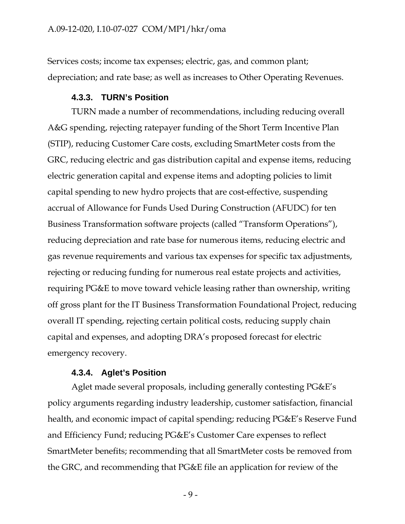Services costs; income tax expenses; electric, gas, and common plant; depreciation; and rate base; as well as increases to Other Operating Revenues.

#### **4.3.3. TURN's Position**

TURN made a number of recommendations, including reducing overall A&G spending, rejecting ratepayer funding of the Short Term Incentive Plan (STIP), reducing Customer Care costs, excluding SmartMeter costs from the GRC, reducing electric and gas distribution capital and expense items, reducing electric generation capital and expense items and adopting policies to limit capital spending to new hydro projects that are cost-effective, suspending accrual of Allowance for Funds Used During Construction (AFUDC) for ten Business Transformation software projects (called "Transform Operations"), reducing depreciation and rate base for numerous items, reducing electric and gas revenue requirements and various tax expenses for specific tax adjustments, rejecting or reducing funding for numerous real estate projects and activities, requiring PG&E to move toward vehicle leasing rather than ownership, writing off gross plant for the IT Business Transformation Foundational Project, reducing overall IT spending, rejecting certain political costs, reducing supply chain capital and expenses, and adopting DRA's proposed forecast for electric emergency recovery.

#### **4.3.4. Aglet's Position**

Aglet made several proposals, including generally contesting PG&E's policy arguments regarding industry leadership, customer satisfaction, financial health, and economic impact of capital spending; reducing PG&E's Reserve Fund and Efficiency Fund; reducing PG&E's Customer Care expenses to reflect SmartMeter benefits; recommending that all SmartMeter costs be removed from the GRC, and recommending that PG&E file an application for review of the

 $-9-$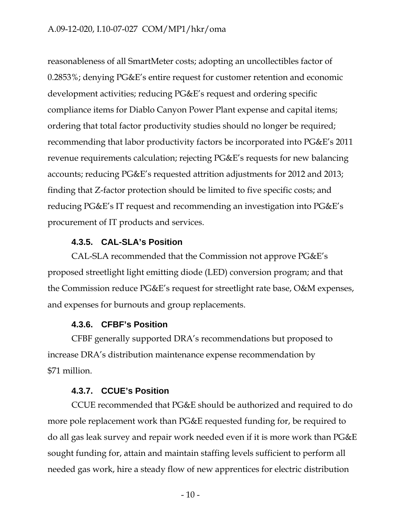reasonableness of all SmartMeter costs; adopting an uncollectibles factor of 0.2853%; denying PG&E's entire request for customer retention and economic development activities; reducing PG&E's request and ordering specific compliance items for Diablo Canyon Power Plant expense and capital items; ordering that total factor productivity studies should no longer be required; recommending that labor productivity factors be incorporated into PG&E's 2011 revenue requirements calculation; rejecting PG&E's requests for new balancing accounts; reducing PG&E's requested attrition adjustments for 2012 and 2013; finding that Z-factor protection should be limited to five specific costs; and reducing PG&E's IT request and recommending an investigation into PG&E's procurement of IT products and services.

### **4.3.5. CAL-SLA's Position**

CAL-SLA recommended that the Commission not approve PG&E's proposed streetlight light emitting diode (LED) conversion program; and that the Commission reduce PG&E's request for streetlight rate base, O&M expenses, and expenses for burnouts and group replacements.

#### **4.3.6. CFBF's Position**

CFBF generally supported DRA's recommendations but proposed to increase DRA's distribution maintenance expense recommendation by \$71 million.

#### **4.3.7. CCUE's Position**

CCUE recommended that PG&E should be authorized and required to do more pole replacement work than PG&E requested funding for, be required to do all gas leak survey and repair work needed even if it is more work than PG&E sought funding for, attain and maintain staffing levels sufficient to perform all needed gas work, hire a steady flow of new apprentices for electric distribution

- 10 -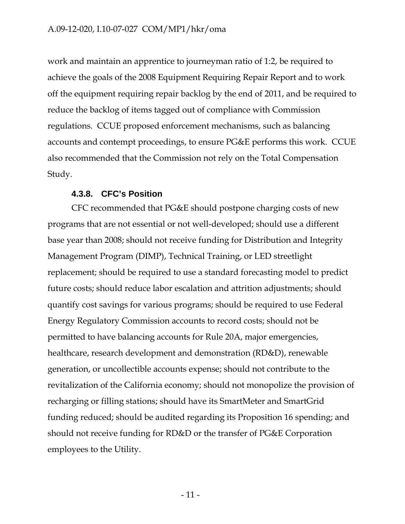work and maintain an apprentice to journeyman ratio of 1:2, be required to achieve the goals of the 2008 Equipment Requiring Repair Report and to work off the equipment requiring repair backlog by the end of 2011, and be required to reduce the backlog of items tagged out of compliance with Commission regulations. CCUE proposed enforcement mechanisms, such as balancing accounts and contempt proceedings, to ensure PG&E performs this work. CCUE also recommended that the Commission not rely on the Total Compensation Study.

### **4.3.8. CFC's Position**

CFC recommended that PG&E should postpone charging costs of new programs that are not essential or not well-developed; should use a different base year than 2008; should not receive funding for Distribution and Integrity Management Program (DIMP), Technical Training, or LED streetlight replacement; should be required to use a standard forecasting model to predict future costs; should reduce labor escalation and attrition adjustments; should quantify cost savings for various programs; should be required to use Federal Energy Regulatory Commission accounts to record costs; should not be permitted to have balancing accounts for Rule 20A, major emergencies, healthcare, research development and demonstration (RD&D), renewable generation, or uncollectible accounts expense; should not contribute to the revitalization of the California economy; should not monopolize the provision of recharging or filling stations; should have its SmartMeter and SmartGrid funding reduced; should be audited regarding its Proposition 16 spending; and should not receive funding for RD&D or the transfer of PG&E Corporation employees to the Utility.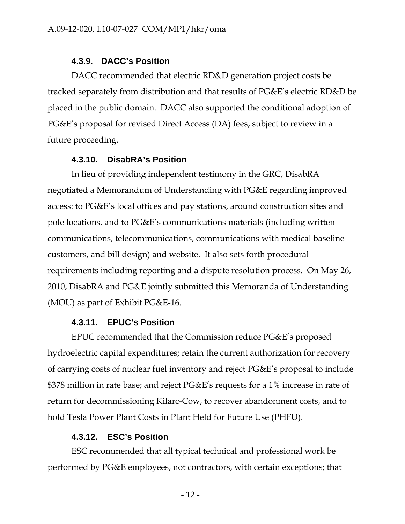#### **4.3.9. DACC's Position**

DACC recommended that electric RD&D generation project costs be tracked separately from distribution and that results of PG&E's electric RD&D be placed in the public domain. DACC also supported the conditional adoption of PG&E's proposal for revised Direct Access (DA) fees, subject to review in a future proceeding.

#### **4.3.10. DisabRA's Position**

In lieu of providing independent testimony in the GRC, DisabRA negotiated a Memorandum of Understanding with PG&E regarding improved access: to PG&E's local offices and pay stations, around construction sites and pole locations, and to PG&E's communications materials (including written communications, telecommunications, communications with medical baseline customers, and bill design) and website. It also sets forth procedural requirements including reporting and a dispute resolution process. On May 26, 2010, DisabRA and PG&E jointly submitted this Memoranda of Understanding (MOU) as part of Exhibit PG&E-16.

#### **4.3.11. EPUC's Position**

EPUC recommended that the Commission reduce PG&E's proposed hydroelectric capital expenditures; retain the current authorization for recovery of carrying costs of nuclear fuel inventory and reject PG&E's proposal to include \$378 million in rate base; and reject PG&E's requests for a 1% increase in rate of return for decommissioning Kilarc-Cow, to recover abandonment costs, and to hold Tesla Power Plant Costs in Plant Held for Future Use (PHFU).

#### **4.3.12. ESC's Position**

ESC recommended that all typical technical and professional work be performed by PG&E employees, not contractors, with certain exceptions; that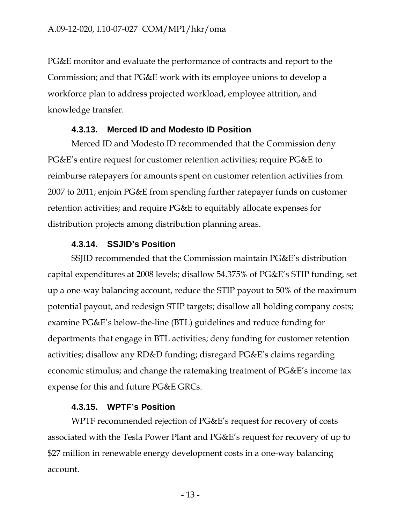PG&E monitor and evaluate the performance of contracts and report to the Commission; and that PG&E work with its employee unions to develop a workforce plan to address projected workload, employee attrition, and knowledge transfer.

#### **4.3.13. Merced ID and Modesto ID Position**

Merced ID and Modesto ID recommended that the Commission deny PG&E's entire request for customer retention activities; require PG&E to reimburse ratepayers for amounts spent on customer retention activities from 2007 to 2011; enjoin PG&E from spending further ratepayer funds on customer retention activities; and require PG&E to equitably allocate expenses for distribution projects among distribution planning areas.

#### **4.3.14. SSJID's Position**

SSJID recommended that the Commission maintain PG&E's distribution capital expenditures at 2008 levels; disallow 54.375% of PG&E's STIP funding, set up a one-way balancing account, reduce the STIP payout to 50% of the maximum potential payout, and redesign STIP targets; disallow all holding company costs; examine PG&E's below-the-line (BTL) guidelines and reduce funding for departments that engage in BTL activities; deny funding for customer retention activities; disallow any RD&D funding; disregard PG&E's claims regarding economic stimulus; and change the ratemaking treatment of PG&E's income tax expense for this and future PG&E GRCs.

#### **4.3.15. WPTF's Position**

WPTF recommended rejection of PG&E's request for recovery of costs associated with the Tesla Power Plant and PG&E's request for recovery of up to \$27 million in renewable energy development costs in a one-way balancing account.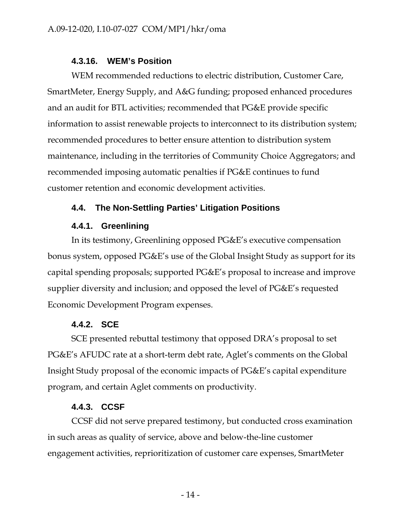#### **4.3.16. WEM's Position**

WEM recommended reductions to electric distribution, Customer Care, SmartMeter, Energy Supply, and A&G funding; proposed enhanced procedures and an audit for BTL activities; recommended that PG&E provide specific information to assist renewable projects to interconnect to its distribution system; recommended procedures to better ensure attention to distribution system maintenance, including in the territories of Community Choice Aggregators; and recommended imposing automatic penalties if PG&E continues to fund customer retention and economic development activities.

### **4.4. The Non-Settling Parties' Litigation Positions**

#### **4.4.1. Greenlining**

In its testimony, Greenlining opposed PG&E's executive compensation bonus system, opposed PG&E's use of the Global Insight Study as support for its capital spending proposals; supported PG&E's proposal to increase and improve supplier diversity and inclusion; and opposed the level of PG&E's requested Economic Development Program expenses.

#### **4.4.2. SCE**

SCE presented rebuttal testimony that opposed DRA's proposal to set PG&E's AFUDC rate at a short-term debt rate, Aglet's comments on the Global Insight Study proposal of the economic impacts of PG&E's capital expenditure program, and certain Aglet comments on productivity.

#### **4.4.3. CCSF**

CCSF did not serve prepared testimony, but conducted cross examination in such areas as quality of service, above and below-the-line customer engagement activities, reprioritization of customer care expenses, SmartMeter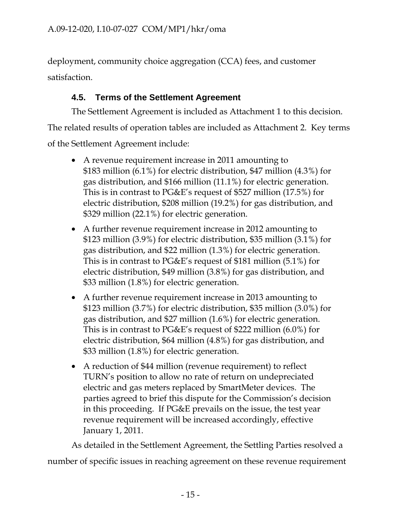deployment, community choice aggregation (CCA) fees, and customer satisfaction.

# **4.5. Terms of the Settlement Agreement**

The Settlement Agreement is included as Attachment 1 to this decision. The related results of operation tables are included as Attachment 2. Key terms of the Settlement Agreement include:

- A revenue requirement increase in 2011 amounting to \$183 million (6.1%) for electric distribution, \$47 million (4.3%) for gas distribution, and \$166 million (11.1%) for electric generation. This is in contrast to PG&E's request of \$527 million (17.5%) for electric distribution, \$208 million (19.2%) for gas distribution, and \$329 million (22.1%) for electric generation.
- A further revenue requirement increase in 2012 amounting to \$123 million (3.9%) for electric distribution, \$35 million (3.1%) for gas distribution, and \$22 million (1.3%) for electric generation. This is in contrast to PG&E's request of \$181 million (5.1%) for electric distribution, \$49 million (3.8%) for gas distribution, and \$33 million (1.8%) for electric generation.
- A further revenue requirement increase in 2013 amounting to \$123 million (3.7%) for electric distribution, \$35 million (3.0%) for gas distribution, and \$27 million (1.6%) for electric generation. This is in contrast to PG&E's request of \$222 million (6.0%) for electric distribution, \$64 million (4.8%) for gas distribution, and \$33 million (1.8%) for electric generation.
- A reduction of \$44 million (revenue requirement) to reflect TURN's position to allow no rate of return on undepreciated electric and gas meters replaced by SmartMeter devices. The parties agreed to brief this dispute for the Commission's decision in this proceeding. If PG&E prevails on the issue, the test year revenue requirement will be increased accordingly, effective January 1, 2011.

As detailed in the Settlement Agreement, the Settling Parties resolved a number of specific issues in reaching agreement on these revenue requirement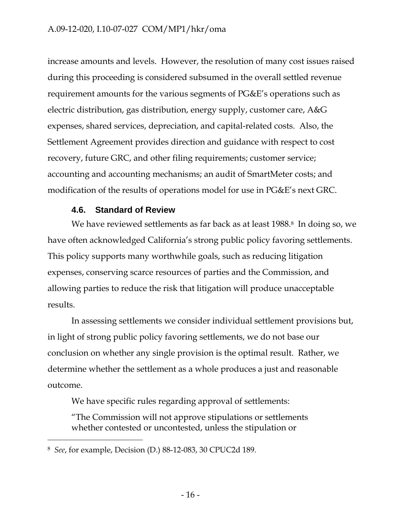increase amounts and levels. However, the resolution of many cost issues raised during this proceeding is considered subsumed in the overall settled revenue requirement amounts for the various segments of PG&E's operations such as electric distribution, gas distribution, energy supply, customer care, A&G expenses, shared services, depreciation, and capital-related costs. Also, the Settlement Agreement provides direction and guidance with respect to cost recovery, future GRC, and other filing requirements; customer service; accounting and accounting mechanisms; an audit of SmartMeter costs; and modification of the results of operations model for use in PG&E's next GRC.

### **4.6. Standard of Review**

We have reviewed settlements as far back as at least  $1988.8$  In doing so, we have often acknowledged California's strong public policy favoring settlements. This policy supports many worthwhile goals, such as reducing litigation expenses, conserving scarce resources of parties and the Commission, and allowing parties to reduce the risk that litigation will produce unacceptable results.

In assessing settlements we consider individual settlement provisions but, in light of strong public policy favoring settlements, we do not base our conclusion on whether any single provision is the optimal result. Rather, we determine whether the settlement as a whole produces a just and reasonable outcome.

We have specific rules regarding approval of settlements:

"The Commission will not approve stipulations or settlements whether contested or uncontested, unless the stipulation or

 $\overline{a}$ 

<sup>8</sup> *See*, for example, Decision (D.) 88-12-083, 30 CPUC2d 189.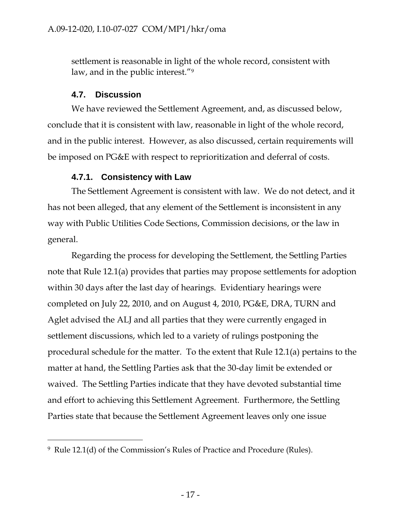settlement is reasonable in light of the whole record, consistent with law, and in the public interest."9

### **4.7. Discussion**

-

We have reviewed the Settlement Agreement, and, as discussed below, conclude that it is consistent with law, reasonable in light of the whole record, and in the public interest. However, as also discussed, certain requirements will be imposed on PG&E with respect to reprioritization and deferral of costs.

### **4.7.1. Consistency with Law**

The Settlement Agreement is consistent with law. We do not detect, and it has not been alleged, that any element of the Settlement is inconsistent in any way with Public Utilities Code Sections, Commission decisions, or the law in general.

Regarding the process for developing the Settlement, the Settling Parties note that Rule 12.1(a) provides that parties may propose settlements for adoption within 30 days after the last day of hearings. Evidentiary hearings were completed on July 22, 2010, and on August 4, 2010, PG&E, DRA, TURN and Aglet advised the ALJ and all parties that they were currently engaged in settlement discussions, which led to a variety of rulings postponing the procedural schedule for the matter. To the extent that Rule 12.1(a) pertains to the matter at hand, the Settling Parties ask that the 30-day limit be extended or waived. The Settling Parties indicate that they have devoted substantial time and effort to achieving this Settlement Agreement. Furthermore, the Settling Parties state that because the Settlement Agreement leaves only one issue

<sup>9</sup> Rule 12.1(d) of the Commission's Rules of Practice and Procedure (Rules).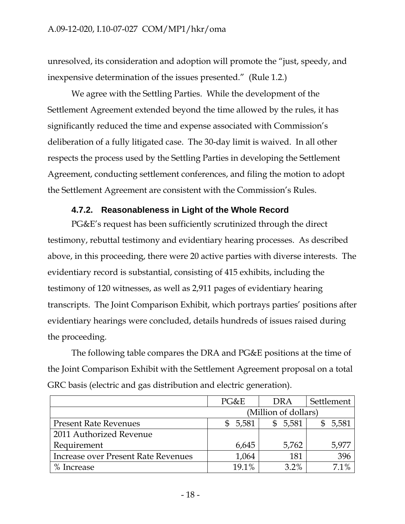unresolved, its consideration and adoption will promote the "just, speedy, and inexpensive determination of the issues presented." (Rule 1.2.)

We agree with the Settling Parties. While the development of the Settlement Agreement extended beyond the time allowed by the rules, it has significantly reduced the time and expense associated with Commission's deliberation of a fully litigated case. The 30-day limit is waived. In all other respects the process used by the Settling Parties in developing the Settlement Agreement, conducting settlement conferences, and filing the motion to adopt the Settlement Agreement are consistent with the Commission's Rules.

### **4.7.2. Reasonableness in Light of the Whole Record**

PG&E's request has been sufficiently scrutinized through the direct testimony, rebuttal testimony and evidentiary hearing processes. As described above, in this proceeding, there were 20 active parties with diverse interests. The evidentiary record is substantial, consisting of 415 exhibits, including the testimony of 120 witnesses, as well as 2,911 pages of evidentiary hearing transcripts. The Joint Comparison Exhibit, which portrays parties' positions after evidentiary hearings were concluded, details hundreds of issues raised during the proceeding.

The following table compares the DRA and PG&E positions at the time of the Joint Comparison Exhibit with the Settlement Agreement proposal on a total GRC basis (electric and gas distribution and electric generation).

|                                     | PG&E                 | <b>DRA</b> | Settlement |
|-------------------------------------|----------------------|------------|------------|
|                                     | (Million of dollars) |            |            |
| <b>Present Rate Revenues</b>        | 5,581                | \$5,581    | 5,581      |
| 2011 Authorized Revenue             |                      |            |            |
| Requirement                         | 6,645                | 5,762      | 5,977      |
| Increase over Present Rate Revenues | 1,064                | 181        | 396        |
| Increase                            | 19.1%                | $3.2\%$    | 71%        |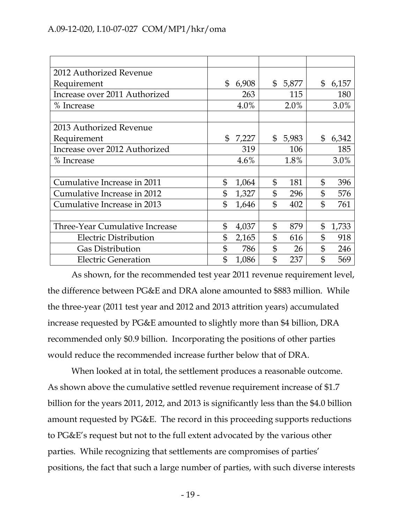# A.09-12-020, I.10-07-027 COM/MP1/hkr/oma

| 2012 Authorized Revenue               |                         |                       |                         |
|---------------------------------------|-------------------------|-----------------------|-------------------------|
| Requirement                           | $\mathfrak{L}$<br>6,908 | \$5,877               | \$<br>6,157             |
| Increase over 2011 Authorized         | 263                     | 115                   | 180                     |
| % Increase                            | 4.0%                    | 2.0%                  | 3.0%                    |
|                                       |                         |                       |                         |
| 2013 Authorized Revenue               |                         |                       |                         |
| Requirement                           | $\mathfrak{L}$<br>7,227 | \$5,983               | \$<br>6,342             |
| Increase over 2012 Authorized         | 319                     | 106                   | 185                     |
| % Increase                            | 4.6%                    | 1.8%                  | 3.0%                    |
|                                       |                         |                       |                         |
| Cumulative Increase in 2011           | $\mathfrak{S}$<br>1,064 | $\mathfrak{S}$<br>181 | \$<br>396               |
| Cumulative Increase in 2012           | \$<br>1,327             | \$<br>296             | \$<br>576               |
| Cumulative Increase in 2013           | $\mathbb{S}$<br>1,646   | $\mathfrak{L}$<br>402 | \$<br>761               |
|                                       |                         |                       |                         |
| <b>Three-Year Cumulative Increase</b> | \$<br>4,037             | \$<br>879             | $\mathfrak{S}$<br>1,733 |
| <b>Electric Distribution</b>          | \$<br>2,165             | \$<br>616             | \$<br>918               |
| <b>Gas Distribution</b>               | $\mathfrak{S}$<br>786   | \$<br>26              | \$<br>246               |
| <b>Electric Generation</b>            | \$<br>1,086             | $\mathfrak{L}$<br>237 | \$<br>569               |

As shown, for the recommended test year 2011 revenue requirement level, the difference between PG&E and DRA alone amounted to \$883 million. While the three-year (2011 test year and 2012 and 2013 attrition years) accumulated increase requested by PG&E amounted to slightly more than \$4 billion, DRA recommended only \$0.9 billion. Incorporating the positions of other parties would reduce the recommended increase further below that of DRA.

When looked at in total, the settlement produces a reasonable outcome. As shown above the cumulative settled revenue requirement increase of \$1.7 billion for the years 2011, 2012, and 2013 is significantly less than the \$4.0 billion amount requested by PG&E. The record in this proceeding supports reductions to PG&E's request but not to the full extent advocated by the various other parties. While recognizing that settlements are compromises of parties' positions, the fact that such a large number of parties, with such diverse interests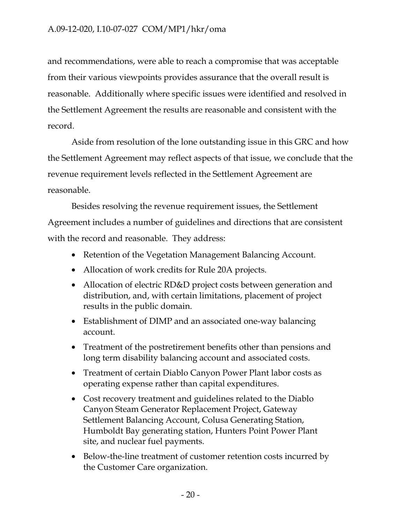and recommendations, were able to reach a compromise that was acceptable from their various viewpoints provides assurance that the overall result is reasonable. Additionally where specific issues were identified and resolved in the Settlement Agreement the results are reasonable and consistent with the record.

Aside from resolution of the lone outstanding issue in this GRC and how the Settlement Agreement may reflect aspects of that issue, we conclude that the revenue requirement levels reflected in the Settlement Agreement are reasonable.

Besides resolving the revenue requirement issues, the Settlement Agreement includes a number of guidelines and directions that are consistent with the record and reasonable. They address:

- Retention of the Vegetation Management Balancing Account.
- Allocation of work credits for Rule 20A projects.
- Allocation of electric RD&D project costs between generation and distribution, and, with certain limitations, placement of project results in the public domain.
- Establishment of DIMP and an associated one-way balancing account.
- Treatment of the postretirement benefits other than pensions and long term disability balancing account and associated costs.
- Treatment of certain Diablo Canyon Power Plant labor costs as operating expense rather than capital expenditures.
- Cost recovery treatment and guidelines related to the Diablo Canyon Steam Generator Replacement Project, Gateway Settlement Balancing Account, Colusa Generating Station, Humboldt Bay generating station, Hunters Point Power Plant site, and nuclear fuel payments.
- Below-the-line treatment of customer retention costs incurred by the Customer Care organization.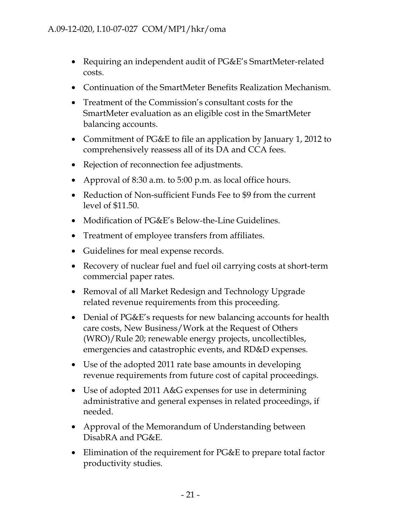- Requiring an independent audit of PG&E's SmartMeter-related costs.
- Continuation of the SmartMeter Benefits Realization Mechanism.
- Treatment of the Commission's consultant costs for the SmartMeter evaluation as an eligible cost in the SmartMeter balancing accounts.
- Commitment of PG&E to file an application by January 1, 2012 to comprehensively reassess all of its DA and CCA fees.
- Rejection of reconnection fee adjustments.
- Approval of 8:30 a.m. to 5:00 p.m. as local office hours.
- Reduction of Non-sufficient Funds Fee to \$9 from the current level of \$11.50.
- Modification of PG&E's Below-the-Line Guidelines.
- Treatment of employee transfers from affiliates.
- Guidelines for meal expense records.
- Recovery of nuclear fuel and fuel oil carrying costs at short-term commercial paper rates.
- Removal of all Market Redesign and Technology Upgrade related revenue requirements from this proceeding.
- Denial of PG&E's requests for new balancing accounts for health care costs, New Business/Work at the Request of Others (WRO)/Rule 20; renewable energy projects, uncollectibles, emergencies and catastrophic events, and RD&D expenses.
- Use of the adopted 2011 rate base amounts in developing revenue requirements from future cost of capital proceedings.
- Use of adopted 2011 A&G expenses for use in determining administrative and general expenses in related proceedings, if needed.
- Approval of the Memorandum of Understanding between DisabRA and PG&E.
- Elimination of the requirement for PG&E to prepare total factor productivity studies.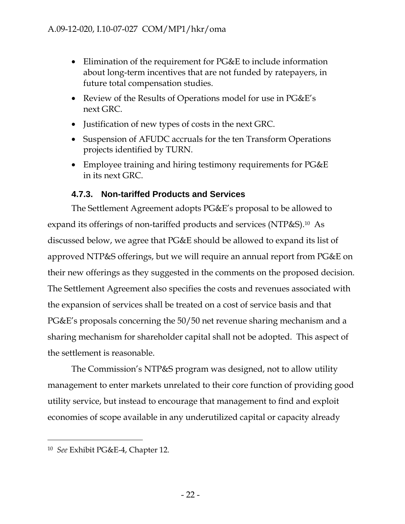- Elimination of the requirement for PG&E to include information about long-term incentives that are not funded by ratepayers, in future total compensation studies.
- Review of the Results of Operations model for use in PG&E's next GRC.
- Justification of new types of costs in the next GRC.
- Suspension of AFUDC accruals for the ten Transform Operations projects identified by TURN.
- Employee training and hiring testimony requirements for PG&E in its next GRC.

# **4.7.3. Non-tariffed Products and Services**

The Settlement Agreement adopts PG&E's proposal to be allowed to expand its offerings of non-tariffed products and services (NTP&S).10 As discussed below, we agree that PG&E should be allowed to expand its list of approved NTP&S offerings, but we will require an annual report from PG&E on their new offerings as they suggested in the comments on the proposed decision. The Settlement Agreement also specifies the costs and revenues associated with the expansion of services shall be treated on a cost of service basis and that PG&E's proposals concerning the 50/50 net revenue sharing mechanism and a sharing mechanism for shareholder capital shall not be adopted. This aspect of the settlement is reasonable.

The Commission's NTP&S program was designed, not to allow utility management to enter markets unrelated to their core function of providing good utility service, but instead to encourage that management to find and exploit economies of scope available in any underutilized capital or capacity already

 $\overline{a}$ 

<sup>10</sup> *See* Exhibit PG&E-4, Chapter 12.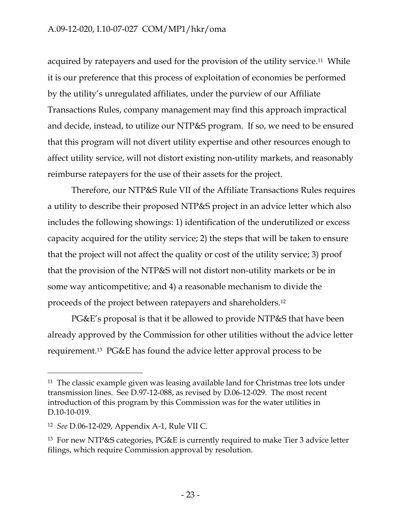acquired by ratepayers and used for the provision of the utility service.<sup>11</sup> While it is our preference that this process of exploitation of economies be performed by the utility's unregulated affiliates, under the purview of our Affiliate Transactions Rules, company management may find this approach impractical and decide, instead, to utilize our NTP&S program. If so, we need to be ensured that this program will not divert utility expertise and other resources enough to affect utility service, will not distort existing non-utility markets, and reasonably reimburse ratepayers for the use of their assets for the project.

Therefore, our NTP&S Rule VII of the Affiliate Transactions Rules requires a utility to describe their proposed NTP&S project in an advice letter which also includes the following showings: 1) identification of the underutilized or excess capacity acquired for the utility service; 2) the steps that will be taken to ensure that the project will not affect the quality or cost of the utility service; 3) proof that the provision of the NTP&S will not distort non-utility markets or be in some way anticompetitive; and 4) a reasonable mechanism to divide the proceeds of the project between ratepayers and shareholders.12

PG&E's proposal is that it be allowed to provide NTP&S that have been already approved by the Commission for other utilities without the advice letter requirement.13 PG&E has found the advice letter approval process to be

 $\overline{a}$ 

<sup>&</sup>lt;sup>11</sup> The classic example given was leasing available land for Christmas tree lots under transmission lines. See D.97-12-088, as revised by D.06-12-029. The most recent introduction of this program by this Commission was for the water utilities in D.10-10-019.

<sup>12</sup> *See* D.06-12-029, Appendix A-1, Rule VII C.

<sup>13</sup> For new NTP&S categories, PG&E is currently required to make Tier 3 advice letter filings, which require Commission approval by resolution.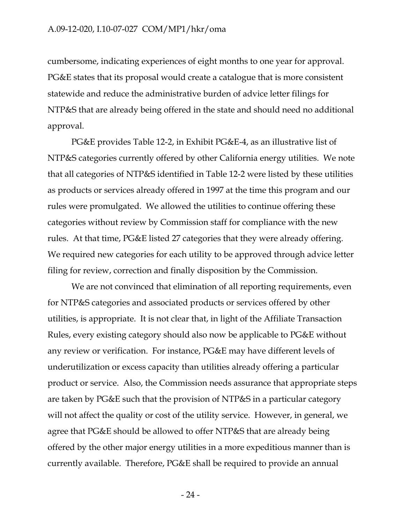cumbersome, indicating experiences of eight months to one year for approval. PG&E states that its proposal would create a catalogue that is more consistent statewide and reduce the administrative burden of advice letter filings for NTP&S that are already being offered in the state and should need no additional approval.

PG&E provides Table 12-2, in Exhibit PG&E-4, as an illustrative list of NTP&S categories currently offered by other California energy utilities. We note that all categories of NTP&S identified in Table 12-2 were listed by these utilities as products or services already offered in 1997 at the time this program and our rules were promulgated. We allowed the utilities to continue offering these categories without review by Commission staff for compliance with the new rules. At that time, PG&E listed 27 categories that they were already offering. We required new categories for each utility to be approved through advice letter filing for review, correction and finally disposition by the Commission.

We are not convinced that elimination of all reporting requirements, even for NTP&S categories and associated products or services offered by other utilities, is appropriate. It is not clear that, in light of the Affiliate Transaction Rules, every existing category should also now be applicable to PG&E without any review or verification. For instance, PG&E may have different levels of underutilization or excess capacity than utilities already offering a particular product or service. Also, the Commission needs assurance that appropriate steps are taken by PG&E such that the provision of NTP&S in a particular category will not affect the quality or cost of the utility service. However, in general, we agree that PG&E should be allowed to offer NTP&S that are already being offered by the other major energy utilities in a more expeditious manner than is currently available. Therefore, PG&E shall be required to provide an annual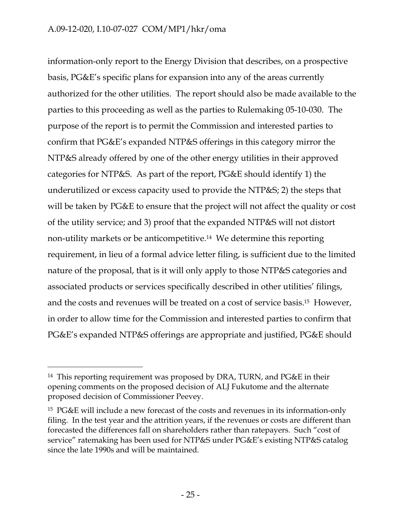information-only report to the Energy Division that describes, on a prospective basis, PG&E's specific plans for expansion into any of the areas currently authorized for the other utilities. The report should also be made available to the parties to this proceeding as well as the parties to Rulemaking 05-10-030. The purpose of the report is to permit the Commission and interested parties to confirm that PG&E's expanded NTP&S offerings in this category mirror the NTP&S already offered by one of the other energy utilities in their approved categories for NTP&S. As part of the report, PG&E should identify 1) the underutilized or excess capacity used to provide the NTP&S; 2) the steps that will be taken by PG&E to ensure that the project will not affect the quality or cost of the utility service; and 3) proof that the expanded NTP&S will not distort non-utility markets or be anticompetitive.14 We determine this reporting requirement, in lieu of a formal advice letter filing, is sufficient due to the limited nature of the proposal, that is it will only apply to those NTP&S categories and associated products or services specifically described in other utilities' filings, and the costs and revenues will be treated on a cost of service basis.15 However, in order to allow time for the Commission and interested parties to confirm that PG&E's expanded NTP&S offerings are appropriate and justified, PG&E should

-

<sup>14</sup> This reporting requirement was proposed by DRA, TURN, and PG&E in their opening comments on the proposed decision of ALJ Fukutome and the alternate proposed decision of Commissioner Peevey.

<sup>15</sup> PG&E will include a new forecast of the costs and revenues in its information-only filing. In the test year and the attrition years, if the revenues or costs are different than forecasted the differences fall on shareholders rather than ratepayers. Such "cost of service" ratemaking has been used for NTP&S under PG&E's existing NTP&S catalog since the late 1990s and will be maintained.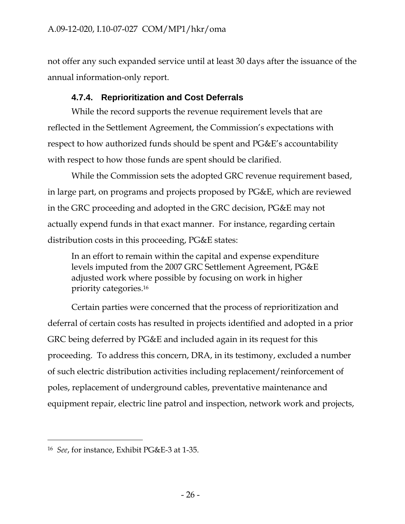not offer any such expanded service until at least 30 days after the issuance of the annual information-only report.

# **4.7.4. Reprioritization and Cost Deferrals**

While the record supports the revenue requirement levels that are reflected in the Settlement Agreement, the Commission's expectations with respect to how authorized funds should be spent and PG&E's accountability with respect to how those funds are spent should be clarified.

While the Commission sets the adopted GRC revenue requirement based, in large part, on programs and projects proposed by PG&E, which are reviewed in the GRC proceeding and adopted in the GRC decision, PG&E may not actually expend funds in that exact manner. For instance, regarding certain distribution costs in this proceeding, PG&E states:

In an effort to remain within the capital and expense expenditure levels imputed from the 2007 GRC Settlement Agreement, PG&E adjusted work where possible by focusing on work in higher priority categories.16

Certain parties were concerned that the process of reprioritization and deferral of certain costs has resulted in projects identified and adopted in a prior GRC being deferred by PG&E and included again in its request for this proceeding. To address this concern, DRA, in its testimony, excluded a number of such electric distribution activities including replacement/reinforcement of poles, replacement of underground cables, preventative maintenance and equipment repair, electric line patrol and inspection, network work and projects,

 $\overline{a}$ 

<sup>16</sup> *See*, for instance, Exhibit PG&E-3 at 1-35.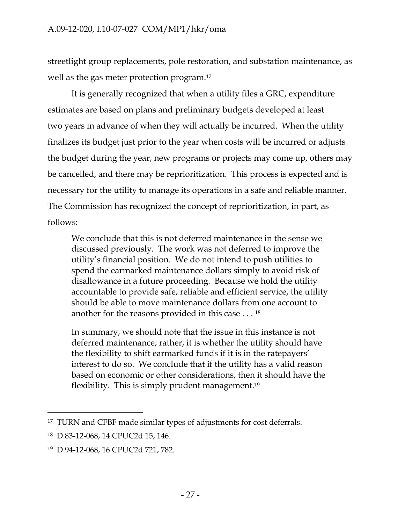streetlight group replacements, pole restoration, and substation maintenance, as well as the gas meter protection program.<sup>17</sup>

It is generally recognized that when a utility files a GRC, expenditure estimates are based on plans and preliminary budgets developed at least two years in advance of when they will actually be incurred. When the utility finalizes its budget just prior to the year when costs will be incurred or adjusts the budget during the year, new programs or projects may come up, others may be cancelled, and there may be reprioritization. This process is expected and is necessary for the utility to manage its operations in a safe and reliable manner. The Commission has recognized the concept of reprioritization, in part, as follows:

We conclude that this is not deferred maintenance in the sense we discussed previously. The work was not deferred to improve the utility's financial position. We do not intend to push utilities to spend the earmarked maintenance dollars simply to avoid risk of disallowance in a future proceeding. Because we hold the utility accountable to provide safe, reliable and efficient service, the utility should be able to move maintenance dollars from one account to another for the reasons provided in this case . . . 18

In summary, we should note that the issue in this instance is not deferred maintenance; rather, it is whether the utility should have the flexibility to shift earmarked funds if it is in the ratepayers' interest to do so. We conclude that if the utility has a valid reason based on economic or other considerations, then it should have the flexibility. This is simply prudent management.19

<sup>17</sup> TURN and CFBF made similar types of adjustments for cost deferrals.

<sup>18</sup> D.83-12-068, 14 CPUC2d 15, 146.

<sup>19</sup> D.94-12-068, 16 CPUC2d 721, 782.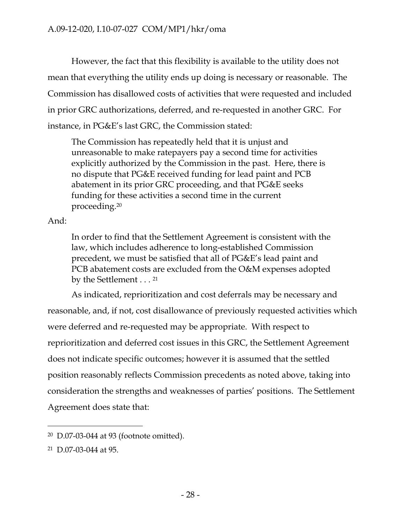However, the fact that this flexibility is available to the utility does not mean that everything the utility ends up doing is necessary or reasonable. The Commission has disallowed costs of activities that were requested and included in prior GRC authorizations, deferred, and re-requested in another GRC. For instance, in PG&E's last GRC, the Commission stated:

The Commission has repeatedly held that it is unjust and unreasonable to make ratepayers pay a second time for activities explicitly authorized by the Commission in the past. Here, there is no dispute that PG&E received funding for lead paint and PCB abatement in its prior GRC proceeding, and that PG&E seeks funding for these activities a second time in the current proceeding.20

And:

In order to find that the Settlement Agreement is consistent with the law, which includes adherence to long-established Commission precedent, we must be satisfied that all of PG&E's lead paint and PCB abatement costs are excluded from the O&M expenses adopted by the Settlement . . . <sup>21</sup>

As indicated, reprioritization and cost deferrals may be necessary and reasonable, and, if not, cost disallowance of previously requested activities which were deferred and re-requested may be appropriate. With respect to reprioritization and deferred cost issues in this GRC, the Settlement Agreement does not indicate specific outcomes; however it is assumed that the settled position reasonably reflects Commission precedents as noted above, taking into consideration the strengths and weaknesses of parties' positions. The Settlement Agreement does state that:

-

<sup>20</sup> D.07-03-044 at 93 (footnote omitted).

<sup>21</sup> D.07-03-044 at 95.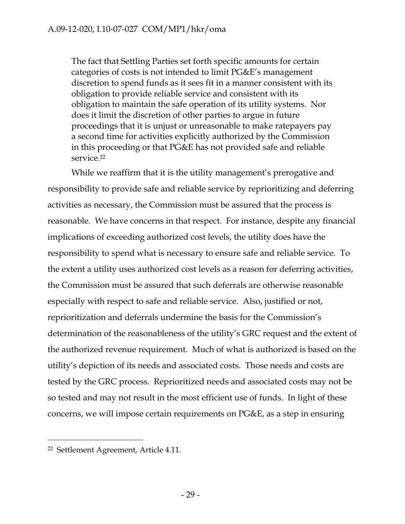The fact that Settling Parties set forth specific amounts for certain categories of costs is not intended to limit PG&E's management discretion to spend funds as it sees fit in a manner consistent with its obligation to provide reliable service and consistent with its obligation to maintain the safe operation of its utility systems. Nor does it limit the discretion of other parties to argue in future proceedings that it is unjust or unreasonable to make ratepayers pay a second time for activities explicitly authorized by the Commission in this proceeding or that PG&E has not provided safe and reliable service.<sup>22</sup>

While we reaffirm that it is the utility management's prerogative and responsibility to provide safe and reliable service by reprioritizing and deferring activities as necessary, the Commission must be assured that the process is reasonable. We have concerns in that respect. For instance, despite any financial implications of exceeding authorized cost levels, the utility does have the responsibility to spend what is necessary to ensure safe and reliable service. To the extent a utility uses authorized cost levels as a reason for deferring activities, the Commission must be assured that such deferrals are otherwise reasonable especially with respect to safe and reliable service. Also, justified or not, reprioritization and deferrals undermine the basis for the Commission's determination of the reasonableness of the utility's GRC request and the extent of the authorized revenue requirement. Much of what is authorized is based on the utility's depiction of its needs and associated costs. Those needs and costs are tested by the GRC process. Reprioritized needs and associated costs may not be so tested and may not result in the most efficient use of funds. In light of these concerns, we will impose certain requirements on PG&E, as a step in ensuring

-

<sup>22</sup> Settlement Agreement, Article 4.11.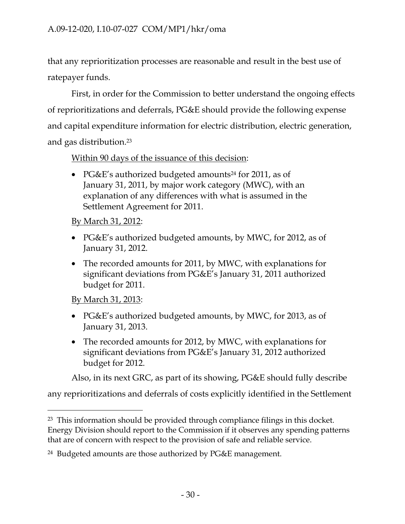that any reprioritization processes are reasonable and result in the best use of ratepayer funds.

First, in order for the Commission to better understand the ongoing effects of reprioritizations and deferrals, PG&E should provide the following expense and capital expenditure information for electric distribution, electric generation, and gas distribution.23

Within 90 days of the issuance of this decision:

• PG&E's authorized budgeted amounts<sup>24</sup> for 2011, as of January 31, 2011, by major work category (MWC), with an explanation of any differences with what is assumed in the Settlement Agreement for 2011.

By March 31, 2012:

- PG&E's authorized budgeted amounts, by MWC, for 2012, as of January 31, 2012.
- The recorded amounts for 2011, by MWC, with explanations for significant deviations from PG&E's January 31, 2011 authorized budget for 2011.

By March 31, 2013:

-

- PG&E's authorized budgeted amounts, by MWC, for 2013, as of January 31, 2013.
- The recorded amounts for 2012, by MWC, with explanations for significant deviations from PG&E's January 31, 2012 authorized budget for 2012.

Also, in its next GRC, as part of its showing, PG&E should fully describe

any reprioritizations and deferrals of costs explicitly identified in the Settlement

<sup>&</sup>lt;sup>23</sup> This information should be provided through compliance filings in this docket. Energy Division should report to the Commission if it observes any spending patterns that are of concern with respect to the provision of safe and reliable service.

<sup>24</sup> Budgeted amounts are those authorized by PG&E management.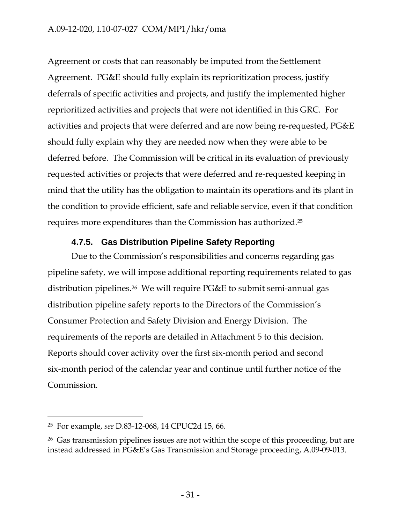Agreement or costs that can reasonably be imputed from the Settlement Agreement. PG&E should fully explain its reprioritization process, justify deferrals of specific activities and projects, and justify the implemented higher reprioritized activities and projects that were not identified in this GRC. For activities and projects that were deferred and are now being re-requested, PG&E should fully explain why they are needed now when they were able to be deferred before. The Commission will be critical in its evaluation of previously requested activities or projects that were deferred and re-requested keeping in mind that the utility has the obligation to maintain its operations and its plant in the condition to provide efficient, safe and reliable service, even if that condition requires more expenditures than the Commission has authorized.25

### **4.7.5. Gas Distribution Pipeline Safety Reporting**

Due to the Commission's responsibilities and concerns regarding gas pipeline safety, we will impose additional reporting requirements related to gas distribution pipelines.26 We will require PG&E to submit semi-annual gas distribution pipeline safety reports to the Directors of the Commission's Consumer Protection and Safety Division and Energy Division. The requirements of the reports are detailed in Attachment 5 to this decision. Reports should cover activity over the first six-month period and second six-month period of the calendar year and continue until further notice of the Commission.

-

<sup>25</sup> For example, *see* D.83-12-068, 14 CPUC2d 15, 66.

<sup>&</sup>lt;sup>26</sup> Gas transmission pipelines issues are not within the scope of this proceeding, but are instead addressed in PG&E's Gas Transmission and Storage proceeding, A.09-09-013.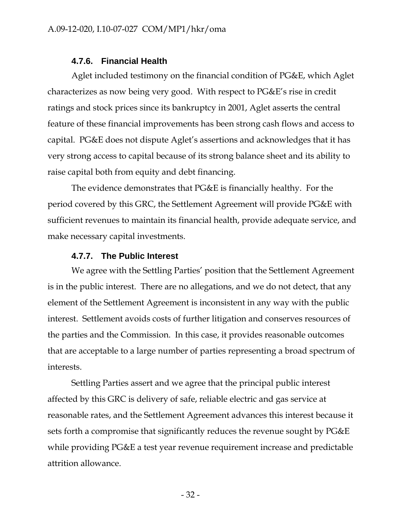#### **4.7.6. Financial Health**

Aglet included testimony on the financial condition of PG&E, which Aglet characterizes as now being very good. With respect to PG&E's rise in credit ratings and stock prices since its bankruptcy in 2001, Aglet asserts the central feature of these financial improvements has been strong cash flows and access to capital. PG&E does not dispute Aglet's assertions and acknowledges that it has very strong access to capital because of its strong balance sheet and its ability to raise capital both from equity and debt financing.

The evidence demonstrates that PG&E is financially healthy. For the period covered by this GRC, the Settlement Agreement will provide PG&E with sufficient revenues to maintain its financial health, provide adequate service, and make necessary capital investments.

#### **4.7.7. The Public Interest**

We agree with the Settling Parties' position that the Settlement Agreement is in the public interest. There are no allegations, and we do not detect, that any element of the Settlement Agreement is inconsistent in any way with the public interest. Settlement avoids costs of further litigation and conserves resources of the parties and the Commission. In this case, it provides reasonable outcomes that are acceptable to a large number of parties representing a broad spectrum of interests.

Settling Parties assert and we agree that the principal public interest affected by this GRC is delivery of safe, reliable electric and gas service at reasonable rates, and the Settlement Agreement advances this interest because it sets forth a compromise that significantly reduces the revenue sought by PG&E while providing PG&E a test year revenue requirement increase and predictable attrition allowance.

- 32 -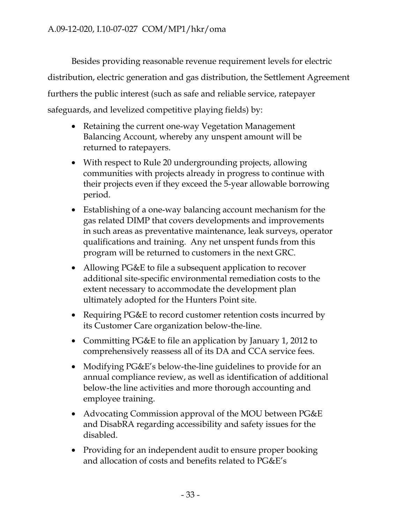Besides providing reasonable revenue requirement levels for electric distribution, electric generation and gas distribution, the Settlement Agreement furthers the public interest (such as safe and reliable service, ratepayer safeguards, and levelized competitive playing fields) by:

- Retaining the current one-way Vegetation Management Balancing Account, whereby any unspent amount will be returned to ratepayers.
- With respect to Rule 20 undergrounding projects, allowing communities with projects already in progress to continue with their projects even if they exceed the 5-year allowable borrowing period.
- Establishing of a one-way balancing account mechanism for the gas related DIMP that covers developments and improvements in such areas as preventative maintenance, leak surveys, operator qualifications and training. Any net unspent funds from this program will be returned to customers in the next GRC.
- Allowing PG&E to file a subsequent application to recover additional site-specific environmental remediation costs to the extent necessary to accommodate the development plan ultimately adopted for the Hunters Point site.
- Requiring PG&E to record customer retention costs incurred by its Customer Care organization below-the-line.
- Committing PG&E to file an application by January 1, 2012 to comprehensively reassess all of its DA and CCA service fees.
- Modifying PG&E's below-the-line guidelines to provide for an annual compliance review, as well as identification of additional below-the line activities and more thorough accounting and employee training.
- Advocating Commission approval of the MOU between PG&E and DisabRA regarding accessibility and safety issues for the disabled.
- Providing for an independent audit to ensure proper booking and allocation of costs and benefits related to PG&E's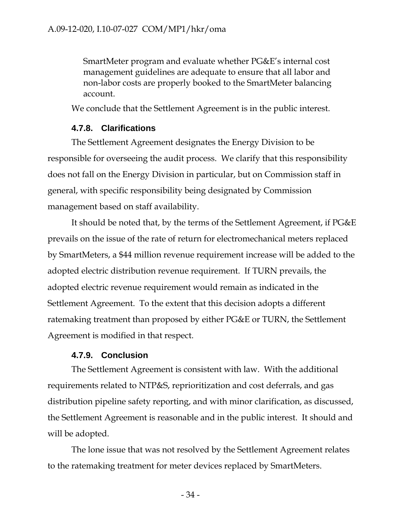SmartMeter program and evaluate whether PG&E's internal cost management guidelines are adequate to ensure that all labor and non-labor costs are properly booked to the SmartMeter balancing account.

We conclude that the Settlement Agreement is in the public interest.

### **4.7.8. Clarifications**

The Settlement Agreement designates the Energy Division to be responsible for overseeing the audit process. We clarify that this responsibility does not fall on the Energy Division in particular, but on Commission staff in general, with specific responsibility being designated by Commission management based on staff availability.

It should be noted that, by the terms of the Settlement Agreement, if PG&E prevails on the issue of the rate of return for electromechanical meters replaced by SmartMeters, a \$44 million revenue requirement increase will be added to the adopted electric distribution revenue requirement. If TURN prevails, the adopted electric revenue requirement would remain as indicated in the Settlement Agreement. To the extent that this decision adopts a different ratemaking treatment than proposed by either PG&E or TURN, the Settlement Agreement is modified in that respect.

### **4.7.9. Conclusion**

The Settlement Agreement is consistent with law. With the additional requirements related to NTP&S, reprioritization and cost deferrals, and gas distribution pipeline safety reporting, and with minor clarification, as discussed, the Settlement Agreement is reasonable and in the public interest. It should and will be adopted.

The lone issue that was not resolved by the Settlement Agreement relates to the ratemaking treatment for meter devices replaced by SmartMeters.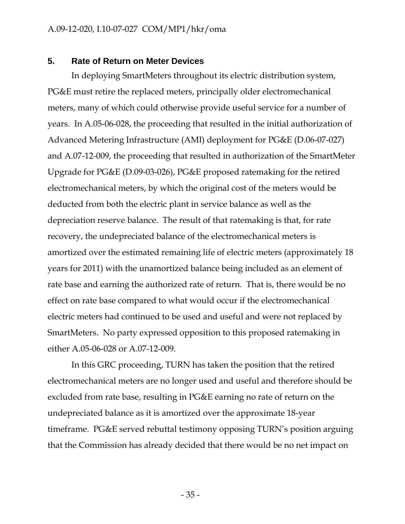#### **5. Rate of Return on Meter Devices**

In deploying SmartMeters throughout its electric distribution system, PG&E must retire the replaced meters, principally older electromechanical meters, many of which could otherwise provide useful service for a number of years. In A.05-06-028, the proceeding that resulted in the initial authorization of Advanced Metering Infrastructure (AMI) deployment for PG&E (D.06-07-027) and A.07-12-009, the proceeding that resulted in authorization of the SmartMeter Upgrade for PG&E (D.09-03-026), PG&E proposed ratemaking for the retired electromechanical meters, by which the original cost of the meters would be deducted from both the electric plant in service balance as well as the depreciation reserve balance. The result of that ratemaking is that, for rate recovery, the undepreciated balance of the electromechanical meters is amortized over the estimated remaining life of electric meters (approximately 18 years for 2011) with the unamortized balance being included as an element of rate base and earning the authorized rate of return. That is, there would be no effect on rate base compared to what would occur if the electromechanical electric meters had continued to be used and useful and were not replaced by SmartMeters. No party expressed opposition to this proposed ratemaking in either A.05-06-028 or A.07-12-009.

In this GRC proceeding, TURN has taken the position that the retired electromechanical meters are no longer used and useful and therefore should be excluded from rate base, resulting in PG&E earning no rate of return on the undepreciated balance as it is amortized over the approximate 18-year timeframe. PG&E served rebuttal testimony opposing TURN's position arguing that the Commission has already decided that there would be no net impact on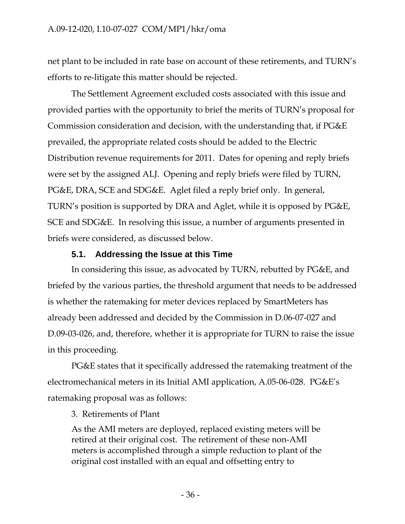net plant to be included in rate base on account of these retirements, and TURN's efforts to re-litigate this matter should be rejected.

The Settlement Agreement excluded costs associated with this issue and provided parties with the opportunity to brief the merits of TURN's proposal for Commission consideration and decision, with the understanding that, if PG&E prevailed, the appropriate related costs should be added to the Electric Distribution revenue requirements for 2011. Dates for opening and reply briefs were set by the assigned ALJ. Opening and reply briefs were filed by TURN, PG&E, DRA, SCE and SDG&E. Aglet filed a reply brief only. In general, TURN's position is supported by DRA and Aglet, while it is opposed by PG&E, SCE and SDG&E. In resolving this issue, a number of arguments presented in briefs were considered, as discussed below.

# **5.1. Addressing the Issue at this Time**

In considering this issue, as advocated by TURN, rebutted by PG&E, and briefed by the various parties, the threshold argument that needs to be addressed is whether the ratemaking for meter devices replaced by SmartMeters has already been addressed and decided by the Commission in D.06-07-027 and D.09-03-026, and, therefore, whether it is appropriate for TURN to raise the issue in this proceeding.

PG&E states that it specifically addressed the ratemaking treatment of the electromechanical meters in its Initial AMI application, A.05-06-028. PG&E's ratemaking proposal was as follows:

3. Retirements of Plant

As the AMI meters are deployed, replaced existing meters will be retired at their original cost. The retirement of these non-AMI meters is accomplished through a simple reduction to plant of the original cost installed with an equal and offsetting entry to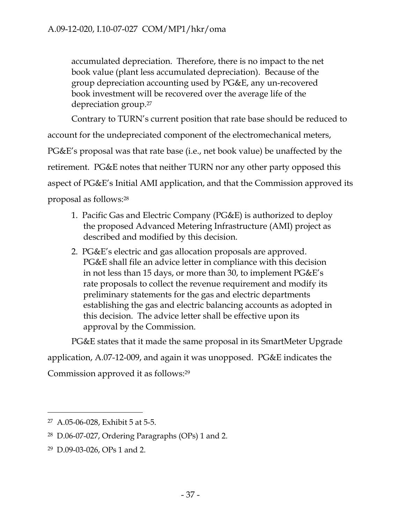accumulated depreciation. Therefore, there is no impact to the net book value (plant less accumulated depreciation). Because of the group depreciation accounting used by PG&E, any un-recovered book investment will be recovered over the average life of the depreciation group.27

Contrary to TURN's current position that rate base should be reduced to account for the undepreciated component of the electromechanical meters, PG&E's proposal was that rate base (i.e., net book value) be unaffected by the retirement. PG&E notes that neither TURN nor any other party opposed this aspect of PG&E's Initial AMI application, and that the Commission approved its proposal as follows:28

- 1. Pacific Gas and Electric Company (PG&E) is authorized to deploy the proposed Advanced Metering Infrastructure (AMI) project as described and modified by this decision.
- 2. PG&E's electric and gas allocation proposals are approved. PG&E shall file an advice letter in compliance with this decision in not less than 15 days, or more than 30, to implement PG&E's rate proposals to collect the revenue requirement and modify its preliminary statements for the gas and electric departments establishing the gas and electric balancing accounts as adopted in this decision. The advice letter shall be effective upon its approval by the Commission.

PG&E states that it made the same proposal in its SmartMeter Upgrade application, A.07-12-009, and again it was unopposed. PG&E indicates the Commission approved it as follows:29

<sup>27</sup> A.05-06-028, Exhibit 5 at 5-5.

<sup>28</sup> D.06-07-027, Ordering Paragraphs (OPs) 1 and 2.

<sup>29</sup> D.09-03-026, OPs 1 and 2.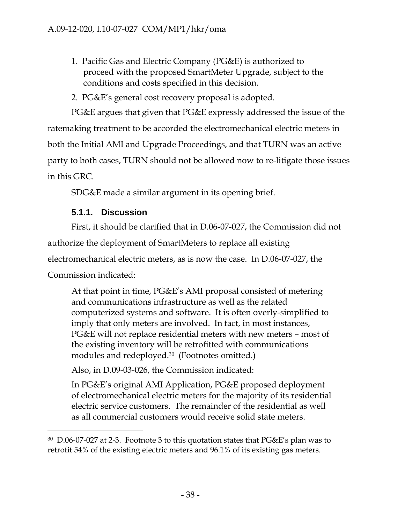- 1. Pacific Gas and Electric Company (PG&E) is authorized to proceed with the proposed SmartMeter Upgrade, subject to the conditions and costs specified in this decision.
- 2. PG&E's general cost recovery proposal is adopted.

PG&E argues that given that PG&E expressly addressed the issue of the ratemaking treatment to be accorded the electromechanical electric meters in both the Initial AMI and Upgrade Proceedings, and that TURN was an active party to both cases, TURN should not be allowed now to re-litigate those issues in this GRC.

SDG&E made a similar argument in its opening brief.

## **5.1.1. Discussion**

-

First, it should be clarified that in D.06-07-027, the Commission did not authorize the deployment of SmartMeters to replace all existing electromechanical electric meters, as is now the case. In D.06-07-027, the Commission indicated:

At that point in time, PG&E's AMI proposal consisted of metering and communications infrastructure as well as the related computerized systems and software. It is often overly-simplified to imply that only meters are involved. In fact, in most instances, PG&E will not replace residential meters with new meters – most of the existing inventory will be retrofitted with communications modules and redeployed.30 (Footnotes omitted.)

Also, in D.09-03-026, the Commission indicated:

In PG&E's original AMI Application, PG&E proposed deployment of electromechanical electric meters for the majority of its residential electric service customers. The remainder of the residential as well as all commercial customers would receive solid state meters.

<sup>30</sup> D.06-07-027 at 2-3. Footnote 3 to this quotation states that PG&E's plan was to retrofit 54% of the existing electric meters and 96.1% of its existing gas meters.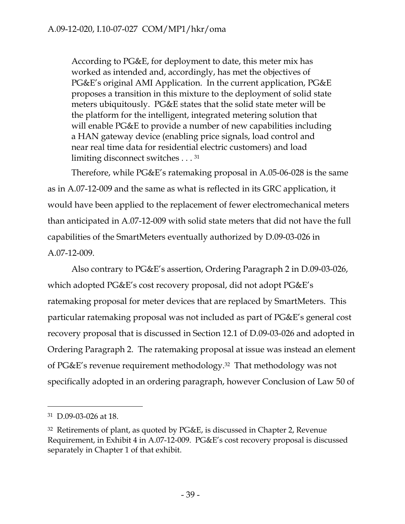According to PG&E, for deployment to date, this meter mix has worked as intended and, accordingly, has met the objectives of PG&E's original AMI Application. In the current application, PG&E proposes a transition in this mixture to the deployment of solid state meters ubiquitously. PG&E states that the solid state meter will be the platform for the intelligent, integrated metering solution that will enable PG&E to provide a number of new capabilities including a HAN gateway device (enabling price signals, load control and near real time data for residential electric customers) and load limiting disconnect switches . . . 31

Therefore, while PG&E's ratemaking proposal in A.05-06-028 is the same as in A.07-12-009 and the same as what is reflected in its GRC application, it would have been applied to the replacement of fewer electromechanical meters than anticipated in A.07-12-009 with solid state meters that did not have the full capabilities of the SmartMeters eventually authorized by D.09-03-026 in A.07-12-009.

Also contrary to PG&E's assertion, Ordering Paragraph 2 in D.09-03-026, which adopted PG&E's cost recovery proposal, did not adopt PG&E's ratemaking proposal for meter devices that are replaced by SmartMeters. This particular ratemaking proposal was not included as part of PG&E's general cost recovery proposal that is discussed in Section 12.1 of D.09-03-026 and adopted in Ordering Paragraph 2. The ratemaking proposal at issue was instead an element of PG&E's revenue requirement methodology.32 That methodology was not specifically adopted in an ordering paragraph, however Conclusion of Law 50 of

 $\overline{a}$ 

 $31 \text{ D}$  09-03-026 at 18.

<sup>32</sup> Retirements of plant, as quoted by PG&E, is discussed in Chapter 2, Revenue Requirement, in Exhibit 4 in A.07-12-009. PG&E's cost recovery proposal is discussed separately in Chapter 1 of that exhibit.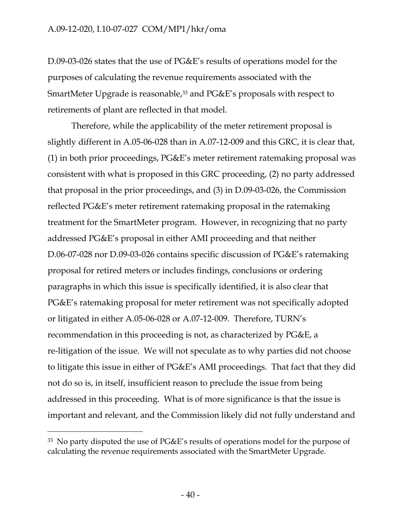D.09-03-026 states that the use of PG&E's results of operations model for the purposes of calculating the revenue requirements associated with the SmartMeter Upgrade is reasonable,<sup>33</sup> and PG&E's proposals with respect to retirements of plant are reflected in that model.

Therefore, while the applicability of the meter retirement proposal is slightly different in A.05-06-028 than in A.07-12-009 and this GRC, it is clear that, (1) in both prior proceedings, PG&E's meter retirement ratemaking proposal was consistent with what is proposed in this GRC proceeding, (2) no party addressed that proposal in the prior proceedings, and (3) in D.09-03-026, the Commission reflected PG&E's meter retirement ratemaking proposal in the ratemaking treatment for the SmartMeter program. However, in recognizing that no party addressed PG&E's proposal in either AMI proceeding and that neither D.06-07-028 nor D.09-03-026 contains specific discussion of PG&E's ratemaking proposal for retired meters or includes findings, conclusions or ordering paragraphs in which this issue is specifically identified, it is also clear that PG&E's ratemaking proposal for meter retirement was not specifically adopted or litigated in either A.05-06-028 or A.07-12-009. Therefore, TURN's recommendation in this proceeding is not, as characterized by PG&E, a re-litigation of the issue. We will not speculate as to why parties did not choose to litigate this issue in either of PG&E's AMI proceedings. That fact that they did not do so is, in itself, insufficient reason to preclude the issue from being addressed in this proceeding. What is of more significance is that the issue is important and relevant, and the Commission likely did not fully understand and

<sup>33</sup> No party disputed the use of PG&E's results of operations model for the purpose of calculating the revenue requirements associated with the SmartMeter Upgrade.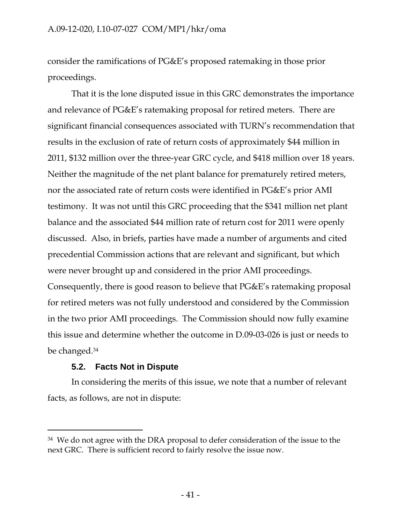consider the ramifications of PG&E's proposed ratemaking in those prior proceedings.

That it is the lone disputed issue in this GRC demonstrates the importance and relevance of PG&E's ratemaking proposal for retired meters. There are significant financial consequences associated with TURN's recommendation that results in the exclusion of rate of return costs of approximately \$44 million in 2011, \$132 million over the three-year GRC cycle, and \$418 million over 18 years. Neither the magnitude of the net plant balance for prematurely retired meters, nor the associated rate of return costs were identified in PG&E's prior AMI testimony. It was not until this GRC proceeding that the \$341 million net plant balance and the associated \$44 million rate of return cost for 2011 were openly discussed. Also, in briefs, parties have made a number of arguments and cited precedential Commission actions that are relevant and significant, but which were never brought up and considered in the prior AMI proceedings. Consequently, there is good reason to believe that PG&E's ratemaking proposal for retired meters was not fully understood and considered by the Commission in the two prior AMI proceedings. The Commission should now fully examine this issue and determine whether the outcome in D.09-03-026 is just or needs to be changed.34

# **5.2. Facts Not in Dispute**

 $\overline{a}$ 

In considering the merits of this issue, we note that a number of relevant facts, as follows, are not in dispute:

<sup>34</sup> We do not agree with the DRA proposal to defer consideration of the issue to the next GRC. There is sufficient record to fairly resolve the issue now.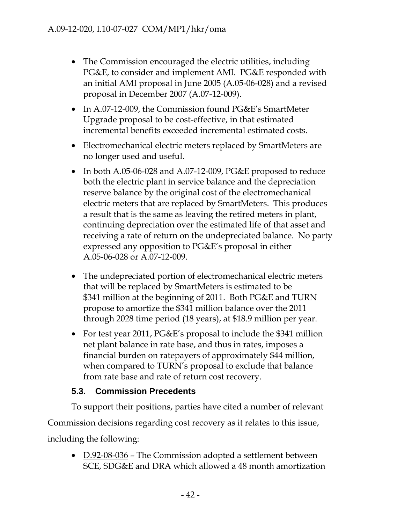- The Commission encouraged the electric utilities, including PG&E, to consider and implement AMI. PG&E responded with an initial AMI proposal in June 2005 (A.05-06-028) and a revised proposal in December 2007 (A.07-12-009).
- In A.07-12-009, the Commission found PG&E's SmartMeter Upgrade proposal to be cost-effective, in that estimated incremental benefits exceeded incremental estimated costs.
- Electromechanical electric meters replaced by SmartMeters are no longer used and useful.
- In both A.05-06-028 and A.07-12-009, PG&E proposed to reduce both the electric plant in service balance and the depreciation reserve balance by the original cost of the electromechanical electric meters that are replaced by SmartMeters. This produces a result that is the same as leaving the retired meters in plant, continuing depreciation over the estimated life of that asset and receiving a rate of return on the undepreciated balance. No party expressed any opposition to PG&E's proposal in either A.05-06-028 or A.07-12-009.
- The undepreciated portion of electromechanical electric meters that will be replaced by SmartMeters is estimated to be \$341 million at the beginning of 2011. Both PG&E and TURN propose to amortize the \$341 million balance over the 2011 through 2028 time period (18 years), at \$18.9 million per year.
- For test year 2011, PG&E's proposal to include the \$341 million net plant balance in rate base, and thus in rates, imposes a financial burden on ratepayers of approximately \$44 million, when compared to TURN's proposal to exclude that balance from rate base and rate of return cost recovery.

# **5.3. Commission Precedents**

To support their positions, parties have cited a number of relevant Commission decisions regarding cost recovery as it relates to this issue, including the following:

•  $D.92-08-036$  – The Commission adopted a settlement between SCE, SDG&E and DRA which allowed a 48 month amortization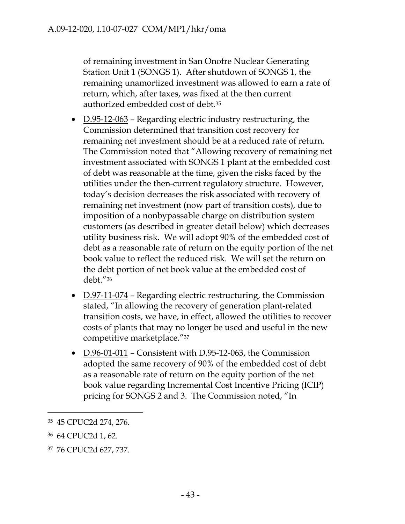of remaining investment in San Onofre Nuclear Generating Station Unit 1 (SONGS 1). After shutdown of SONGS 1, the remaining unamortized investment was allowed to earn a rate of return, which, after taxes, was fixed at the then current authorized embedded cost of debt.35

- $\underline{D.95-12-063}$  Regarding electric industry restructuring, the Commission determined that transition cost recovery for remaining net investment should be at a reduced rate of return. The Commission noted that "Allowing recovery of remaining net investment associated with SONGS 1 plant at the embedded cost of debt was reasonable at the time, given the risks faced by the utilities under the then-current regulatory structure. However, today's decision decreases the risk associated with recovery of remaining net investment (now part of transition costs), due to imposition of a nonbypassable charge on distribution system customers (as described in greater detail below) which decreases utility business risk. We will adopt 90% of the embedded cost of debt as a reasonable rate of return on the equity portion of the net book value to reflect the reduced risk. We will set the return on the debt portion of net book value at the embedded cost of debt."36
- $D.97-11-074$  Regarding electric restructuring, the Commission stated, "In allowing the recovery of generation plant-related transition costs, we have, in effect, allowed the utilities to recover costs of plants that may no longer be used and useful in the new competitive marketplace."37
- D.96-01-011 Consistent with D.95-12-063, the Commission adopted the same recovery of 90% of the embedded cost of debt as a reasonable rate of return on the equity portion of the net book value regarding Incremental Cost Incentive Pricing (ICIP) pricing for SONGS 2 and 3. The Commission noted, "In

<sup>35 45</sup> CPUC2d 274, 276.

<sup>36 64</sup> CPUC2d 1, 62.

<sup>37 76</sup> CPUC2d 627, 737.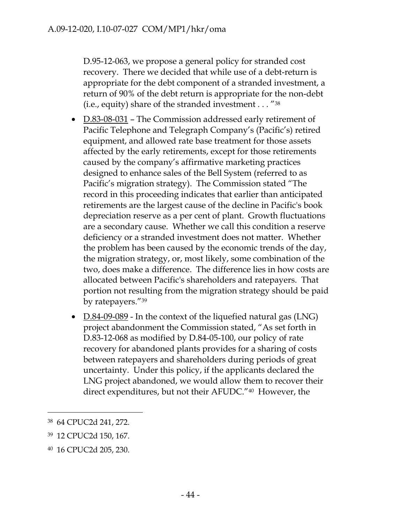D.95-12-063, we propose a general policy for stranded cost recovery. There we decided that while use of a debt-return is appropriate for the debt component of a stranded investment, a return of 90% of the debt return is appropriate for the non-debt (i.e., equity) share of the stranded investment . . . "38

- D.83-08-031 The Commission addressed early retirement of Pacific Telephone and Telegraph Company's (Pacific's) retired equipment, and allowed rate base treatment for those assets affected by the early retirements, except for those retirements caused by the company's affirmative marketing practices designed to enhance sales of the Bell System (referred to as Pacific's migration strategy). The Commission stated "The record in this proceeding indicates that earlier than anticipated retirements are the largest cause of the decline in Pacific's book depreciation reserve as a per cent of plant. Growth fluctuations are a secondary cause. Whether we call this condition a reserve deficiency or a stranded investment does not matter. Whether the problem has been caused by the economic trends of the day, the migration strategy, or, most likely, some combination of the two, does make a difference. The difference lies in how costs are allocated between Pacific's shareholders and ratepayers. That portion not resulting from the migration strategy should be paid by ratepayers."39
- D.84-09-089 In the context of the liquefied natural gas (LNG) project abandonment the Commission stated, "As set forth in D.83-12-068 as modified by D.84-05-100, our policy of rate recovery for abandoned plants provides for a sharing of costs between ratepayers and shareholders during periods of great uncertainty. Under this policy, if the applicants declared the LNG project abandoned, we would allow them to recover their direct expenditures, but not their AFUDC."40 However, the

<sup>38 64</sup> CPUC2d 241, 272.

<sup>39 12</sup> CPUC2d 150, 167.

<sup>40 16</sup> CPUC2d 205, 230.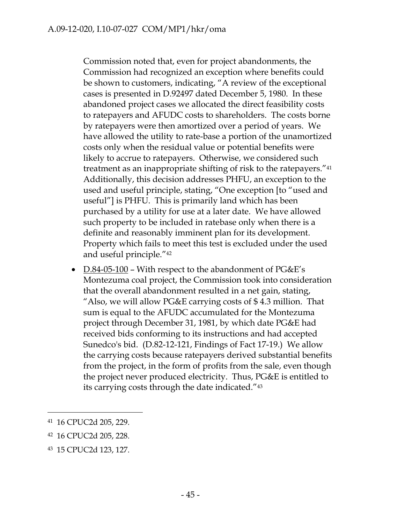Commission noted that, even for project abandonments, the Commission had recognized an exception where benefits could be shown to customers, indicating, "A review of the exceptional cases is presented in D.92497 dated December 5, 1980. In these abandoned project cases we allocated the direct feasibility costs to ratepayers and AFUDC costs to shareholders. The costs borne by ratepayers were then amortized over a period of years. We have allowed the utility to rate-base a portion of the unamortized costs only when the residual value or potential benefits were likely to accrue to ratepayers. Otherwise, we considered such treatment as an inappropriate shifting of risk to the ratepayers."41 Additionally, this decision addresses PHFU, an exception to the used and useful principle, stating, "One exception [to "used and useful"] is PHFU. This is primarily land which has been purchased by a utility for use at a later date. We have allowed such property to be included in ratebase only when there is a definite and reasonably imminent plan for its development. Property which fails to meet this test is excluded under the used and useful principle."42

•  $D.84-05-100$  – With respect to the abandonment of PG&E's Montezuma coal project, the Commission took into consideration that the overall abandonment resulted in a net gain, stating, "Also, we will allow PG&E carrying costs of \$ 4.3 million. That sum is equal to the AFUDC accumulated for the Montezuma project through December 31, 1981, by which date PG&E had received bids conforming to its instructions and had accepted Sunedco's bid. (D.82-12-121, Findings of Fact 17-19.) We allow the carrying costs because ratepayers derived substantial benefits from the project, in the form of profits from the sale, even though the project never produced electricity. Thus, PG&E is entitled to its carrying costs through the date indicated."43

<sup>41 16</sup> CPUC2d 205, 229.

<sup>42 16</sup> CPUC2d 205, 228.

<sup>43 15</sup> CPUC2d 123, 127.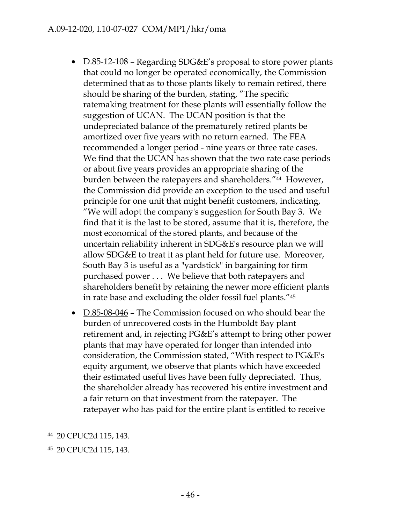- D.85-12-108 Regarding SDG&E's proposal to store power plants that could no longer be operated economically, the Commission determined that as to those plants likely to remain retired, there should be sharing of the burden, stating, "The specific ratemaking treatment for these plants will essentially follow the suggestion of UCAN. The UCAN position is that the undepreciated balance of the prematurely retired plants be amortized over five years with no return earned. The FEA recommended a longer period - nine years or three rate cases. We find that the UCAN has shown that the two rate case periods or about five years provides an appropriate sharing of the burden between the ratepayers and shareholders."44 However, the Commission did provide an exception to the used and useful principle for one unit that might benefit customers, indicating, "We will adopt the company's suggestion for South Bay 3. We find that it is the last to be stored, assume that it is, therefore, the most economical of the stored plants, and because of the uncertain reliability inherent in SDG&E's resource plan we will allow SDG&E to treat it as plant held for future use. Moreover, South Bay 3 is useful as a "yardstick" in bargaining for firm purchased power . . . We believe that both ratepayers and shareholders benefit by retaining the newer more efficient plants in rate base and excluding the older fossil fuel plants."45
- D.85-08-046 The Commission focused on who should bear the burden of unrecovered costs in the Humboldt Bay plant retirement and, in rejecting PG&E's attempt to bring other power plants that may have operated for longer than intended into consideration, the Commission stated, "With respect to PG&E's equity argument, we observe that plants which have exceeded their estimated useful lives have been fully depreciated. Thus, the shareholder already has recovered his entire investment and a fair return on that investment from the ratepayer. The ratepayer who has paid for the entire plant is entitled to receive

<sup>44 20</sup> CPUC2d 115, 143.

<sup>45 20</sup> CPUC2d 115, 143.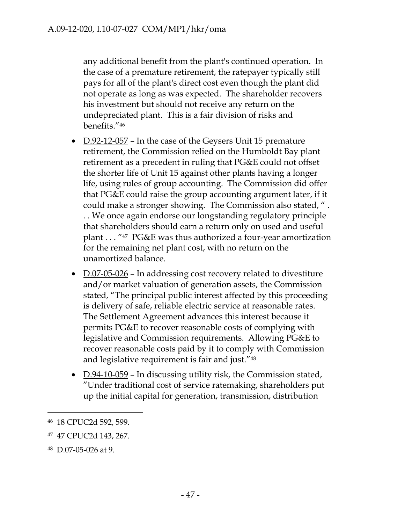any additional benefit from the plant's continued operation. In the case of a premature retirement, the ratepayer typically still pays for all of the plant's direct cost even though the plant did not operate as long as was expected. The shareholder recovers his investment but should not receive any return on the undepreciated plant. This is a fair division of risks and benefits."46

- $D.92-12-057$  In the case of the Geysers Unit 15 premature retirement, the Commission relied on the Humboldt Bay plant retirement as a precedent in ruling that PG&E could not offset the shorter life of Unit 15 against other plants having a longer life, using rules of group accounting. The Commission did offer that PG&E could raise the group accounting argument later, if it could make a stronger showing. The Commission also stated, " . . . We once again endorse our longstanding regulatory principle that shareholders should earn a return only on used and useful plant . . . "47 PG&E was thus authorized a four-year amortization for the remaining net plant cost, with no return on the unamortized balance.
- D.07-05-026 In addressing cost recovery related to divestiture and/or market valuation of generation assets, the Commission stated, "The principal public interest affected by this proceeding is delivery of safe, reliable electric service at reasonable rates. The Settlement Agreement advances this interest because it permits PG&E to recover reasonable costs of complying with legislative and Commission requirements. Allowing PG&E to recover reasonable costs paid by it to comply with Commission and legislative requirement is fair and just."48
- D.94-10-059 In discussing utility risk, the Commission stated, "Under traditional cost of service ratemaking, shareholders put up the initial capital for generation, transmission, distribution

<sup>46 18</sup> CPUC2d 592, 599.

<sup>47 47</sup> CPUC2d 143, 267.

<sup>48</sup> D.07-05-026 at 9.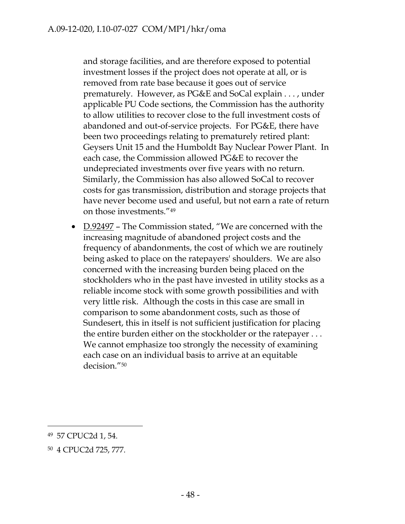and storage facilities, and are therefore exposed to potential investment losses if the project does not operate at all, or is removed from rate base because it goes out of service prematurely. However, as PG&E and SoCal explain . . . , under applicable PU Code sections, the Commission has the authority to allow utilities to recover close to the full investment costs of abandoned and out-of-service projects. For PG&E, there have been two proceedings relating to prematurely retired plant: Geysers Unit 15 and the Humboldt Bay Nuclear Power Plant. In each case, the Commission allowed PG&E to recover the undepreciated investments over five years with no return. Similarly, the Commission has also allowed SoCal to recover costs for gas transmission, distribution and storage projects that have never become used and useful, but not earn a rate of return on those investments."49

• D.92497 – The Commission stated, "We are concerned with the increasing magnitude of abandoned project costs and the frequency of abandonments, the cost of which we are routinely being asked to place on the ratepayers' shoulders. We are also concerned with the increasing burden being placed on the stockholders who in the past have invested in utility stocks as a reliable income stock with some growth possibilities and with very little risk. Although the costs in this case are small in comparison to some abandonment costs, such as those of Sundesert, this in itself is not sufficient justification for placing the entire burden either on the stockholder or the ratepayer . . . We cannot emphasize too strongly the necessity of examining each case on an individual basis to arrive at an equitable decision."50

 $\overline{a}$ 

<sup>49 57</sup> CPUC2d 1, 54.

<sup>50 4</sup> CPUC2d 725, 777.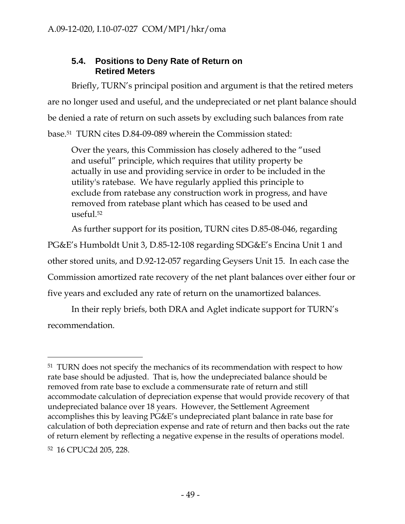# **5.4. Positions to Deny Rate of Return on Retired Meters**

Briefly, TURN's principal position and argument is that the retired meters are no longer used and useful, and the undepreciated or net plant balance should be denied a rate of return on such assets by excluding such balances from rate base.51 TURN cites D.84-09-089 wherein the Commission stated:

Over the years, this Commission has closely adhered to the "used and useful" principle, which requires that utility property be actually in use and providing service in order to be included in the utility's ratebase. We have regularly applied this principle to exclude from ratebase any construction work in progress, and have removed from ratebase plant which has ceased to be used and useful.52

As further support for its position, TURN cites D.85-08-046, regarding PG&E's Humboldt Unit 3, D.85-12-108 regarding SDG&E's Encina Unit 1 and other stored units, and D.92-12-057 regarding Geysers Unit 15. In each case the Commission amortized rate recovery of the net plant balances over either four or five years and excluded any rate of return on the unamortized balances.

In their reply briefs, both DRA and Aglet indicate support for TURN's recommendation.

<sup>&</sup>lt;sup>51</sup> TURN does not specify the mechanics of its recommendation with respect to how rate base should be adjusted. That is, how the undepreciated balance should be removed from rate base to exclude a commensurate rate of return and still accommodate calculation of depreciation expense that would provide recovery of that undepreciated balance over 18 years. However, the Settlement Agreement accomplishes this by leaving PG&E's undepreciated plant balance in rate base for calculation of both depreciation expense and rate of return and then backs out the rate of return element by reflecting a negative expense in the results of operations model.

<sup>52 16</sup> CPUC2d 205, 228.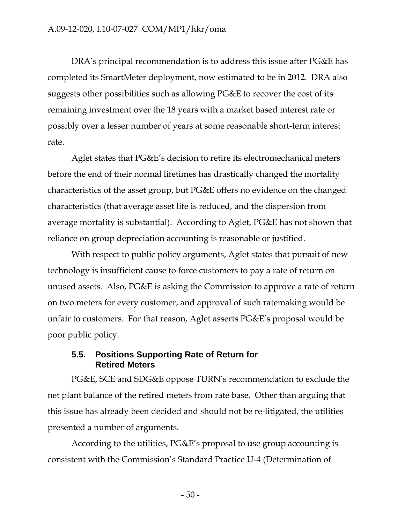DRA's principal recommendation is to address this issue after PG&E has completed its SmartMeter deployment, now estimated to be in 2012. DRA also suggests other possibilities such as allowing PG&E to recover the cost of its remaining investment over the 18 years with a market based interest rate or possibly over a lesser number of years at some reasonable short-term interest rate.

Aglet states that PG&E's decision to retire its electromechanical meters before the end of their normal lifetimes has drastically changed the mortality characteristics of the asset group, but PG&E offers no evidence on the changed characteristics (that average asset life is reduced, and the dispersion from average mortality is substantial). According to Aglet, PG&E has not shown that reliance on group depreciation accounting is reasonable or justified.

With respect to public policy arguments, Aglet states that pursuit of new technology is insufficient cause to force customers to pay a rate of return on unused assets. Also, PG&E is asking the Commission to approve a rate of return on two meters for every customer, and approval of such ratemaking would be unfair to customers. For that reason, Aglet asserts PG&E's proposal would be poor public policy.

### **5.5. Positions Supporting Rate of Return for Retired Meters**

PG&E, SCE and SDG&E oppose TURN's recommendation to exclude the net plant balance of the retired meters from rate base. Other than arguing that this issue has already been decided and should not be re-litigated, the utilities presented a number of arguments.

According to the utilities, PG&E's proposal to use group accounting is consistent with the Commission's Standard Practice U-4 (Determination of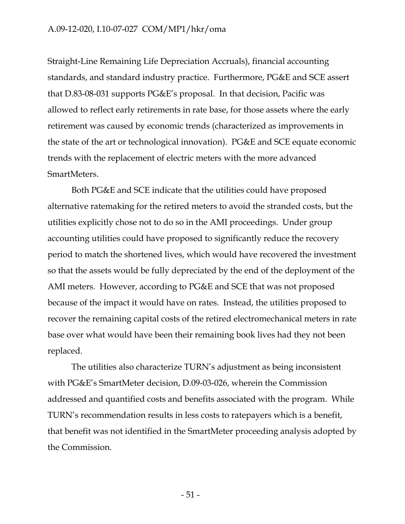#### A.09-12-020, I.10-07-027 COM/MP1/hkr/oma

Straight-Line Remaining Life Depreciation Accruals), financial accounting standards, and standard industry practice. Furthermore, PG&E and SCE assert that D.83-08-031 supports PG&E's proposal. In that decision, Pacific was allowed to reflect early retirements in rate base, for those assets where the early retirement was caused by economic trends (characterized as improvements in the state of the art or technological innovation). PG&E and SCE equate economic trends with the replacement of electric meters with the more advanced SmartMeters.

Both PG&E and SCE indicate that the utilities could have proposed alternative ratemaking for the retired meters to avoid the stranded costs, but the utilities explicitly chose not to do so in the AMI proceedings. Under group accounting utilities could have proposed to significantly reduce the recovery period to match the shortened lives, which would have recovered the investment so that the assets would be fully depreciated by the end of the deployment of the AMI meters. However, according to PG&E and SCE that was not proposed because of the impact it would have on rates. Instead, the utilities proposed to recover the remaining capital costs of the retired electromechanical meters in rate base over what would have been their remaining book lives had they not been replaced.

The utilities also characterize TURN's adjustment as being inconsistent with PG&E's SmartMeter decision, D.09-03-026, wherein the Commission addressed and quantified costs and benefits associated with the program. While TURN's recommendation results in less costs to ratepayers which is a benefit, that benefit was not identified in the SmartMeter proceeding analysis adopted by the Commission.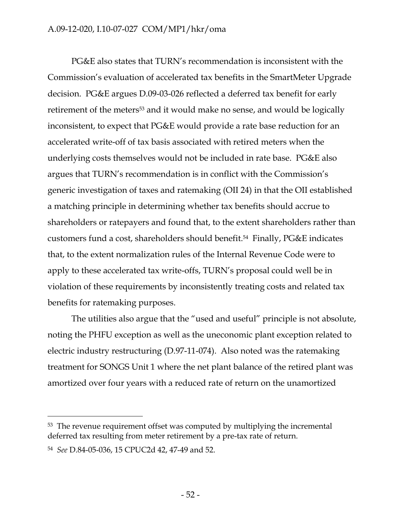### A.09-12-020, I.10-07-027 COM/MP1/hkr/oma

PG&E also states that TURN's recommendation is inconsistent with the Commission's evaluation of accelerated tax benefits in the SmartMeter Upgrade decision. PG&E argues D.09-03-026 reflected a deferred tax benefit for early retirement of the meters<sup>53</sup> and it would make no sense, and would be logically inconsistent, to expect that PG&E would provide a rate base reduction for an accelerated write-off of tax basis associated with retired meters when the underlying costs themselves would not be included in rate base. PG&E also argues that TURN's recommendation is in conflict with the Commission's generic investigation of taxes and ratemaking (OII 24) in that the OII established a matching principle in determining whether tax benefits should accrue to shareholders or ratepayers and found that, to the extent shareholders rather than customers fund a cost, shareholders should benefit.54 Finally, PG&E indicates that, to the extent normalization rules of the Internal Revenue Code were to apply to these accelerated tax write-offs, TURN's proposal could well be in violation of these requirements by inconsistently treating costs and related tax benefits for ratemaking purposes.

The utilities also argue that the "used and useful" principle is not absolute, noting the PHFU exception as well as the uneconomic plant exception related to electric industry restructuring (D.97-11-074). Also noted was the ratemaking treatment for SONGS Unit 1 where the net plant balance of the retired plant was amortized over four years with a reduced rate of return on the unamortized

<sup>53</sup> The revenue requirement offset was computed by multiplying the incremental deferred tax resulting from meter retirement by a pre-tax rate of return.

<sup>54</sup> *See* D.84-05-036, 15 CPUC2d 42, 47-49 and 52.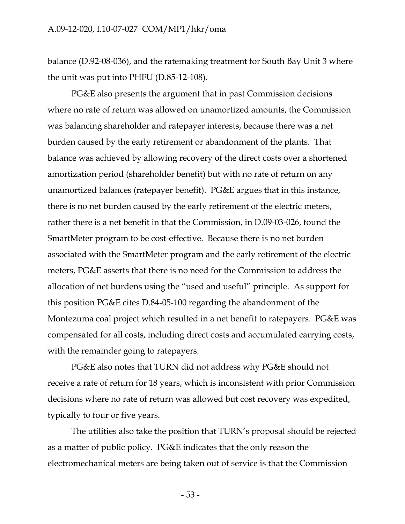balance (D.92-08-036), and the ratemaking treatment for South Bay Unit 3 where the unit was put into PHFU (D.85-12-108).

PG&E also presents the argument that in past Commission decisions where no rate of return was allowed on unamortized amounts, the Commission was balancing shareholder and ratepayer interests, because there was a net burden caused by the early retirement or abandonment of the plants. That balance was achieved by allowing recovery of the direct costs over a shortened amortization period (shareholder benefit) but with no rate of return on any unamortized balances (ratepayer benefit). PG&E argues that in this instance, there is no net burden caused by the early retirement of the electric meters, rather there is a net benefit in that the Commission, in D.09-03-026, found the SmartMeter program to be cost-effective. Because there is no net burden associated with the SmartMeter program and the early retirement of the electric meters, PG&E asserts that there is no need for the Commission to address the allocation of net burdens using the "used and useful" principle. As support for this position PG&E cites D.84-05-100 regarding the abandonment of the Montezuma coal project which resulted in a net benefit to ratepayers. PG&E was compensated for all costs, including direct costs and accumulated carrying costs, with the remainder going to ratepayers.

PG&E also notes that TURN did not address why PG&E should not receive a rate of return for 18 years, which is inconsistent with prior Commission decisions where no rate of return was allowed but cost recovery was expedited, typically to four or five years.

The utilities also take the position that TURN's proposal should be rejected as a matter of public policy. PG&E indicates that the only reason the electromechanical meters are being taken out of service is that the Commission

- 53 -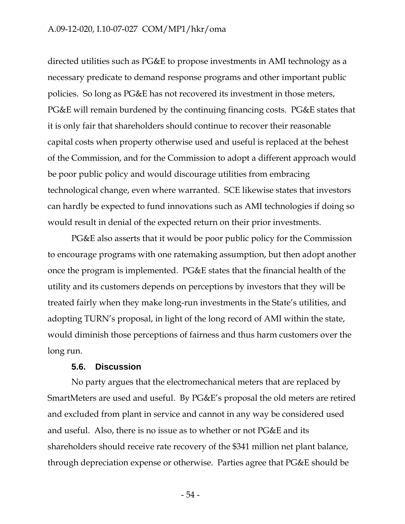#### A.09-12-020, I.10-07-027 COM/MP1/hkr/oma

directed utilities such as PG&E to propose investments in AMI technology as a necessary predicate to demand response programs and other important public policies. So long as PG&E has not recovered its investment in those meters, PG&E will remain burdened by the continuing financing costs. PG&E states that it is only fair that shareholders should continue to recover their reasonable capital costs when property otherwise used and useful is replaced at the behest of the Commission, and for the Commission to adopt a different approach would be poor public policy and would discourage utilities from embracing technological change, even where warranted. SCE likewise states that investors can hardly be expected to fund innovations such as AMI technologies if doing so would result in denial of the expected return on their prior investments.

PG&E also asserts that it would be poor public policy for the Commission to encourage programs with one ratemaking assumption, but then adopt another once the program is implemented. PG&E states that the financial health of the utility and its customers depends on perceptions by investors that they will be treated fairly when they make long-run investments in the State's utilities, and adopting TURN's proposal, in light of the long record of AMI within the state, would diminish those perceptions of fairness and thus harm customers over the long run.

#### **5.6. Discussion**

No party argues that the electromechanical meters that are replaced by SmartMeters are used and useful. By PG&E's proposal the old meters are retired and excluded from plant in service and cannot in any way be considered used and useful. Also, there is no issue as to whether or not PG&E and its shareholders should receive rate recovery of the \$341 million net plant balance, through depreciation expense or otherwise. Parties agree that PG&E should be

- 54 -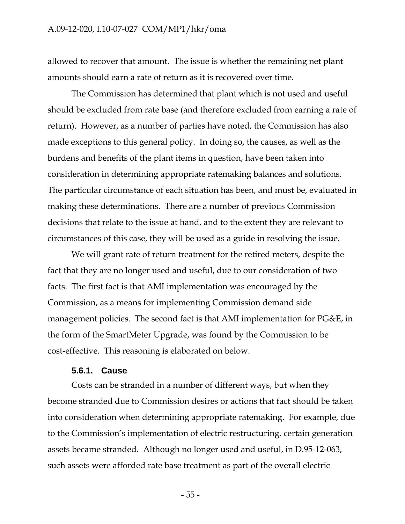allowed to recover that amount. The issue is whether the remaining net plant amounts should earn a rate of return as it is recovered over time.

The Commission has determined that plant which is not used and useful should be excluded from rate base (and therefore excluded from earning a rate of return). However, as a number of parties have noted, the Commission has also made exceptions to this general policy. In doing so, the causes, as well as the burdens and benefits of the plant items in question, have been taken into consideration in determining appropriate ratemaking balances and solutions. The particular circumstance of each situation has been, and must be, evaluated in making these determinations. There are a number of previous Commission decisions that relate to the issue at hand, and to the extent they are relevant to circumstances of this case, they will be used as a guide in resolving the issue.

We will grant rate of return treatment for the retired meters, despite the fact that they are no longer used and useful, due to our consideration of two facts. The first fact is that AMI implementation was encouraged by the Commission, as a means for implementing Commission demand side management policies. The second fact is that AMI implementation for PG&E, in the form of the SmartMeter Upgrade, was found by the Commission to be cost-effective. This reasoning is elaborated on below.

#### **5.6.1. Cause**

Costs can be stranded in a number of different ways, but when they become stranded due to Commission desires or actions that fact should be taken into consideration when determining appropriate ratemaking. For example, due to the Commission's implementation of electric restructuring, certain generation assets became stranded. Although no longer used and useful, in D.95-12-063, such assets were afforded rate base treatment as part of the overall electric

 $-55$  -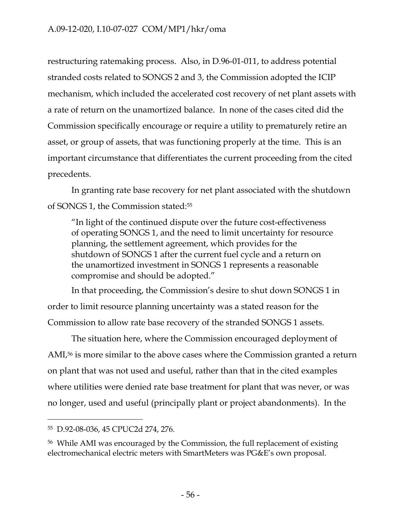restructuring ratemaking process. Also, in D.96-01-011, to address potential stranded costs related to SONGS 2 and 3, the Commission adopted the ICIP mechanism, which included the accelerated cost recovery of net plant assets with a rate of return on the unamortized balance. In none of the cases cited did the Commission specifically encourage or require a utility to prematurely retire an asset, or group of assets, that was functioning properly at the time. This is an important circumstance that differentiates the current proceeding from the cited precedents.

In granting rate base recovery for net plant associated with the shutdown of SONGS 1, the Commission stated:55

"In light of the continued dispute over the future cost-effectiveness of operating SONGS 1, and the need to limit uncertainty for resource planning, the settlement agreement, which provides for the shutdown of SONGS 1 after the current fuel cycle and a return on the unamortized investment in SONGS 1 represents a reasonable compromise and should be adopted."

In that proceeding, the Commission's desire to shut down SONGS 1 in order to limit resource planning uncertainty was a stated reason for the Commission to allow rate base recovery of the stranded SONGS 1 assets.

The situation here, where the Commission encouraged deployment of AMI,<sup>56</sup> is more similar to the above cases where the Commission granted a return on plant that was not used and useful, rather than that in the cited examples where utilities were denied rate base treatment for plant that was never, or was no longer, used and useful (principally plant or project abandonments). In the

 $\overline{a}$ 

<sup>55</sup> D.92-08-036, 45 CPUC2d 274, 276.

<sup>56</sup> While AMI was encouraged by the Commission, the full replacement of existing electromechanical electric meters with SmartMeters was PG&E's own proposal.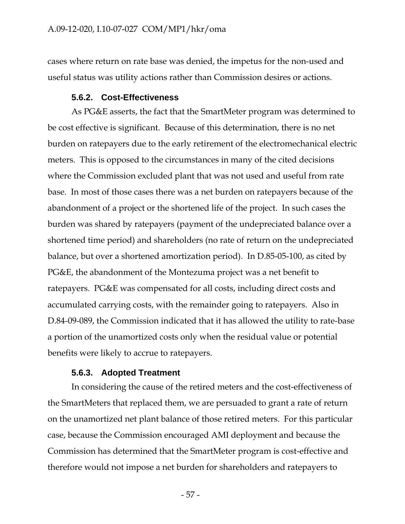cases where return on rate base was denied, the impetus for the non-used and useful status was utility actions rather than Commission desires or actions.

#### **5.6.2. Cost-Effectiveness**

As PG&E asserts, the fact that the SmartMeter program was determined to be cost effective is significant. Because of this determination, there is no net burden on ratepayers due to the early retirement of the electromechanical electric meters. This is opposed to the circumstances in many of the cited decisions where the Commission excluded plant that was not used and useful from rate base. In most of those cases there was a net burden on ratepayers because of the abandonment of a project or the shortened life of the project. In such cases the burden was shared by ratepayers (payment of the undepreciated balance over a shortened time period) and shareholders (no rate of return on the undepreciated balance, but over a shortened amortization period). In D.85-05-100, as cited by PG&E, the abandonment of the Montezuma project was a net benefit to ratepayers. PG&E was compensated for all costs, including direct costs and accumulated carrying costs, with the remainder going to ratepayers. Also in D.84-09-089, the Commission indicated that it has allowed the utility to rate-base a portion of the unamortized costs only when the residual value or potential benefits were likely to accrue to ratepayers.

#### **5.6.3. Adopted Treatment**

In considering the cause of the retired meters and the cost-effectiveness of the SmartMeters that replaced them, we are persuaded to grant a rate of return on the unamortized net plant balance of those retired meters. For this particular case, because the Commission encouraged AMI deployment and because the Commission has determined that the SmartMeter program is cost-effective and therefore would not impose a net burden for shareholders and ratepayers to

- 57 -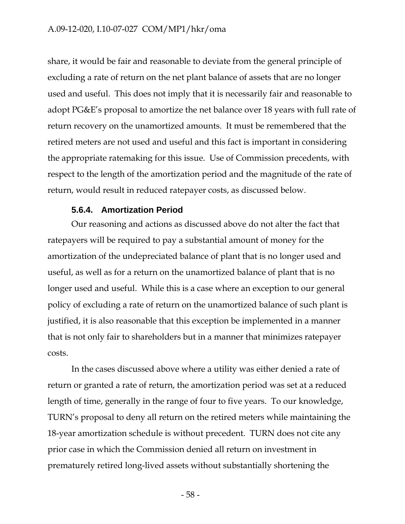share, it would be fair and reasonable to deviate from the general principle of excluding a rate of return on the net plant balance of assets that are no longer used and useful. This does not imply that it is necessarily fair and reasonable to adopt PG&E's proposal to amortize the net balance over 18 years with full rate of return recovery on the unamortized amounts. It must be remembered that the retired meters are not used and useful and this fact is important in considering the appropriate ratemaking for this issue. Use of Commission precedents, with respect to the length of the amortization period and the magnitude of the rate of return, would result in reduced ratepayer costs, as discussed below.

#### **5.6.4. Amortization Period**

Our reasoning and actions as discussed above do not alter the fact that ratepayers will be required to pay a substantial amount of money for the amortization of the undepreciated balance of plant that is no longer used and useful, as well as for a return on the unamortized balance of plant that is no longer used and useful. While this is a case where an exception to our general policy of excluding a rate of return on the unamortized balance of such plant is justified, it is also reasonable that this exception be implemented in a manner that is not only fair to shareholders but in a manner that minimizes ratepayer costs.

In the cases discussed above where a utility was either denied a rate of return or granted a rate of return, the amortization period was set at a reduced length of time, generally in the range of four to five years. To our knowledge, TURN's proposal to deny all return on the retired meters while maintaining the 18-year amortization schedule is without precedent. TURN does not cite any prior case in which the Commission denied all return on investment in prematurely retired long-lived assets without substantially shortening the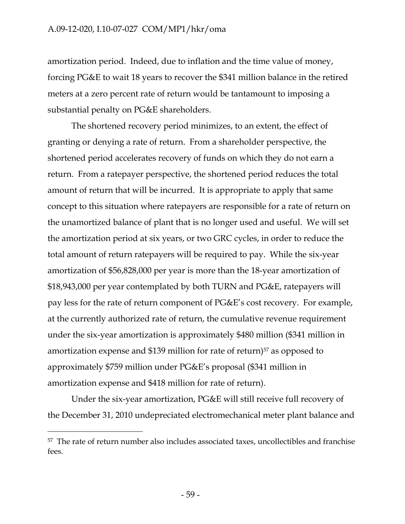amortization period. Indeed, due to inflation and the time value of money, forcing PG&E to wait 18 years to recover the \$341 million balance in the retired meters at a zero percent rate of return would be tantamount to imposing a substantial penalty on PG&E shareholders.

The shortened recovery period minimizes, to an extent, the effect of granting or denying a rate of return. From a shareholder perspective, the shortened period accelerates recovery of funds on which they do not earn a return. From a ratepayer perspective, the shortened period reduces the total amount of return that will be incurred. It is appropriate to apply that same concept to this situation where ratepayers are responsible for a rate of return on the unamortized balance of plant that is no longer used and useful. We will set the amortization period at six years, or two GRC cycles, in order to reduce the total amount of return ratepayers will be required to pay. While the six-year amortization of \$56,828,000 per year is more than the 18-year amortization of \$18,943,000 per year contemplated by both TURN and PG&E, ratepayers will pay less for the rate of return component of PG&E's cost recovery. For example, at the currently authorized rate of return, the cumulative revenue requirement under the six-year amortization is approximately \$480 million (\$341 million in amortization expense and \$139 million for rate of return)<sup>57</sup> as opposed to approximately \$759 million under PG&E's proposal (\$341 million in amortization expense and \$418 million for rate of return).

Under the six-year amortization, PG&E will still receive full recovery of the December 31, 2010 undepreciated electromechanical meter plant balance and

<sup>57</sup> The rate of return number also includes associated taxes, uncollectibles and franchise fees.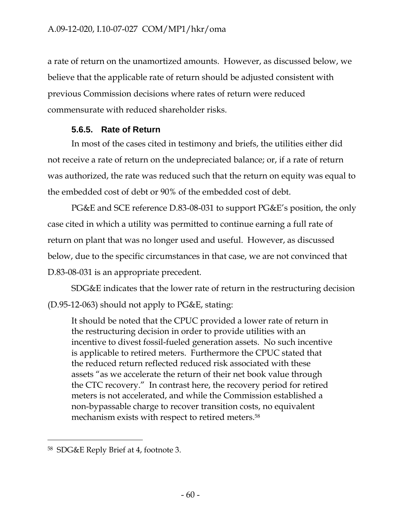a rate of return on the unamortized amounts. However, as discussed below, we believe that the applicable rate of return should be adjusted consistent with previous Commission decisions where rates of return were reduced commensurate with reduced shareholder risks.

## **5.6.5. Rate of Return**

In most of the cases cited in testimony and briefs, the utilities either did not receive a rate of return on the undepreciated balance; or, if a rate of return was authorized, the rate was reduced such that the return on equity was equal to the embedded cost of debt or 90% of the embedded cost of debt.

PG&E and SCE reference D.83-08-031 to support PG&E's position, the only case cited in which a utility was permitted to continue earning a full rate of return on plant that was no longer used and useful. However, as discussed below, due to the specific circumstances in that case, we are not convinced that D.83-08-031 is an appropriate precedent.

SDG&E indicates that the lower rate of return in the restructuring decision (D.95-12-063) should not apply to PG&E, stating:

It should be noted that the CPUC provided a lower rate of return in the restructuring decision in order to provide utilities with an incentive to divest fossil-fueled generation assets. No such incentive is applicable to retired meters. Furthermore the CPUC stated that the reduced return reflected reduced risk associated with these assets "as we accelerate the return of their net book value through the CTC recovery." In contrast here, the recovery period for retired meters is not accelerated, and while the Commission established a non-bypassable charge to recover transition costs, no equivalent mechanism exists with respect to retired meters.58

 $\overline{a}$ 

<sup>58</sup> SDG&E Reply Brief at 4, footnote 3.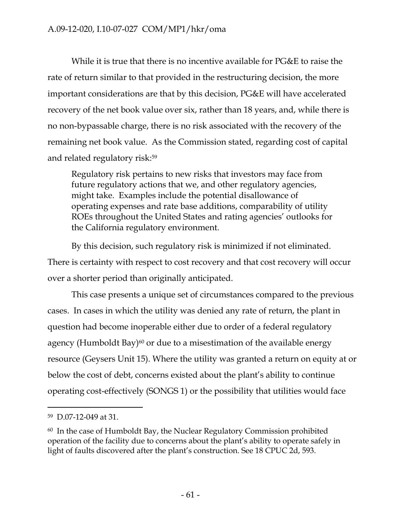While it is true that there is no incentive available for PG&E to raise the rate of return similar to that provided in the restructuring decision, the more important considerations are that by this decision, PG&E will have accelerated recovery of the net book value over six, rather than 18 years, and, while there is no non-bypassable charge, there is no risk associated with the recovery of the remaining net book value. As the Commission stated, regarding cost of capital and related regulatory risk:59

Regulatory risk pertains to new risks that investors may face from future regulatory actions that we, and other regulatory agencies, might take. Examples include the potential disallowance of operating expenses and rate base additions, comparability of utility ROEs throughout the United States and rating agencies' outlooks for the California regulatory environment.

By this decision, such regulatory risk is minimized if not eliminated. There is certainty with respect to cost recovery and that cost recovery will occur over a shorter period than originally anticipated.

This case presents a unique set of circumstances compared to the previous cases. In cases in which the utility was denied any rate of return, the plant in question had become inoperable either due to order of a federal regulatory agency (Humboldt Bay)<sup>60</sup> or due to a misestimation of the available energy resource (Geysers Unit 15). Where the utility was granted a return on equity at or below the cost of debt, concerns existed about the plant's ability to continue operating cost-effectively (SONGS 1) or the possibility that utilities would face

<sup>59</sup> D.07-12-049 at 31.

<sup>60</sup> In the case of Humboldt Bay, the Nuclear Regulatory Commission prohibited operation of the facility due to concerns about the plant's ability to operate safely in light of faults discovered after the plant's construction. See 18 CPUC 2d, 593.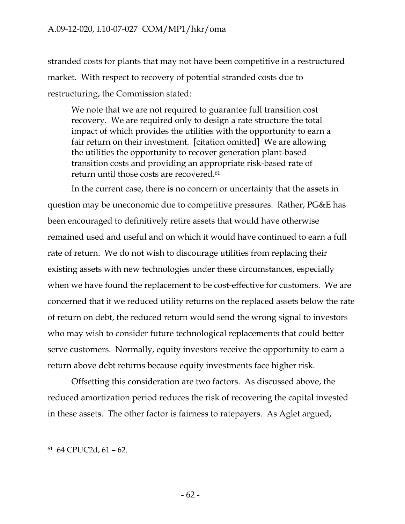stranded costs for plants that may not have been competitive in a restructured market. With respect to recovery of potential stranded costs due to restructuring, the Commission stated:

We note that we are not required to guarantee full transition cost recovery. We are required only to design a rate structure the total impact of which provides the utilities with the opportunity to earn a fair return on their investment. [citation omitted] We are allowing the utilities the opportunity to recover generation plant-based transition costs and providing an appropriate risk-based rate of return until those costs are recovered.<sup>61</sup>

In the current case, there is no concern or uncertainty that the assets in question may be uneconomic due to competitive pressures. Rather, PG&E has been encouraged to definitively retire assets that would have otherwise remained used and useful and on which it would have continued to earn a full rate of return. We do not wish to discourage utilities from replacing their existing assets with new technologies under these circumstances, especially when we have found the replacement to be cost-effective for customers. We are concerned that if we reduced utility returns on the replaced assets below the rate of return on debt, the reduced return would send the wrong signal to investors who may wish to consider future technological replacements that could better serve customers. Normally, equity investors receive the opportunity to earn a return above debt returns because equity investments face higher risk.

Offsetting this consideration are two factors. As discussed above, the reduced amortization period reduces the risk of recovering the capital invested in these assets. The other factor is fairness to ratepayers. As Aglet argued,

<sup>61 64</sup> CPUC2d, 61 – 62.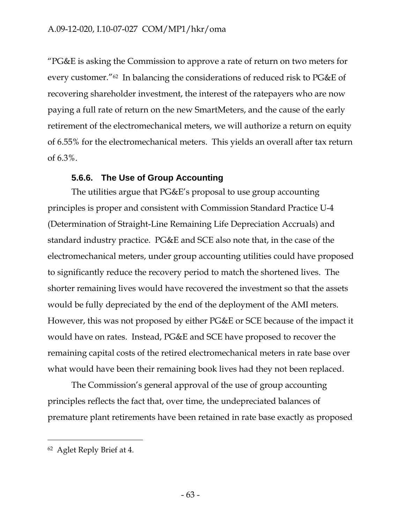"PG&E is asking the Commission to approve a rate of return on two meters for every customer."62 In balancing the considerations of reduced risk to PG&E of recovering shareholder investment, the interest of the ratepayers who are now paying a full rate of return on the new SmartMeters, and the cause of the early retirement of the electromechanical meters, we will authorize a return on equity of 6.55% for the electromechanical meters. This yields an overall after tax return of 6.3%.

## **5.6.6. The Use of Group Accounting**

The utilities argue that PG&E's proposal to use group accounting principles is proper and consistent with Commission Standard Practice U-4 (Determination of Straight-Line Remaining Life Depreciation Accruals) and standard industry practice. PG&E and SCE also note that, in the case of the electromechanical meters, under group accounting utilities could have proposed to significantly reduce the recovery period to match the shortened lives. The shorter remaining lives would have recovered the investment so that the assets would be fully depreciated by the end of the deployment of the AMI meters. However, this was not proposed by either PG&E or SCE because of the impact it would have on rates. Instead, PG&E and SCE have proposed to recover the remaining capital costs of the retired electromechanical meters in rate base over what would have been their remaining book lives had they not been replaced.

The Commission's general approval of the use of group accounting principles reflects the fact that, over time, the undepreciated balances of premature plant retirements have been retained in rate base exactly as proposed

<sup>62</sup> Aglet Reply Brief at 4.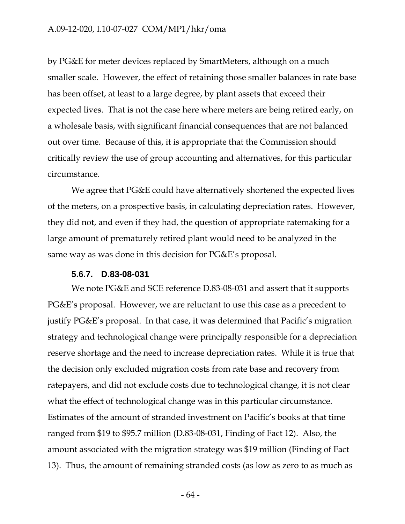### A.09-12-020, I.10-07-027 COM/MP1/hkr/oma

by PG&E for meter devices replaced by SmartMeters, although on a much smaller scale. However, the effect of retaining those smaller balances in rate base has been offset, at least to a large degree, by plant assets that exceed their expected lives. That is not the case here where meters are being retired early, on a wholesale basis, with significant financial consequences that are not balanced out over time. Because of this, it is appropriate that the Commission should critically review the use of group accounting and alternatives, for this particular circumstance.

We agree that PG&E could have alternatively shortened the expected lives of the meters, on a prospective basis, in calculating depreciation rates. However, they did not, and even if they had, the question of appropriate ratemaking for a large amount of prematurely retired plant would need to be analyzed in the same way as was done in this decision for PG&E's proposal.

#### **5.6.7. D.83-08-031**

We note PG&E and SCE reference D.83-08-031 and assert that it supports PG&E's proposal. However, we are reluctant to use this case as a precedent to justify PG&E's proposal. In that case, it was determined that Pacific's migration strategy and technological change were principally responsible for a depreciation reserve shortage and the need to increase depreciation rates. While it is true that the decision only excluded migration costs from rate base and recovery from ratepayers, and did not exclude costs due to technological change, it is not clear what the effect of technological change was in this particular circumstance. Estimates of the amount of stranded investment on Pacific's books at that time ranged from \$19 to \$95.7 million (D.83-08-031, Finding of Fact 12). Also, the amount associated with the migration strategy was \$19 million (Finding of Fact 13). Thus, the amount of remaining stranded costs (as low as zero to as much as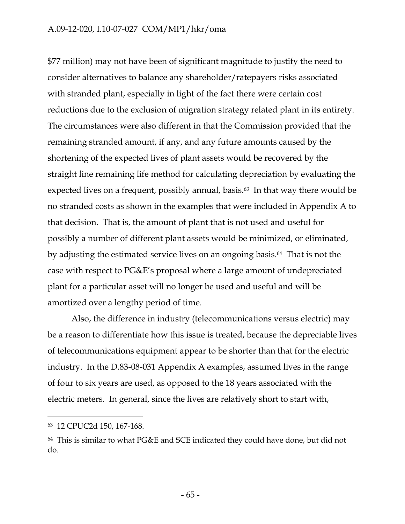### A.09-12-020, I.10-07-027 COM/MP1/hkr/oma

\$77 million) may not have been of significant magnitude to justify the need to consider alternatives to balance any shareholder/ratepayers risks associated with stranded plant, especially in light of the fact there were certain cost reductions due to the exclusion of migration strategy related plant in its entirety. The circumstances were also different in that the Commission provided that the remaining stranded amount, if any, and any future amounts caused by the shortening of the expected lives of plant assets would be recovered by the straight line remaining life method for calculating depreciation by evaluating the expected lives on a frequent, possibly annual, basis.<sup>63</sup> In that way there would be no stranded costs as shown in the examples that were included in Appendix A to that decision. That is, the amount of plant that is not used and useful for possibly a number of different plant assets would be minimized, or eliminated, by adjusting the estimated service lives on an ongoing basis.64 That is not the case with respect to PG&E's proposal where a large amount of undepreciated plant for a particular asset will no longer be used and useful and will be amortized over a lengthy period of time.

Also, the difference in industry (telecommunications versus electric) may be a reason to differentiate how this issue is treated, because the depreciable lives of telecommunications equipment appear to be shorter than that for the electric industry. In the D.83-08-031 Appendix A examples, assumed lives in the range of four to six years are used, as opposed to the 18 years associated with the electric meters. In general, since the lives are relatively short to start with,

<sup>63 12</sup> CPUC2d 150, 167-168.

<sup>64</sup> This is similar to what PG&E and SCE indicated they could have done, but did not do.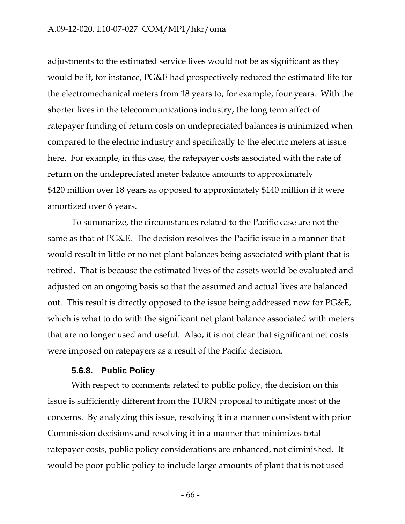adjustments to the estimated service lives would not be as significant as they would be if, for instance, PG&E had prospectively reduced the estimated life for the electromechanical meters from 18 years to, for example, four years. With the shorter lives in the telecommunications industry, the long term affect of ratepayer funding of return costs on undepreciated balances is minimized when compared to the electric industry and specifically to the electric meters at issue here. For example, in this case, the ratepayer costs associated with the rate of return on the undepreciated meter balance amounts to approximately \$420 million over 18 years as opposed to approximately \$140 million if it were amortized over 6 years.

To summarize, the circumstances related to the Pacific case are not the same as that of PG&E. The decision resolves the Pacific issue in a manner that would result in little or no net plant balances being associated with plant that is retired. That is because the estimated lives of the assets would be evaluated and adjusted on an ongoing basis so that the assumed and actual lives are balanced out. This result is directly opposed to the issue being addressed now for PG&E, which is what to do with the significant net plant balance associated with meters that are no longer used and useful. Also, it is not clear that significant net costs were imposed on ratepayers as a result of the Pacific decision.

#### **5.6.8. Public Policy**

With respect to comments related to public policy, the decision on this issue is sufficiently different from the TURN proposal to mitigate most of the concerns. By analyzing this issue, resolving it in a manner consistent with prior Commission decisions and resolving it in a manner that minimizes total ratepayer costs, public policy considerations are enhanced, not diminished. It would be poor public policy to include large amounts of plant that is not used

- 66 -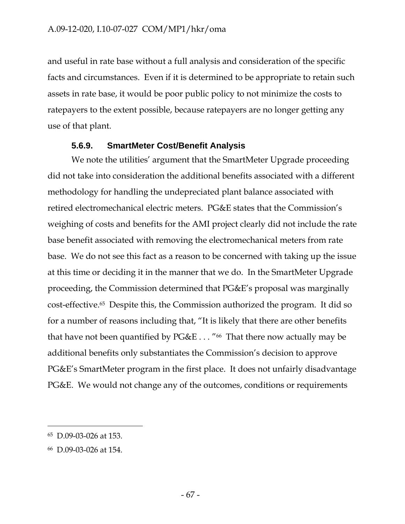and useful in rate base without a full analysis and consideration of the specific facts and circumstances. Even if it is determined to be appropriate to retain such assets in rate base, it would be poor public policy to not minimize the costs to ratepayers to the extent possible, because ratepayers are no longer getting any use of that plant.

## **5.6.9. SmartMeter Cost/Benefit Analysis**

We note the utilities' argument that the SmartMeter Upgrade proceeding did not take into consideration the additional benefits associated with a different methodology for handling the undepreciated plant balance associated with retired electromechanical electric meters. PG&E states that the Commission's weighing of costs and benefits for the AMI project clearly did not include the rate base benefit associated with removing the electromechanical meters from rate base. We do not see this fact as a reason to be concerned with taking up the issue at this time or deciding it in the manner that we do. In the SmartMeter Upgrade proceeding, the Commission determined that PG&E's proposal was marginally cost-effective.65 Despite this, the Commission authorized the program. It did so for a number of reasons including that, "It is likely that there are other benefits that have not been quantified by  $PG\&E \ldots$  "<sup>66</sup> That there now actually may be additional benefits only substantiates the Commission's decision to approve PG&E's SmartMeter program in the first place. It does not unfairly disadvantage PG&E. We would not change any of the outcomes, conditions or requirements

<sup>65</sup> D.09-03-026 at 153.

<sup>66</sup> D.09-03-026 at 154.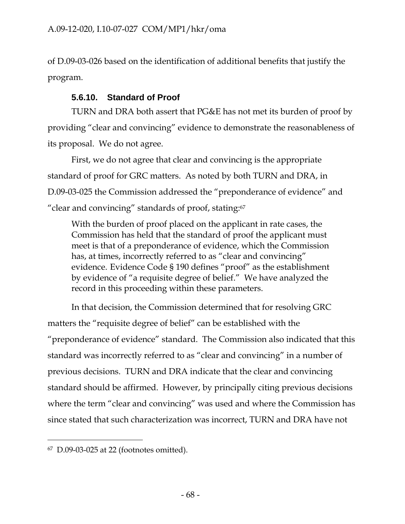of D.09-03-026 based on the identification of additional benefits that justify the program.

# **5.6.10. Standard of Proof**

TURN and DRA both assert that PG&E has not met its burden of proof by providing "clear and convincing" evidence to demonstrate the reasonableness of its proposal. We do not agree.

First, we do not agree that clear and convincing is the appropriate standard of proof for GRC matters. As noted by both TURN and DRA, in D.09-03-025 the Commission addressed the "preponderance of evidence" and "clear and convincing" standards of proof, stating:67

With the burden of proof placed on the applicant in rate cases, the Commission has held that the standard of proof the applicant must meet is that of a preponderance of evidence, which the Commission has, at times, incorrectly referred to as "clear and convincing" evidence. Evidence Code § 190 defines "proof" as the establishment by evidence of "a requisite degree of belief." We have analyzed the record in this proceeding within these parameters.

In that decision, the Commission determined that for resolving GRC matters the "requisite degree of belief" can be established with the "preponderance of evidence" standard. The Commission also indicated that this standard was incorrectly referred to as "clear and convincing" in a number of previous decisions. TURN and DRA indicate that the clear and convincing standard should be affirmed. However, by principally citing previous decisions where the term "clear and convincing" was used and where the Commission has since stated that such characterization was incorrect, TURN and DRA have not

 $\overline{a}$ 

<sup>67</sup> D.09-03-025 at 22 (footnotes omitted).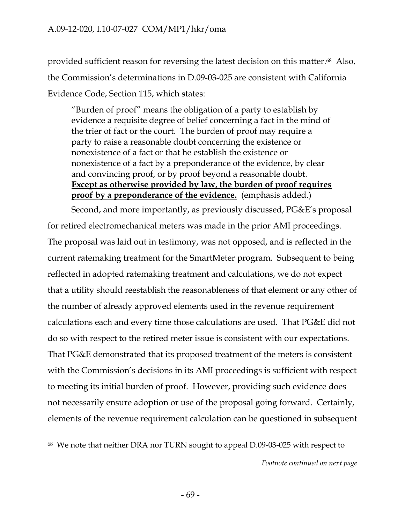provided sufficient reason for reversing the latest decision on this matter.68 Also, the Commission's determinations in D.09-03-025 are consistent with California Evidence Code, Section 115, which states:

"Burden of proof" means the obligation of a party to establish by evidence a requisite degree of belief concerning a fact in the mind of the trier of fact or the court. The burden of proof may require a party to raise a reasonable doubt concerning the existence or nonexistence of a fact or that he establish the existence or nonexistence of a fact by a preponderance of the evidence, by clear and convincing proof, or by proof beyond a reasonable doubt. **Except as otherwise provided by law, the burden of proof requires proof by a preponderance of the evidence.** (emphasis added.)

Second, and more importantly, as previously discussed, PG&E's proposal for retired electromechanical meters was made in the prior AMI proceedings. The proposal was laid out in testimony, was not opposed, and is reflected in the current ratemaking treatment for the SmartMeter program. Subsequent to being reflected in adopted ratemaking treatment and calculations, we do not expect that a utility should reestablish the reasonableness of that element or any other of the number of already approved elements used in the revenue requirement calculations each and every time those calculations are used. That PG&E did not do so with respect to the retired meter issue is consistent with our expectations. That PG&E demonstrated that its proposed treatment of the meters is consistent with the Commission's decisions in its AMI proceedings is sufficient with respect to meeting its initial burden of proof. However, providing such evidence does not necessarily ensure adoption or use of the proposal going forward. Certainly, elements of the revenue requirement calculation can be questioned in subsequent

<sup>68</sup> We note that neither DRA nor TURN sought to appeal D.09-03-025 with respect to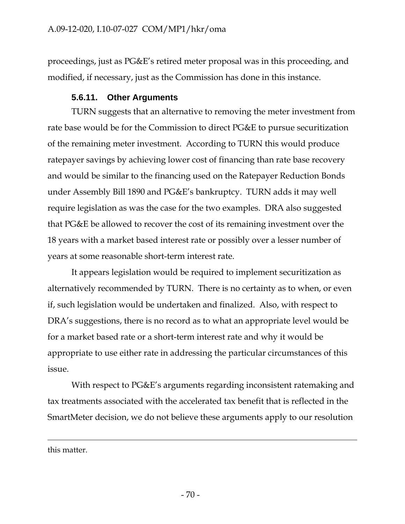proceedings, just as PG&E's retired meter proposal was in this proceeding, and modified, if necessary, just as the Commission has done in this instance.

## **5.6.11. Other Arguments**

TURN suggests that an alternative to removing the meter investment from rate base would be for the Commission to direct PG&E to pursue securitization of the remaining meter investment. According to TURN this would produce ratepayer savings by achieving lower cost of financing than rate base recovery and would be similar to the financing used on the Ratepayer Reduction Bonds under Assembly Bill 1890 and PG&E's bankruptcy. TURN adds it may well require legislation as was the case for the two examples. DRA also suggested that PG&E be allowed to recover the cost of its remaining investment over the 18 years with a market based interest rate or possibly over a lesser number of years at some reasonable short-term interest rate.

It appears legislation would be required to implement securitization as alternatively recommended by TURN. There is no certainty as to when, or even if, such legislation would be undertaken and finalized. Also, with respect to DRA's suggestions, there is no record as to what an appropriate level would be for a market based rate or a short-term interest rate and why it would be appropriate to use either rate in addressing the particular circumstances of this issue.

With respect to PG&E's arguments regarding inconsistent ratemaking and tax treatments associated with the accelerated tax benefit that is reflected in the SmartMeter decision, we do not believe these arguments apply to our resolution

this matter.

 $\overline{a}$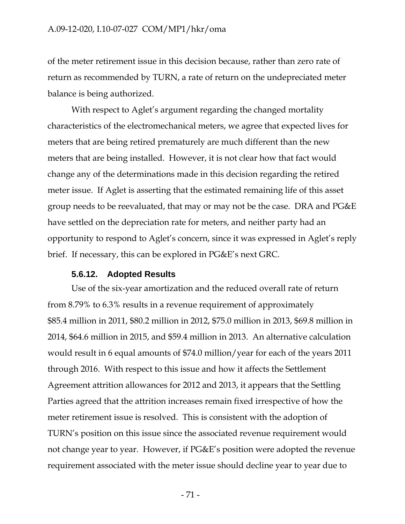of the meter retirement issue in this decision because, rather than zero rate of return as recommended by TURN, a rate of return on the undepreciated meter balance is being authorized.

With respect to Aglet's argument regarding the changed mortality characteristics of the electromechanical meters, we agree that expected lives for meters that are being retired prematurely are much different than the new meters that are being installed. However, it is not clear how that fact would change any of the determinations made in this decision regarding the retired meter issue. If Aglet is asserting that the estimated remaining life of this asset group needs to be reevaluated, that may or may not be the case. DRA and PG&E have settled on the depreciation rate for meters, and neither party had an opportunity to respond to Aglet's concern, since it was expressed in Aglet's reply brief. If necessary, this can be explored in PG&E's next GRC.

#### **5.6.12. Adopted Results**

Use of the six-year amortization and the reduced overall rate of return from 8.79% to 6.3% results in a revenue requirement of approximately \$85.4 million in 2011, \$80.2 million in 2012, \$75.0 million in 2013, \$69.8 million in 2014, \$64.6 million in 2015, and \$59.4 million in 2013. An alternative calculation would result in 6 equal amounts of \$74.0 million/year for each of the years 2011 through 2016. With respect to this issue and how it affects the Settlement Agreement attrition allowances for 2012 and 2013, it appears that the Settling Parties agreed that the attrition increases remain fixed irrespective of how the meter retirement issue is resolved. This is consistent with the adoption of TURN's position on this issue since the associated revenue requirement would not change year to year. However, if PG&E's position were adopted the revenue requirement associated with the meter issue should decline year to year due to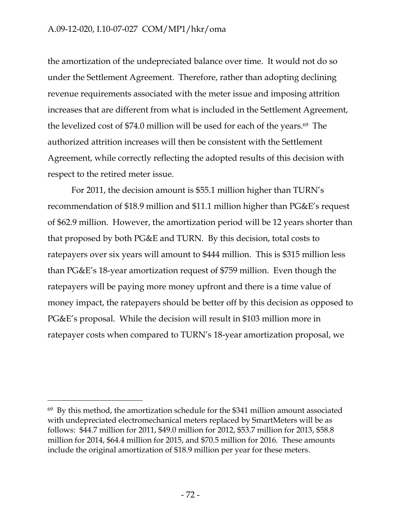the amortization of the undepreciated balance over time. It would not do so under the Settlement Agreement. Therefore, rather than adopting declining revenue requirements associated with the meter issue and imposing attrition increases that are different from what is included in the Settlement Agreement, the levelized cost of \$74.0 million will be used for each of the years.<sup>69</sup> The authorized attrition increases will then be consistent with the Settlement Agreement, while correctly reflecting the adopted results of this decision with respect to the retired meter issue.

For 2011, the decision amount is \$55.1 million higher than TURN's recommendation of \$18.9 million and \$11.1 million higher than PG&E's request of \$62.9 million. However, the amortization period will be 12 years shorter than that proposed by both PG&E and TURN. By this decision, total costs to ratepayers over six years will amount to \$444 million. This is \$315 million less than PG&E's 18-year amortization request of \$759 million. Even though the ratepayers will be paying more money upfront and there is a time value of money impact, the ratepayers should be better off by this decision as opposed to PG&E's proposal. While the decision will result in \$103 million more in ratepayer costs when compared to TURN's 18-year amortization proposal, we

-

 $69$  By this method, the amortization schedule for the \$341 million amount associated with undepreciated electromechanical meters replaced by SmartMeters will be as follows: \$44.7 million for 2011, \$49.0 million for 2012, \$53.7 million for 2013, \$58.8 million for 2014, \$64.4 million for 2015, and \$70.5 million for 2016. These amounts include the original amortization of \$18.9 million per year for these meters.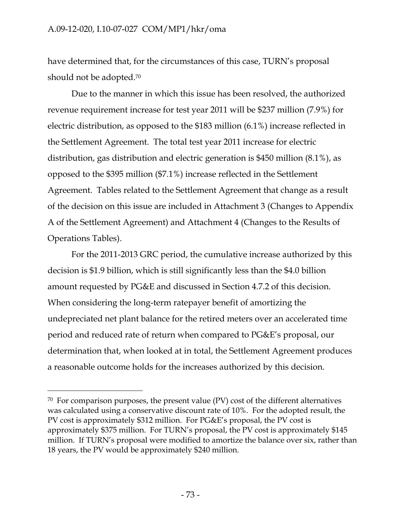have determined that, for the circumstances of this case, TURN's proposal should not be adopted.<sup>70</sup>

Due to the manner in which this issue has been resolved, the authorized revenue requirement increase for test year 2011 will be \$237 million (7.9%) for electric distribution, as opposed to the \$183 million (6.1%) increase reflected in the Settlement Agreement. The total test year 2011 increase for electric distribution, gas distribution and electric generation is \$450 million (8.1%), as opposed to the \$395 million (\$7.1%) increase reflected in the Settlement Agreement. Tables related to the Settlement Agreement that change as a result of the decision on this issue are included in Attachment 3 (Changes to Appendix A of the Settlement Agreement) and Attachment 4 (Changes to the Results of Operations Tables).

For the 2011-2013 GRC period, the cumulative increase authorized by this decision is \$1.9 billion, which is still significantly less than the \$4.0 billion amount requested by PG&E and discussed in Section 4.7.2 of this decision. When considering the long-term ratepayer benefit of amortizing the undepreciated net plant balance for the retired meters over an accelerated time period and reduced rate of return when compared to PG&E's proposal, our determination that, when looked at in total, the Settlement Agreement produces a reasonable outcome holds for the increases authorized by this decision.

-

<sup>70</sup> For comparison purposes, the present value (PV) cost of the different alternatives was calculated using a conservative discount rate of 10%. For the adopted result, the PV cost is approximately \$312 million. For PG&E's proposal, the PV cost is approximately \$375 million. For TURN's proposal, the PV cost is approximately \$145 million. If TURN's proposal were modified to amortize the balance over six, rather than 18 years, the PV would be approximately \$240 million.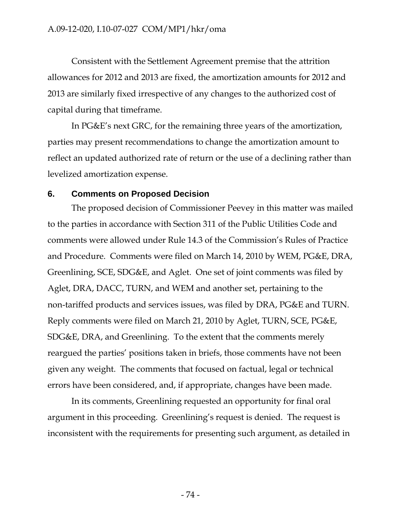Consistent with the Settlement Agreement premise that the attrition allowances for 2012 and 2013 are fixed, the amortization amounts for 2012 and 2013 are similarly fixed irrespective of any changes to the authorized cost of capital during that timeframe.

In PG&E's next GRC, for the remaining three years of the amortization, parties may present recommendations to change the amortization amount to reflect an updated authorized rate of return or the use of a declining rather than levelized amortization expense.

### **6. Comments on Proposed Decision**

The proposed decision of Commissioner Peevey in this matter was mailed to the parties in accordance with Section 311 of the Public Utilities Code and comments were allowed under Rule 14.3 of the Commission's Rules of Practice and Procedure. Comments were filed on March 14, 2010 by WEM, PG&E, DRA, Greenlining, SCE, SDG&E, and Aglet. One set of joint comments was filed by Aglet, DRA, DACC, TURN, and WEM and another set, pertaining to the non-tariffed products and services issues, was filed by DRA, PG&E and TURN. Reply comments were filed on March 21, 2010 by Aglet, TURN, SCE, PG&E, SDG&E, DRA, and Greenlining. To the extent that the comments merely reargued the parties' positions taken in briefs, those comments have not been given any weight. The comments that focused on factual, legal or technical errors have been considered, and, if appropriate, changes have been made.

In its comments, Greenlining requested an opportunity for final oral argument in this proceeding. Greenlining's request is denied. The request is inconsistent with the requirements for presenting such argument, as detailed in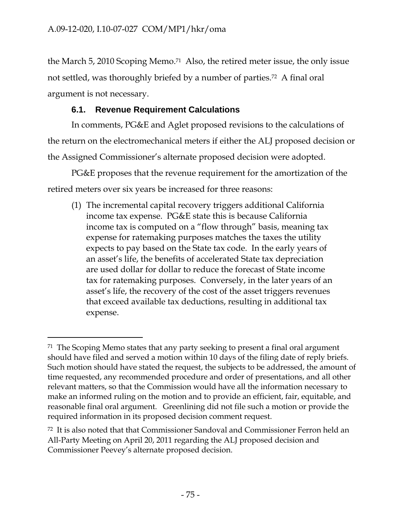$\overline{a}$ 

the March 5, 2010 Scoping Memo.71 Also, the retired meter issue, the only issue not settled, was thoroughly briefed by a number of parties.72 A final oral argument is not necessary.

# **6.1. Revenue Requirement Calculations**

In comments, PG&E and Aglet proposed revisions to the calculations of the return on the electromechanical meters if either the ALJ proposed decision or the Assigned Commissioner's alternate proposed decision were adopted.

PG&E proposes that the revenue requirement for the amortization of the retired meters over six years be increased for three reasons:

(1) The incremental capital recovery triggers additional California income tax expense. PG&E state this is because California income tax is computed on a "flow through" basis, meaning tax expense for ratemaking purposes matches the taxes the utility expects to pay based on the State tax code. In the early years of an asset's life, the benefits of accelerated State tax depreciation are used dollar for dollar to reduce the forecast of State income tax for ratemaking purposes. Conversely, in the later years of an asset's life, the recovery of the cost of the asset triggers revenues that exceed available tax deductions, resulting in additional tax expense.

<sup>&</sup>lt;sup>71</sup> The Scoping Memo states that any party seeking to present a final oral argument should have filed and served a motion within 10 days of the filing date of reply briefs. Such motion should have stated the request, the subjects to be addressed, the amount of time requested, any recommended procedure and order of presentations, and all other relevant matters, so that the Commission would have all the information necessary to make an informed ruling on the motion and to provide an efficient, fair, equitable, and reasonable final oral argument. Greenlining did not file such a motion or provide the required information in its proposed decision comment request.

<sup>72</sup> It is also noted that that Commissioner Sandoval and Commissioner Ferron held an All-Party Meeting on April 20, 2011 regarding the ALJ proposed decision and Commissioner Peevey's alternate proposed decision.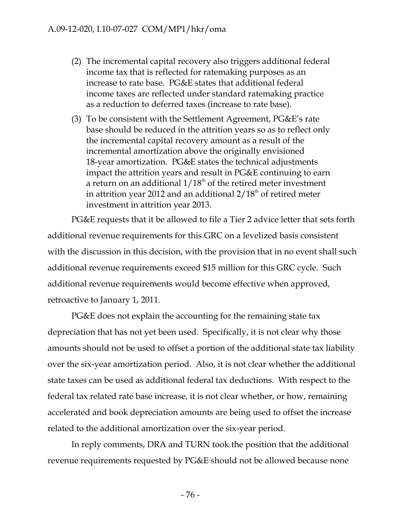- (2) The incremental capital recovery also triggers additional federal income tax that is reflected for ratemaking purposes as an increase to rate base. PG&E states that additional federal income taxes are reflected under standard ratemaking practice as a reduction to deferred taxes (increase to rate base).
- (3) To be consistent with the Settlement Agreement, PG&E's rate base should be reduced in the attrition years so as to reflect only the incremental capital recovery amount as a result of the incremental amortization above the originally envisioned 18-year amortization. PG&E states the technical adjustments impact the attrition years and result in PG&E continuing to earn a return on an additional  $1/18<sup>th</sup>$  of the retired meter investment in attrition year 2012 and an additional  $2/18<sup>th</sup>$  of retired meter investment in attrition year 2013.

PG&E requests that it be allowed to file a Tier 2 advice letter that sets forth additional revenue requirements for this GRC on a levelized basis consistent with the discussion in this decision, with the provision that in no event shall such additional revenue requirements exceed \$15 million for this GRC cycle. Such additional revenue requirements would become effective when approved, retroactive to January 1, 2011.

PG&E does not explain the accounting for the remaining state tax depreciation that has not yet been used. Specifically, it is not clear why those amounts should not be used to offset a portion of the additional state tax liability over the six-year amortization period. Also, it is not clear whether the additional state taxes can be used as additional federal tax deductions. With respect to the federal tax related rate base increase, it is not clear whether, or how, remaining accelerated and book depreciation amounts are being used to offset the increase related to the additional amortization over the six-year period.

In reply comments, DRA and TURN took the position that the additional revenue requirements requested by PG&E should not be allowed because none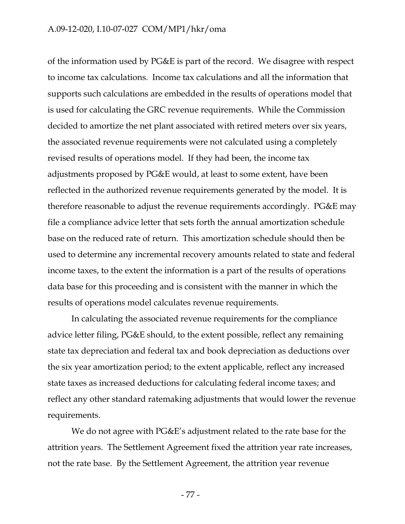of the information used by PG&E is part of the record. We disagree with respect to income tax calculations. Income tax calculations and all the information that supports such calculations are embedded in the results of operations model that is used for calculating the GRC revenue requirements. While the Commission decided to amortize the net plant associated with retired meters over six years, the associated revenue requirements were not calculated using a completely revised results of operations model. If they had been, the income tax adjustments proposed by PG&E would, at least to some extent, have been reflected in the authorized revenue requirements generated by the model. It is therefore reasonable to adjust the revenue requirements accordingly. PG&E may file a compliance advice letter that sets forth the annual amortization schedule base on the reduced rate of return. This amortization schedule should then be used to determine any incremental recovery amounts related to state and federal income taxes, to the extent the information is a part of the results of operations data base for this proceeding and is consistent with the manner in which the results of operations model calculates revenue requirements.

In calculating the associated revenue requirements for the compliance advice letter filing, PG&E should, to the extent possible, reflect any remaining state tax depreciation and federal tax and book depreciation as deductions over the six year amortization period; to the extent applicable, reflect any increased state taxes as increased deductions for calculating federal income taxes; and reflect any other standard ratemaking adjustments that would lower the revenue requirements.

We do not agree with PG&E's adjustment related to the rate base for the attrition years. The Settlement Agreement fixed the attrition year rate increases, not the rate base. By the Settlement Agreement, the attrition year revenue

- 77 -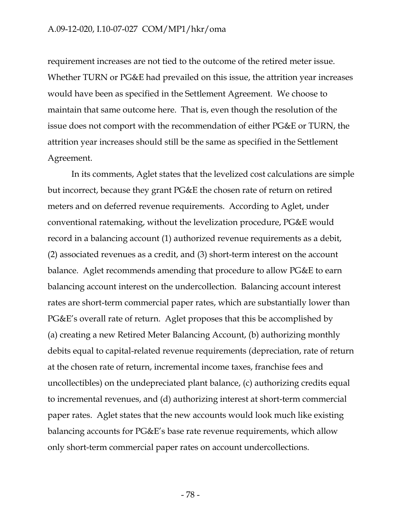#### A.09-12-020, I.10-07-027 COM/MP1/hkr/oma

requirement increases are not tied to the outcome of the retired meter issue. Whether TURN or PG&E had prevailed on this issue, the attrition year increases would have been as specified in the Settlement Agreement. We choose to maintain that same outcome here. That is, even though the resolution of the issue does not comport with the recommendation of either PG&E or TURN, the attrition year increases should still be the same as specified in the Settlement Agreement.

In its comments, Aglet states that the levelized cost calculations are simple but incorrect, because they grant PG&E the chosen rate of return on retired meters and on deferred revenue requirements. According to Aglet, under conventional ratemaking, without the levelization procedure, PG&E would record in a balancing account (1) authorized revenue requirements as a debit, (2) associated revenues as a credit, and (3) short-term interest on the account balance. Aglet recommends amending that procedure to allow PG&E to earn balancing account interest on the undercollection. Balancing account interest rates are short-term commercial paper rates, which are substantially lower than PG&E's overall rate of return. Aglet proposes that this be accomplished by (a) creating a new Retired Meter Balancing Account, (b) authorizing monthly debits equal to capital-related revenue requirements (depreciation, rate of return at the chosen rate of return, incremental income taxes, franchise fees and uncollectibles) on the undepreciated plant balance, (c) authorizing credits equal to incremental revenues, and (d) authorizing interest at short-term commercial paper rates. Aglet states that the new accounts would look much like existing balancing accounts for PG&E's base rate revenue requirements, which allow only short-term commercial paper rates on account undercollections.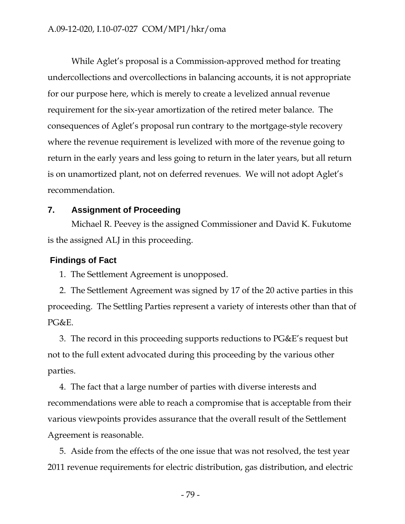While Aglet's proposal is a Commission-approved method for treating undercollections and overcollections in balancing accounts, it is not appropriate for our purpose here, which is merely to create a levelized annual revenue requirement for the six-year amortization of the retired meter balance. The consequences of Aglet's proposal run contrary to the mortgage-style recovery where the revenue requirement is levelized with more of the revenue going to return in the early years and less going to return in the later years, but all return is on unamortized plant, not on deferred revenues. We will not adopt Aglet's recommendation.

# **7. Assignment of Proceeding**

Michael R. Peevey is the assigned Commissioner and David K. Fukutome is the assigned ALJ in this proceeding.

## **Findings of Fact**

1. The Settlement Agreement is unopposed.

2. The Settlement Agreement was signed by 17 of the 20 active parties in this proceeding. The Settling Parties represent a variety of interests other than that of PG&E.

3. The record in this proceeding supports reductions to PG&E's request but not to the full extent advocated during this proceeding by the various other parties.

4. The fact that a large number of parties with diverse interests and recommendations were able to reach a compromise that is acceptable from their various viewpoints provides assurance that the overall result of the Settlement Agreement is reasonable.

5. Aside from the effects of the one issue that was not resolved, the test year 2011 revenue requirements for electric distribution, gas distribution, and electric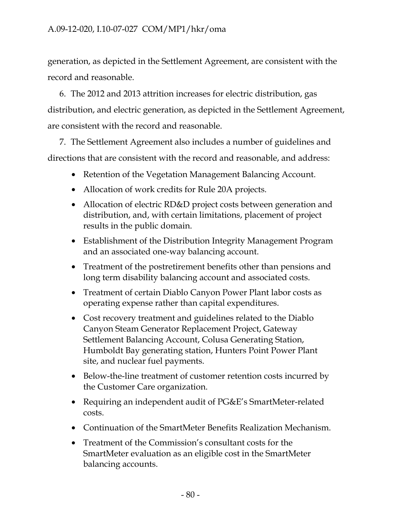generation, as depicted in the Settlement Agreement, are consistent with the record and reasonable.

6. The 2012 and 2013 attrition increases for electric distribution, gas distribution, and electric generation, as depicted in the Settlement Agreement, are consistent with the record and reasonable.

7. The Settlement Agreement also includes a number of guidelines and directions that are consistent with the record and reasonable, and address:

- Retention of the Vegetation Management Balancing Account.
- Allocation of work credits for Rule 20A projects.
- Allocation of electric RD&D project costs between generation and distribution, and, with certain limitations, placement of project results in the public domain.
- Establishment of the Distribution Integrity Management Program and an associated one-way balancing account.
- Treatment of the postretirement benefits other than pensions and long term disability balancing account and associated costs.
- Treatment of certain Diablo Canyon Power Plant labor costs as operating expense rather than capital expenditures.
- Cost recovery treatment and guidelines related to the Diablo Canyon Steam Generator Replacement Project, Gateway Settlement Balancing Account, Colusa Generating Station, Humboldt Bay generating station, Hunters Point Power Plant site, and nuclear fuel payments.
- Below-the-line treatment of customer retention costs incurred by the Customer Care organization.
- Requiring an independent audit of PG&E's SmartMeter-related costs.
- Continuation of the SmartMeter Benefits Realization Mechanism.
- Treatment of the Commission's consultant costs for the SmartMeter evaluation as an eligible cost in the SmartMeter balancing accounts.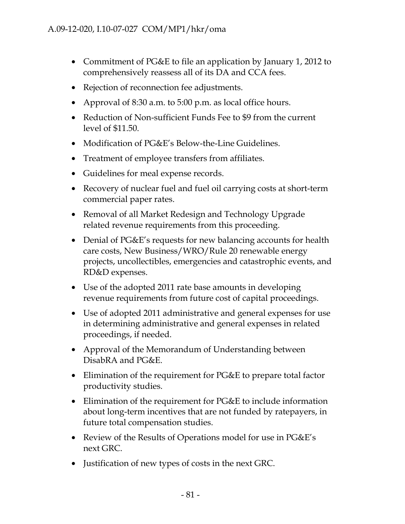- Commitment of PG&E to file an application by January 1, 2012 to comprehensively reassess all of its DA and CCA fees.
- Rejection of reconnection fee adjustments.
- Approval of 8:30 a.m. to 5:00 p.m. as local office hours.
- Reduction of Non-sufficient Funds Fee to \$9 from the current level of \$11.50.
- Modification of PG&E's Below-the-Line Guidelines.
- Treatment of employee transfers from affiliates.
- Guidelines for meal expense records.
- Recovery of nuclear fuel and fuel oil carrying costs at short-term commercial paper rates.
- Removal of all Market Redesign and Technology Upgrade related revenue requirements from this proceeding.
- Denial of PG&E's requests for new balancing accounts for health care costs, New Business/WRO/Rule 20 renewable energy projects, uncollectibles, emergencies and catastrophic events, and RD&D expenses.
- Use of the adopted 2011 rate base amounts in developing revenue requirements from future cost of capital proceedings.
- Use of adopted 2011 administrative and general expenses for use in determining administrative and general expenses in related proceedings, if needed.
- Approval of the Memorandum of Understanding between DisabRA and PG&E.
- Elimination of the requirement for PG&E to prepare total factor productivity studies.
- Elimination of the requirement for PG&E to include information about long-term incentives that are not funded by ratepayers, in future total compensation studies.
- Review of the Results of Operations model for use in PG&E's next GRC.
- Justification of new types of costs in the next GRC.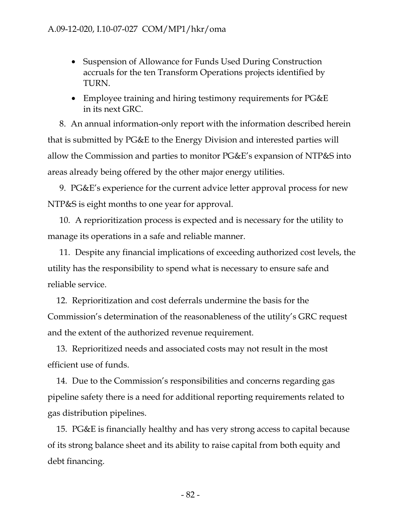- Suspension of Allowance for Funds Used During Construction accruals for the ten Transform Operations projects identified by TURN.
- Employee training and hiring testimony requirements for PG&E in its next GRC.

8. An annual information-only report with the information described herein that is submitted by PG&E to the Energy Division and interested parties will allow the Commission and parties to monitor PG&E's expansion of NTP&S into areas already being offered by the other major energy utilities.

9. PG&E's experience for the current advice letter approval process for new NTP&S is eight months to one year for approval.

10. A reprioritization process is expected and is necessary for the utility to manage its operations in a safe and reliable manner.

11. Despite any financial implications of exceeding authorized cost levels, the utility has the responsibility to spend what is necessary to ensure safe and reliable service.

12. Reprioritization and cost deferrals undermine the basis for the Commission's determination of the reasonableness of the utility's GRC request and the extent of the authorized revenue requirement.

13. Reprioritized needs and associated costs may not result in the most efficient use of funds.

14. Due to the Commission's responsibilities and concerns regarding gas pipeline safety there is a need for additional reporting requirements related to gas distribution pipelines.

15. PG&E is financially healthy and has very strong access to capital because of its strong balance sheet and its ability to raise capital from both equity and debt financing.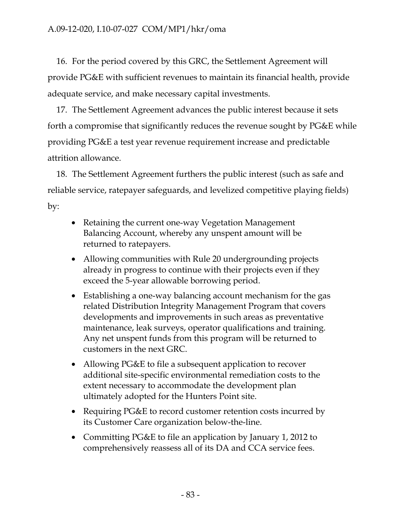16. For the period covered by this GRC, the Settlement Agreement will provide PG&E with sufficient revenues to maintain its financial health, provide adequate service, and make necessary capital investments.

17. The Settlement Agreement advances the public interest because it sets forth a compromise that significantly reduces the revenue sought by PG&E while providing PG&E a test year revenue requirement increase and predictable attrition allowance.

18. The Settlement Agreement furthers the public interest (such as safe and reliable service, ratepayer safeguards, and levelized competitive playing fields) by:

- Retaining the current one-way Vegetation Management Balancing Account, whereby any unspent amount will be returned to ratepayers.
- Allowing communities with Rule 20 undergrounding projects already in progress to continue with their projects even if they exceed the 5-year allowable borrowing period.
- Establishing a one-way balancing account mechanism for the gas related Distribution Integrity Management Program that covers developments and improvements in such areas as preventative maintenance, leak surveys, operator qualifications and training. Any net unspent funds from this program will be returned to customers in the next GRC.
- Allowing PG&E to file a subsequent application to recover additional site-specific environmental remediation costs to the extent necessary to accommodate the development plan ultimately adopted for the Hunters Point site.
- Requiring PG&E to record customer retention costs incurred by its Customer Care organization below-the-line.
- Committing PG&E to file an application by January 1, 2012 to comprehensively reassess all of its DA and CCA service fees.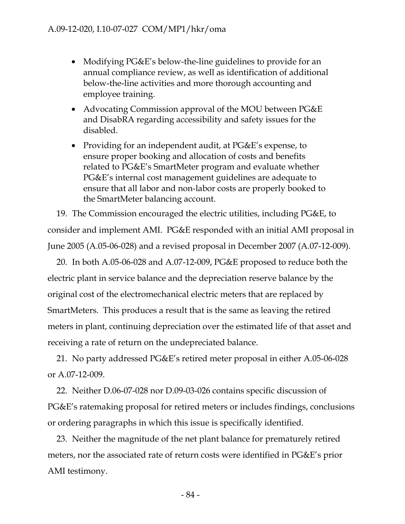- Modifying PG&E's below-the-line guidelines to provide for an annual compliance review, as well as identification of additional below-the-line activities and more thorough accounting and employee training.
- Advocating Commission approval of the MOU between PG&E and DisabRA regarding accessibility and safety issues for the disabled.
- Providing for an independent audit, at PG&E's expense, to ensure proper booking and allocation of costs and benefits related to PG&E's SmartMeter program and evaluate whether PG&E's internal cost management guidelines are adequate to ensure that all labor and non-labor costs are properly booked to the SmartMeter balancing account.

19. The Commission encouraged the electric utilities, including PG&E, to consider and implement AMI. PG&E responded with an initial AMI proposal in June 2005 (A.05-06-028) and a revised proposal in December 2007 (A.07-12-009).

20. In both A.05-06-028 and A.07-12-009, PG&E proposed to reduce both the electric plant in service balance and the depreciation reserve balance by the original cost of the electromechanical electric meters that are replaced by SmartMeters. This produces a result that is the same as leaving the retired meters in plant, continuing depreciation over the estimated life of that asset and receiving a rate of return on the undepreciated balance.

21. No party addressed PG&E's retired meter proposal in either A.05-06-028 or A.07-12-009.

22. Neither D.06-07-028 nor D.09-03-026 contains specific discussion of PG&E's ratemaking proposal for retired meters or includes findings, conclusions or ordering paragraphs in which this issue is specifically identified.

23. Neither the magnitude of the net plant balance for prematurely retired meters, nor the associated rate of return costs were identified in PG&E's prior AMI testimony.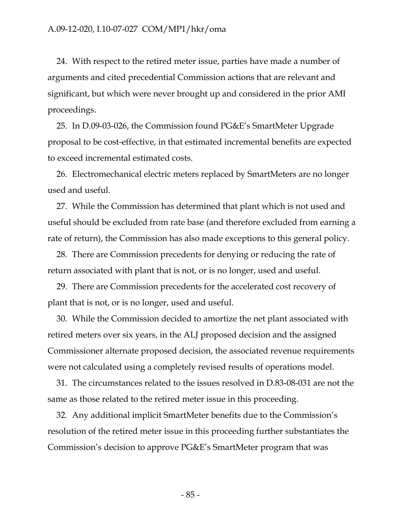24. With respect to the retired meter issue, parties have made a number of arguments and cited precedential Commission actions that are relevant and significant, but which were never brought up and considered in the prior AMI proceedings.

25. In D.09-03-026, the Commission found PG&E's SmartMeter Upgrade proposal to be cost-effective, in that estimated incremental benefits are expected to exceed incremental estimated costs.

26. Electromechanical electric meters replaced by SmartMeters are no longer used and useful.

27. While the Commission has determined that plant which is not used and useful should be excluded from rate base (and therefore excluded from earning a rate of return), the Commission has also made exceptions to this general policy.

28. There are Commission precedents for denying or reducing the rate of return associated with plant that is not, or is no longer, used and useful.

29. There are Commission precedents for the accelerated cost recovery of plant that is not, or is no longer, used and useful.

30. While the Commission decided to amortize the net plant associated with retired meters over six years, in the ALJ proposed decision and the assigned Commissioner alternate proposed decision, the associated revenue requirements were not calculated using a completely revised results of operations model.

31. The circumstances related to the issues resolved in D.83-08-031 are not the same as those related to the retired meter issue in this proceeding.

32. Any additional implicit SmartMeter benefits due to the Commission's resolution of the retired meter issue in this proceeding further substantiates the Commission's decision to approve PG&E's SmartMeter program that was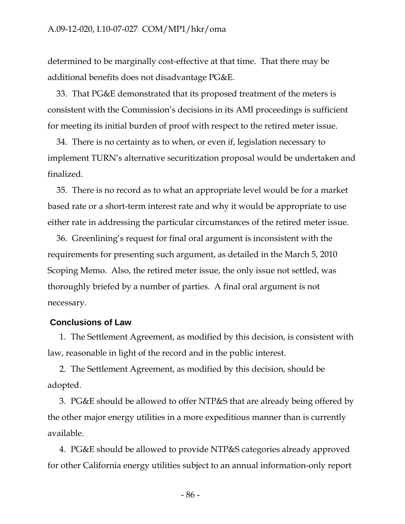determined to be marginally cost-effective at that time. That there may be additional benefits does not disadvantage PG&E.

33. That PG&E demonstrated that its proposed treatment of the meters is consistent with the Commission's decisions in its AMI proceedings is sufficient for meeting its initial burden of proof with respect to the retired meter issue.

34. There is no certainty as to when, or even if, legislation necessary to implement TURN's alternative securitization proposal would be undertaken and finalized.

35. There is no record as to what an appropriate level would be for a market based rate or a short-term interest rate and why it would be appropriate to use either rate in addressing the particular circumstances of the retired meter issue.

36. Greenlining's request for final oral argument is inconsistent with the requirements for presenting such argument, as detailed in the March 5, 2010 Scoping Memo. Also, the retired meter issue, the only issue not settled, was thoroughly briefed by a number of parties. A final oral argument is not necessary.

#### **Conclusions of Law**

1. The Settlement Agreement, as modified by this decision, is consistent with law, reasonable in light of the record and in the public interest.

2. The Settlement Agreement, as modified by this decision, should be adopted.

3. PG&E should be allowed to offer NTP&S that are already being offered by the other major energy utilities in a more expeditious manner than is currently available.

4. PG&E should be allowed to provide NTP&S categories already approved for other California energy utilities subject to an annual information-only report

- 86 -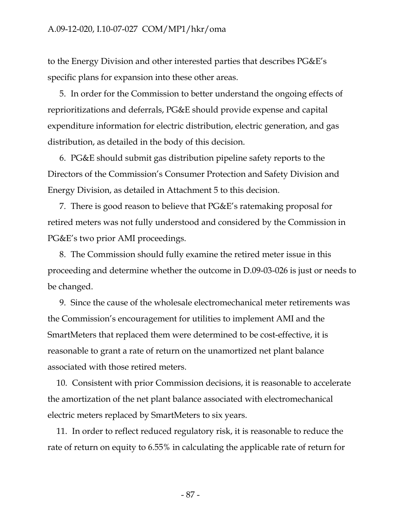to the Energy Division and other interested parties that describes PG&E's specific plans for expansion into these other areas.

5. In order for the Commission to better understand the ongoing effects of reprioritizations and deferrals, PG&E should provide expense and capital expenditure information for electric distribution, electric generation, and gas distribution, as detailed in the body of this decision.

6. PG&E should submit gas distribution pipeline safety reports to the Directors of the Commission's Consumer Protection and Safety Division and Energy Division, as detailed in Attachment 5 to this decision.

7. There is good reason to believe that PG&E's ratemaking proposal for retired meters was not fully understood and considered by the Commission in PG&E's two prior AMI proceedings.

8. The Commission should fully examine the retired meter issue in this proceeding and determine whether the outcome in D.09-03-026 is just or needs to be changed.

9. Since the cause of the wholesale electromechanical meter retirements was the Commission's encouragement for utilities to implement AMI and the SmartMeters that replaced them were determined to be cost-effective, it is reasonable to grant a rate of return on the unamortized net plant balance associated with those retired meters.

10. Consistent with prior Commission decisions, it is reasonable to accelerate the amortization of the net plant balance associated with electromechanical electric meters replaced by SmartMeters to six years.

11. In order to reflect reduced regulatory risk, it is reasonable to reduce the rate of return on equity to 6.55% in calculating the applicable rate of return for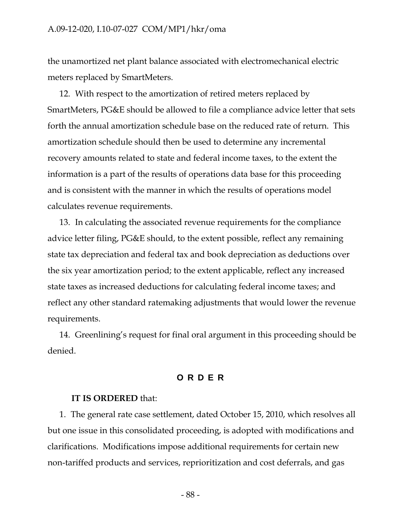#### A.09-12-020, I.10-07-027 COM/MP1/hkr/oma

the unamortized net plant balance associated with electromechanical electric meters replaced by SmartMeters.

12. With respect to the amortization of retired meters replaced by SmartMeters, PG&E should be allowed to file a compliance advice letter that sets forth the annual amortization schedule base on the reduced rate of return. This amortization schedule should then be used to determine any incremental recovery amounts related to state and federal income taxes, to the extent the information is a part of the results of operations data base for this proceeding and is consistent with the manner in which the results of operations model calculates revenue requirements.

13. In calculating the associated revenue requirements for the compliance advice letter filing, PG&E should, to the extent possible, reflect any remaining state tax depreciation and federal tax and book depreciation as deductions over the six year amortization period; to the extent applicable, reflect any increased state taxes as increased deductions for calculating federal income taxes; and reflect any other standard ratemaking adjustments that would lower the revenue requirements.

14. Greenlining's request for final oral argument in this proceeding should be denied.

### **ORDER**

#### **IT IS ORDERED** that:

1. The general rate case settlement, dated October 15, 2010, which resolves all but one issue in this consolidated proceeding, is adopted with modifications and clarifications. Modifications impose additional requirements for certain new non-tariffed products and services, reprioritization and cost deferrals, and gas

- 88 -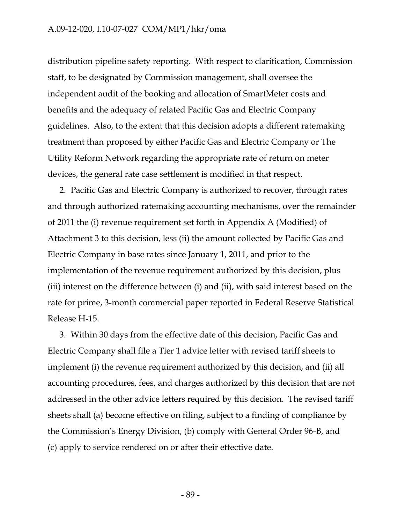distribution pipeline safety reporting. With respect to clarification, Commission staff, to be designated by Commission management, shall oversee the independent audit of the booking and allocation of SmartMeter costs and benefits and the adequacy of related Pacific Gas and Electric Company guidelines. Also, to the extent that this decision adopts a different ratemaking treatment than proposed by either Pacific Gas and Electric Company or The Utility Reform Network regarding the appropriate rate of return on meter devices, the general rate case settlement is modified in that respect.

2. Pacific Gas and Electric Company is authorized to recover, through rates and through authorized ratemaking accounting mechanisms, over the remainder of 2011 the (i) revenue requirement set forth in Appendix A (Modified) of Attachment 3 to this decision, less (ii) the amount collected by Pacific Gas and Electric Company in base rates since January 1, 2011, and prior to the implementation of the revenue requirement authorized by this decision, plus (iii) interest on the difference between (i) and (ii), with said interest based on the rate for prime, 3-month commercial paper reported in Federal Reserve Statistical Release H-15.

3. Within 30 days from the effective date of this decision, Pacific Gas and Electric Company shall file a Tier 1 advice letter with revised tariff sheets to implement (i) the revenue requirement authorized by this decision, and (ii) all accounting procedures, fees, and charges authorized by this decision that are not addressed in the other advice letters required by this decision. The revised tariff sheets shall (a) become effective on filing, subject to a finding of compliance by the Commission's Energy Division, (b) comply with General Order 96-B, and (c) apply to service rendered on or after their effective date.

- 89 -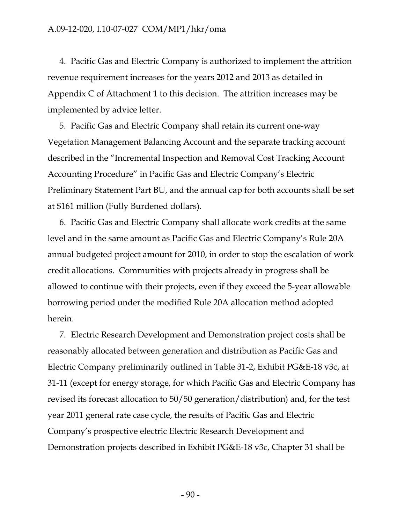4. Pacific Gas and Electric Company is authorized to implement the attrition revenue requirement increases for the years 2012 and 2013 as detailed in Appendix C of Attachment 1 to this decision. The attrition increases may be implemented by advice letter.

5. Pacific Gas and Electric Company shall retain its current one-way Vegetation Management Balancing Account and the separate tracking account described in the "Incremental Inspection and Removal Cost Tracking Account Accounting Procedure" in Pacific Gas and Electric Company's Electric Preliminary Statement Part BU, and the annual cap for both accounts shall be set at \$161 million (Fully Burdened dollars).

6. Pacific Gas and Electric Company shall allocate work credits at the same level and in the same amount as Pacific Gas and Electric Company's Rule 20A annual budgeted project amount for 2010, in order to stop the escalation of work credit allocations. Communities with projects already in progress shall be allowed to continue with their projects, even if they exceed the 5-year allowable borrowing period under the modified Rule 20A allocation method adopted herein.

7. Electric Research Development and Demonstration project costs shall be reasonably allocated between generation and distribution as Pacific Gas and Electric Company preliminarily outlined in Table 31-2, Exhibit PG&E-18 v3c, at 31-11 (except for energy storage, for which Pacific Gas and Electric Company has revised its forecast allocation to 50/50 generation/distribution) and, for the test year 2011 general rate case cycle, the results of Pacific Gas and Electric Company's prospective electric Electric Research Development and Demonstration projects described in Exhibit PG&E-18 v3c, Chapter 31 shall be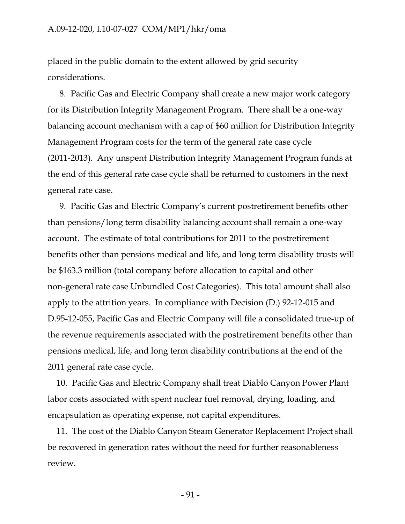#### A.09-12-020, I.10-07-027 COM/MP1/hkr/oma

placed in the public domain to the extent allowed by grid security considerations.

8. Pacific Gas and Electric Company shall create a new major work category for its Distribution Integrity Management Program. There shall be a one-way balancing account mechanism with a cap of \$60 million for Distribution Integrity Management Program costs for the term of the general rate case cycle (2011-2013). Any unspent Distribution Integrity Management Program funds at the end of this general rate case cycle shall be returned to customers in the next general rate case.

9. Pacific Gas and Electric Company's current postretirement benefits other than pensions/long term disability balancing account shall remain a one-way account. The estimate of total contributions for 2011 to the postretirement benefits other than pensions medical and life, and long term disability trusts will be \$163.3 million (total company before allocation to capital and other non-general rate case Unbundled Cost Categories). This total amount shall also apply to the attrition years. In compliance with Decision (D.) 92-12-015 and D.95-12-055, Pacific Gas and Electric Company will file a consolidated true-up of the revenue requirements associated with the postretirement benefits other than pensions medical, life, and long term disability contributions at the end of the 2011 general rate case cycle.

10. Pacific Gas and Electric Company shall treat Diablo Canyon Power Plant labor costs associated with spent nuclear fuel removal, drying, loading, and encapsulation as operating expense, not capital expenditures.

11. The cost of the Diablo Canyon Steam Generator Replacement Project shall be recovered in generation rates without the need for further reasonableness review.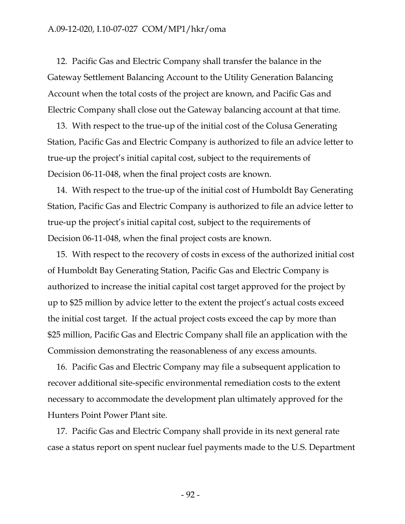12. Pacific Gas and Electric Company shall transfer the balance in the Gateway Settlement Balancing Account to the Utility Generation Balancing Account when the total costs of the project are known, and Pacific Gas and Electric Company shall close out the Gateway balancing account at that time.

13. With respect to the true-up of the initial cost of the Colusa Generating Station, Pacific Gas and Electric Company is authorized to file an advice letter to true-up the project's initial capital cost, subject to the requirements of Decision 06-11-048, when the final project costs are known.

14. With respect to the true-up of the initial cost of Humboldt Bay Generating Station, Pacific Gas and Electric Company is authorized to file an advice letter to true-up the project's initial capital cost, subject to the requirements of Decision 06-11-048, when the final project costs are known.

15. With respect to the recovery of costs in excess of the authorized initial cost of Humboldt Bay Generating Station, Pacific Gas and Electric Company is authorized to increase the initial capital cost target approved for the project by up to \$25 million by advice letter to the extent the project's actual costs exceed the initial cost target. If the actual project costs exceed the cap by more than \$25 million, Pacific Gas and Electric Company shall file an application with the Commission demonstrating the reasonableness of any excess amounts.

16. Pacific Gas and Electric Company may file a subsequent application to recover additional site-specific environmental remediation costs to the extent necessary to accommodate the development plan ultimately approved for the Hunters Point Power Plant site.

17. Pacific Gas and Electric Company shall provide in its next general rate case a status report on spent nuclear fuel payments made to the U.S. Department

- 92 -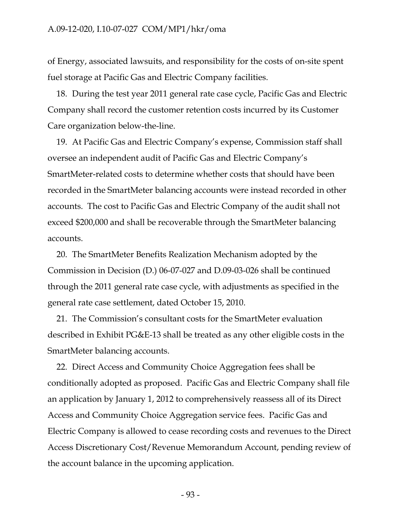of Energy, associated lawsuits, and responsibility for the costs of on-site spent fuel storage at Pacific Gas and Electric Company facilities.

18. During the test year 2011 general rate case cycle, Pacific Gas and Electric Company shall record the customer retention costs incurred by its Customer Care organization below-the-line.

19. At Pacific Gas and Electric Company's expense, Commission staff shall oversee an independent audit of Pacific Gas and Electric Company's SmartMeter-related costs to determine whether costs that should have been recorded in the SmartMeter balancing accounts were instead recorded in other accounts. The cost to Pacific Gas and Electric Company of the audit shall not exceed \$200,000 and shall be recoverable through the SmartMeter balancing accounts.

20. The SmartMeter Benefits Realization Mechanism adopted by the Commission in Decision (D.) 06-07-027 and D.09-03-026 shall be continued through the 2011 general rate case cycle, with adjustments as specified in the general rate case settlement, dated October 15, 2010.

21. The Commission's consultant costs for the SmartMeter evaluation described in Exhibit PG&E-13 shall be treated as any other eligible costs in the SmartMeter balancing accounts.

22. Direct Access and Community Choice Aggregation fees shall be conditionally adopted as proposed. Pacific Gas and Electric Company shall file an application by January 1, 2012 to comprehensively reassess all of its Direct Access and Community Choice Aggregation service fees. Pacific Gas and Electric Company is allowed to cease recording costs and revenues to the Direct Access Discretionary Cost/Revenue Memorandum Account, pending review of the account balance in the upcoming application.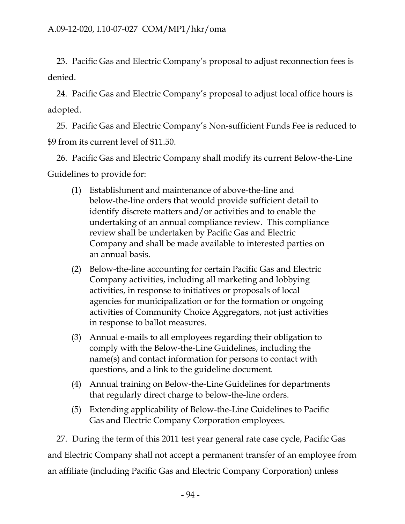23. Pacific Gas and Electric Company's proposal to adjust reconnection fees is denied.

24. Pacific Gas and Electric Company's proposal to adjust local office hours is adopted.

25. Pacific Gas and Electric Company's Non-sufficient Funds Fee is reduced to \$9 from its current level of \$11.50.

26. Pacific Gas and Electric Company shall modify its current Below-the-Line Guidelines to provide for:

- (1) Establishment and maintenance of above-the-line and below-the-line orders that would provide sufficient detail to identify discrete matters and/or activities and to enable the undertaking of an annual compliance review. This compliance review shall be undertaken by Pacific Gas and Electric Company and shall be made available to interested parties on an annual basis.
- (2) Below-the-line accounting for certain Pacific Gas and Electric Company activities, including all marketing and lobbying activities, in response to initiatives or proposals of local agencies for municipalization or for the formation or ongoing activities of Community Choice Aggregators, not just activities in response to ballot measures.
- (3) Annual e-mails to all employees regarding their obligation to comply with the Below-the-Line Guidelines, including the name(s) and contact information for persons to contact with questions, and a link to the guideline document.
- (4) Annual training on Below-the-Line Guidelines for departments that regularly direct charge to below-the-line orders.
- (5) Extending applicability of Below-the-Line Guidelines to Pacific Gas and Electric Company Corporation employees.

27. During the term of this 2011 test year general rate case cycle, Pacific Gas and Electric Company shall not accept a permanent transfer of an employee from an affiliate (including Pacific Gas and Electric Company Corporation) unless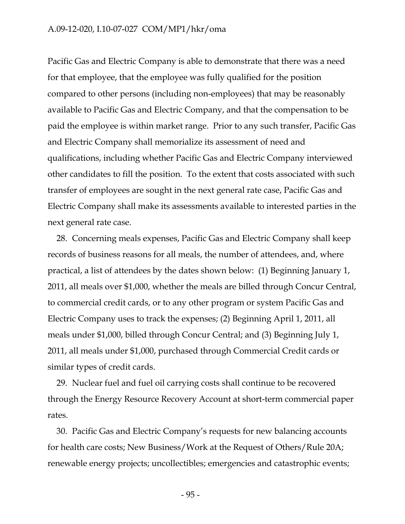#### A.09-12-020, I.10-07-027 COM/MP1/hkr/oma

Pacific Gas and Electric Company is able to demonstrate that there was a need for that employee, that the employee was fully qualified for the position compared to other persons (including non-employees) that may be reasonably available to Pacific Gas and Electric Company, and that the compensation to be paid the employee is within market range. Prior to any such transfer, Pacific Gas and Electric Company shall memorialize its assessment of need and qualifications, including whether Pacific Gas and Electric Company interviewed other candidates to fill the position. To the extent that costs associated with such transfer of employees are sought in the next general rate case, Pacific Gas and Electric Company shall make its assessments available to interested parties in the next general rate case.

28. Concerning meals expenses, Pacific Gas and Electric Company shall keep records of business reasons for all meals, the number of attendees, and, where practical, a list of attendees by the dates shown below: (1) Beginning January 1, 2011, all meals over \$1,000, whether the meals are billed through Concur Central, to commercial credit cards, or to any other program or system Pacific Gas and Electric Company uses to track the expenses; (2) Beginning April 1, 2011, all meals under \$1,000, billed through Concur Central; and (3) Beginning July 1, 2011, all meals under \$1,000, purchased through Commercial Credit cards or similar types of credit cards.

29. Nuclear fuel and fuel oil carrying costs shall continue to be recovered through the Energy Resource Recovery Account at short-term commercial paper rates.

30. Pacific Gas and Electric Company's requests for new balancing accounts for health care costs; New Business/Work at the Request of Others/Rule 20A; renewable energy projects; uncollectibles; emergencies and catastrophic events;

- 95 -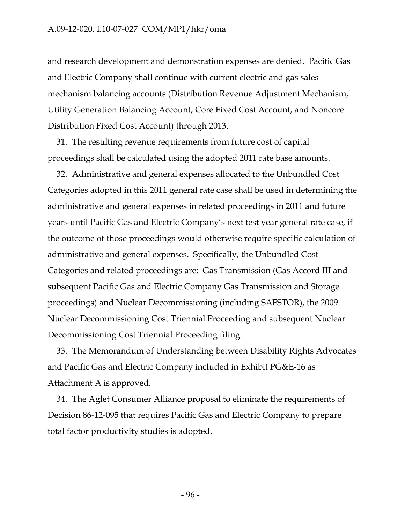and research development and demonstration expenses are denied. Pacific Gas and Electric Company shall continue with current electric and gas sales mechanism balancing accounts (Distribution Revenue Adjustment Mechanism, Utility Generation Balancing Account, Core Fixed Cost Account, and Noncore Distribution Fixed Cost Account) through 2013.

31. The resulting revenue requirements from future cost of capital proceedings shall be calculated using the adopted 2011 rate base amounts.

32. Administrative and general expenses allocated to the Unbundled Cost Categories adopted in this 2011 general rate case shall be used in determining the administrative and general expenses in related proceedings in 2011 and future years until Pacific Gas and Electric Company's next test year general rate case, if the outcome of those proceedings would otherwise require specific calculation of administrative and general expenses. Specifically, the Unbundled Cost Categories and related proceedings are: Gas Transmission (Gas Accord III and subsequent Pacific Gas and Electric Company Gas Transmission and Storage proceedings) and Nuclear Decommissioning (including SAFSTOR), the 2009 Nuclear Decommissioning Cost Triennial Proceeding and subsequent Nuclear Decommissioning Cost Triennial Proceeding filing.

33. The Memorandum of Understanding between Disability Rights Advocates and Pacific Gas and Electric Company included in Exhibit PG&E-16 as Attachment A is approved.

34. The Aglet Consumer Alliance proposal to eliminate the requirements of Decision 86-12-095 that requires Pacific Gas and Electric Company to prepare total factor productivity studies is adopted.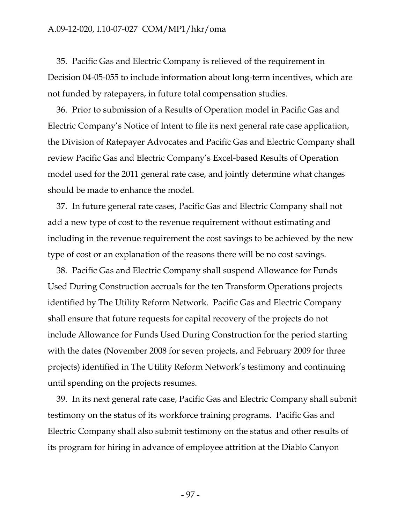#### A.09-12-020, I.10-07-027 COM/MP1/hkr/oma

35. Pacific Gas and Electric Company is relieved of the requirement in Decision 04-05-055 to include information about long-term incentives, which are not funded by ratepayers, in future total compensation studies.

36. Prior to submission of a Results of Operation model in Pacific Gas and Electric Company's Notice of Intent to file its next general rate case application, the Division of Ratepayer Advocates and Pacific Gas and Electric Company shall review Pacific Gas and Electric Company's Excel-based Results of Operation model used for the 2011 general rate case, and jointly determine what changes should be made to enhance the model.

37. In future general rate cases, Pacific Gas and Electric Company shall not add a new type of cost to the revenue requirement without estimating and including in the revenue requirement the cost savings to be achieved by the new type of cost or an explanation of the reasons there will be no cost savings.

38. Pacific Gas and Electric Company shall suspend Allowance for Funds Used During Construction accruals for the ten Transform Operations projects identified by The Utility Reform Network. Pacific Gas and Electric Company shall ensure that future requests for capital recovery of the projects do not include Allowance for Funds Used During Construction for the period starting with the dates (November 2008 for seven projects, and February 2009 for three projects) identified in The Utility Reform Network's testimony and continuing until spending on the projects resumes.

39. In its next general rate case, Pacific Gas and Electric Company shall submit testimony on the status of its workforce training programs. Pacific Gas and Electric Company shall also submit testimony on the status and other results of its program for hiring in advance of employee attrition at the Diablo Canyon

- 97 -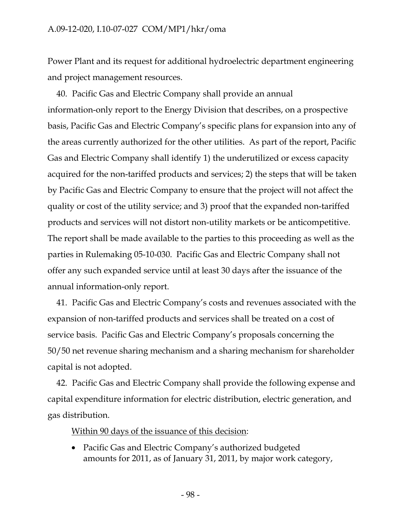Power Plant and its request for additional hydroelectric department engineering and project management resources.

40. Pacific Gas and Electric Company shall provide an annual information-only report to the Energy Division that describes, on a prospective basis, Pacific Gas and Electric Company's specific plans for expansion into any of the areas currently authorized for the other utilities. As part of the report, Pacific Gas and Electric Company shall identify 1) the underutilized or excess capacity acquired for the non-tariffed products and services; 2) the steps that will be taken by Pacific Gas and Electric Company to ensure that the project will not affect the quality or cost of the utility service; and 3) proof that the expanded non-tariffed products and services will not distort non-utility markets or be anticompetitive. The report shall be made available to the parties to this proceeding as well as the parties in Rulemaking 05-10-030. Pacific Gas and Electric Company shall not offer any such expanded service until at least 30 days after the issuance of the annual information-only report.

41. Pacific Gas and Electric Company's costs and revenues associated with the expansion of non-tariffed products and services shall be treated on a cost of service basis. Pacific Gas and Electric Company's proposals concerning the 50/50 net revenue sharing mechanism and a sharing mechanism for shareholder capital is not adopted.

42. Pacific Gas and Electric Company shall provide the following expense and capital expenditure information for electric distribution, electric generation, and gas distribution.

Within 90 days of the issuance of this decision:

• Pacific Gas and Electric Company's authorized budgeted amounts for 2011, as of January 31, 2011, by major work category,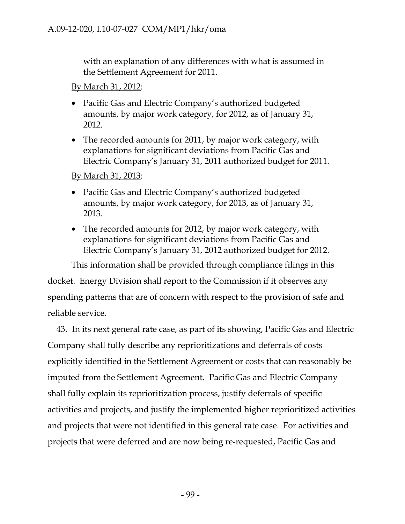with an explanation of any differences with what is assumed in the Settlement Agreement for 2011.

By March 31, 2012:

- Pacific Gas and Electric Company's authorized budgeted amounts, by major work category, for 2012, as of January 31, 2012.
- The recorded amounts for 2011, by major work category, with explanations for significant deviations from Pacific Gas and Electric Company's January 31, 2011 authorized budget for 2011.

By March 31, 2013:

- Pacific Gas and Electric Company's authorized budgeted amounts, by major work category, for 2013, as of January 31, 2013.
- The recorded amounts for 2012, by major work category, with explanations for significant deviations from Pacific Gas and Electric Company's January 31, 2012 authorized budget for 2012.

This information shall be provided through compliance filings in this docket. Energy Division shall report to the Commission if it observes any spending patterns that are of concern with respect to the provision of safe and reliable service.

43. In its next general rate case, as part of its showing, Pacific Gas and Electric Company shall fully describe any reprioritizations and deferrals of costs explicitly identified in the Settlement Agreement or costs that can reasonably be imputed from the Settlement Agreement. Pacific Gas and Electric Company shall fully explain its reprioritization process, justify deferrals of specific activities and projects, and justify the implemented higher reprioritized activities and projects that were not identified in this general rate case. For activities and projects that were deferred and are now being re-requested, Pacific Gas and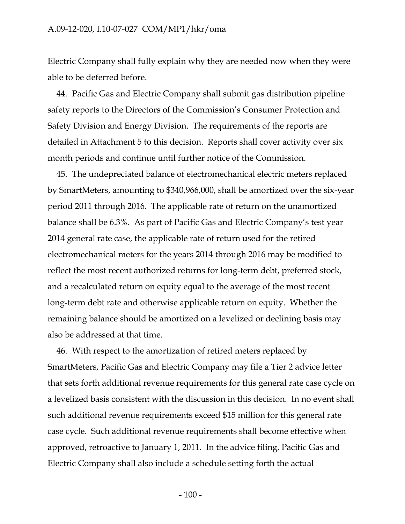Electric Company shall fully explain why they are needed now when they were able to be deferred before.

44. Pacific Gas and Electric Company shall submit gas distribution pipeline safety reports to the Directors of the Commission's Consumer Protection and Safety Division and Energy Division. The requirements of the reports are detailed in Attachment 5 to this decision. Reports shall cover activity over six month periods and continue until further notice of the Commission.

45. The undepreciated balance of electromechanical electric meters replaced by SmartMeters, amounting to \$340,966,000, shall be amortized over the six-year period 2011 through 2016. The applicable rate of return on the unamortized balance shall be 6.3%. As part of Pacific Gas and Electric Company's test year 2014 general rate case, the applicable rate of return used for the retired electromechanical meters for the years 2014 through 2016 may be modified to reflect the most recent authorized returns for long-term debt, preferred stock, and a recalculated return on equity equal to the average of the most recent long-term debt rate and otherwise applicable return on equity. Whether the remaining balance should be amortized on a levelized or declining basis may also be addressed at that time.

46. With respect to the amortization of retired meters replaced by SmartMeters, Pacific Gas and Electric Company may file a Tier 2 advice letter that sets forth additional revenue requirements for this general rate case cycle on a levelized basis consistent with the discussion in this decision. In no event shall such additional revenue requirements exceed \$15 million for this general rate case cycle. Such additional revenue requirements shall become effective when approved, retroactive to January 1, 2011. In the advice filing, Pacific Gas and Electric Company shall also include a schedule setting forth the actual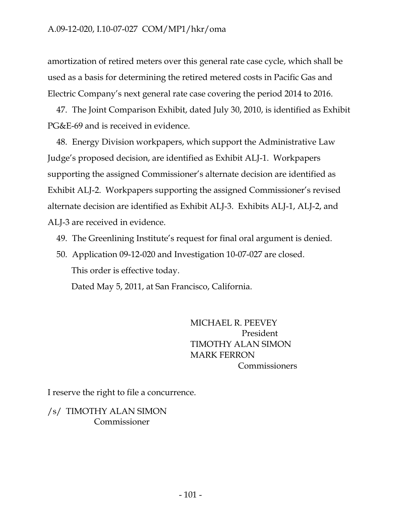amortization of retired meters over this general rate case cycle, which shall be used as a basis for determining the retired metered costs in Pacific Gas and Electric Company's next general rate case covering the period 2014 to 2016.

47. The Joint Comparison Exhibit, dated July 30, 2010, is identified as Exhibit PG&E-69 and is received in evidence.

48. Energy Division workpapers, which support the Administrative Law Judge's proposed decision, are identified as Exhibit ALJ-1. Workpapers supporting the assigned Commissioner's alternate decision are identified as Exhibit ALJ-2. Workpapers supporting the assigned Commissioner's revised alternate decision are identified as Exhibit ALJ-3. Exhibits ALJ-1, ALJ-2, and ALJ-3 are received in evidence.

- 49. The Greenlining Institute's request for final oral argument is denied.
- 50. Application 09-12-020 and Investigation 10-07-027 are closed. This order is effective today.

Dated May 5, 2011, at San Francisco, California.

MICHAEL R. PEEVEY President TIMOTHY ALAN SIMON MARK FERRON Commissioners

I reserve the right to file a concurrence.

/s/ TIMOTHY ALAN SIMON Commissioner